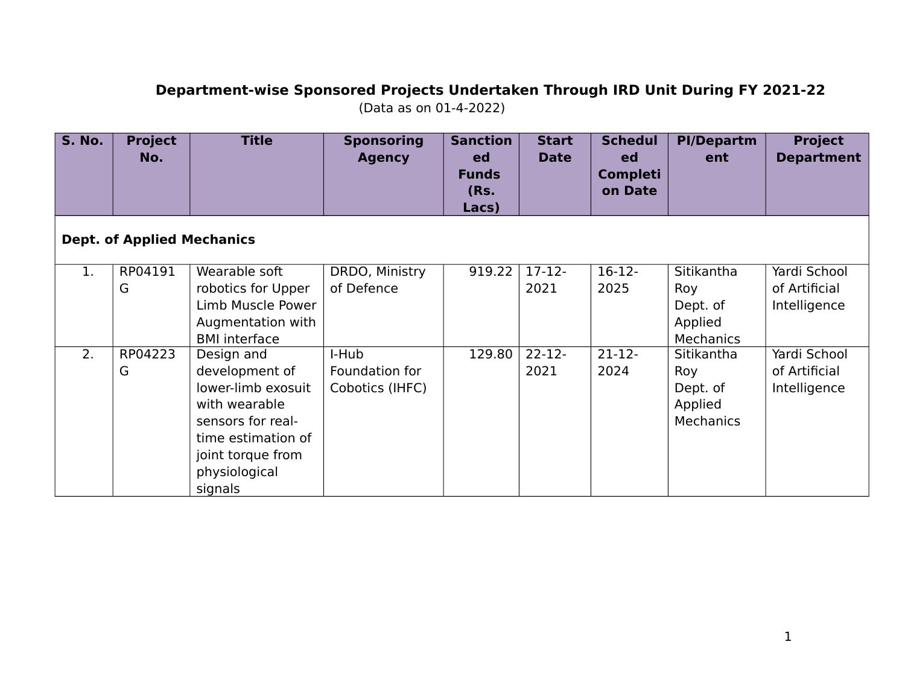## **Department‐wise Sponsored Projects Undertaken Through IRD Unit During FY 2021‐22** (Data as on 01-4-2022)

| <b>S. No.</b> | <b>Project</b><br>No.             | <b>Title</b>                                                                                                                                                    | <b>Sponsoring</b><br><b>Agency</b>         | <b>Sanction</b><br>ed<br><b>Funds</b><br>(Rs.<br>Lacs) | <b>Start</b><br><b>Date</b> | <b>Schedul</b><br>ed<br><b>Completi</b><br>on Date | <b>PI/Departm</b><br>ent                              | <b>Project</b><br><b>Department</b>           |  |  |
|---------------|-----------------------------------|-----------------------------------------------------------------------------------------------------------------------------------------------------------------|--------------------------------------------|--------------------------------------------------------|-----------------------------|----------------------------------------------------|-------------------------------------------------------|-----------------------------------------------|--|--|
|               | <b>Dept. of Applied Mechanics</b> |                                                                                                                                                                 |                                            |                                                        |                             |                                                    |                                                       |                                               |  |  |
| 1.            | RP04191<br>G                      | Wearable soft<br>robotics for Upper<br>Limb Muscle Power<br>Augmentation with<br><b>BMI</b> interface                                                           | DRDO, Ministry<br>of Defence               | 919.22                                                 | $17 - 12 -$<br>2021         | $16-12-$<br>2025                                   | Sitikantha<br>Roy<br>Dept. of<br>Applied<br>Mechanics | Yardi School<br>of Artificial<br>Intelligence |  |  |
| 2.            | RP04223<br>G                      | Design and<br>development of<br>lower-limb exosuit<br>with wearable<br>sensors for real-<br>time estimation of<br>joint torque from<br>physiological<br>signals | I-Hub<br>Foundation for<br>Cobotics (IHFC) | 129.80                                                 | $22 - 12$<br>2021           | $21-12-$<br>2024                                   | Sitikantha<br>Roy<br>Dept. of<br>Applied<br>Mechanics | Yardi School<br>of Artificial<br>Intelligence |  |  |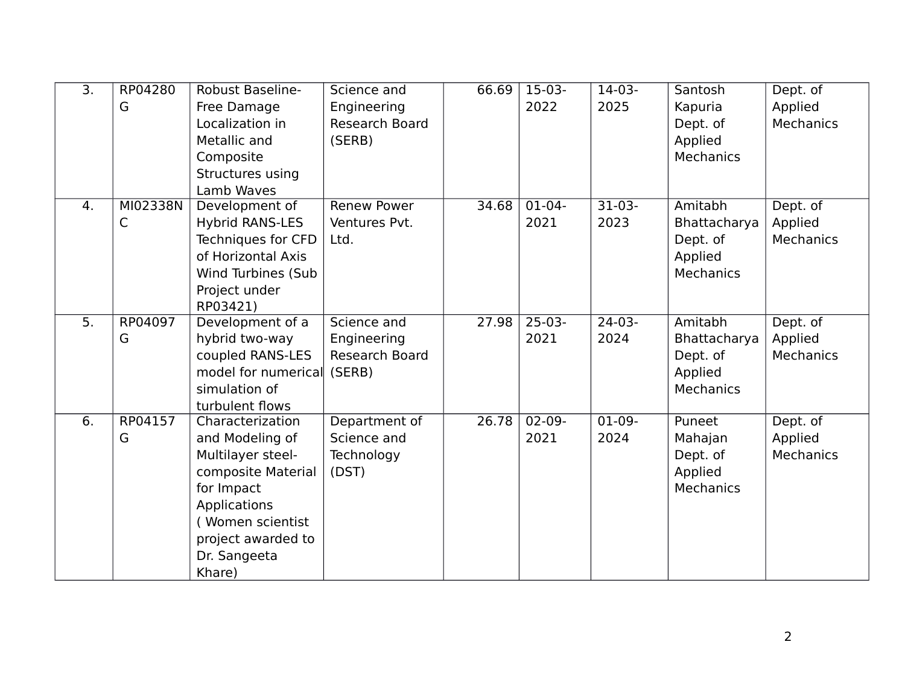| $\overline{3}$ . | RP04280  | <b>Robust Baseline-</b>    | Science and           | 66.69 | $15-03-$    | 14-03-   | Santosh          | Dept. of  |
|------------------|----------|----------------------------|-----------------------|-------|-------------|----------|------------------|-----------|
|                  | G        | Free Damage                | Engineering           |       | 2022        | 2025     | Kapuria          | Applied   |
|                  |          | Localization in            | <b>Research Board</b> |       |             |          | Dept. of         | Mechanics |
|                  |          | Metallic and               | (SERB)                |       |             |          | Applied          |           |
|                  |          | Composite                  |                       |       |             |          | <b>Mechanics</b> |           |
|                  |          | Structures using           |                       |       |             |          |                  |           |
|                  |          | Lamb Waves                 |                       |       |             |          |                  |           |
| $\overline{4}$ . | MI02338N | Development of             | <b>Renew Power</b>    | 34.68 | $01-04-$    | $31-03-$ | Amitabh          | Dept. of  |
|                  | C        | <b>Hybrid RANS-LES</b>     | Ventures Pvt.         |       | 2021        | 2023     | Bhattacharya     | Applied   |
|                  |          | Techniques for CFD         | Ltd.                  |       |             |          | Dept. of         | Mechanics |
|                  |          | of Horizontal Axis         |                       |       |             |          | Applied          |           |
|                  |          | Wind Turbines (Sub         |                       |       |             |          | <b>Mechanics</b> |           |
|                  |          | Project under              |                       |       |             |          |                  |           |
|                  |          | RP03421)                   |                       |       |             |          |                  |           |
| $\overline{5}$ . | RP04097  | Development of a           | Science and           | 27.98 | $25-03-$    | $24-03-$ | Amitabh          | Dept. of  |
|                  | G        | hybrid two-way             | Engineering           |       | 2021        | 2024     | Bhattacharya     | Applied   |
|                  |          | coupled RANS-LES           | Research Board        |       |             |          | Dept. of         | Mechanics |
|                  |          | model for numerical (SERB) |                       |       |             |          | Applied          |           |
|                  |          | simulation of              |                       |       |             |          | <b>Mechanics</b> |           |
|                  |          | turbulent flows            |                       |       |             |          |                  |           |
| $\overline{6}$ . | RP04157  | Characterization           | Department of         | 26.78 | $02 - 09 -$ | $01-09-$ | Puneet           | Dept. of  |
|                  | G        | and Modeling of            | Science and           |       | 2021        | 2024     | Mahajan          | Applied   |
|                  |          | Multilayer steel-          | Technology            |       |             |          | Dept. of         | Mechanics |
|                  |          | composite Material         | (DST)                 |       |             |          | Applied          |           |
|                  |          | for Impact                 |                       |       |             |          | <b>Mechanics</b> |           |
|                  |          | Applications               |                       |       |             |          |                  |           |
|                  |          | Women scientist            |                       |       |             |          |                  |           |
|                  |          | project awarded to         |                       |       |             |          |                  |           |
|                  |          | Dr. Sangeeta               |                       |       |             |          |                  |           |
|                  |          | Khare)                     |                       |       |             |          |                  |           |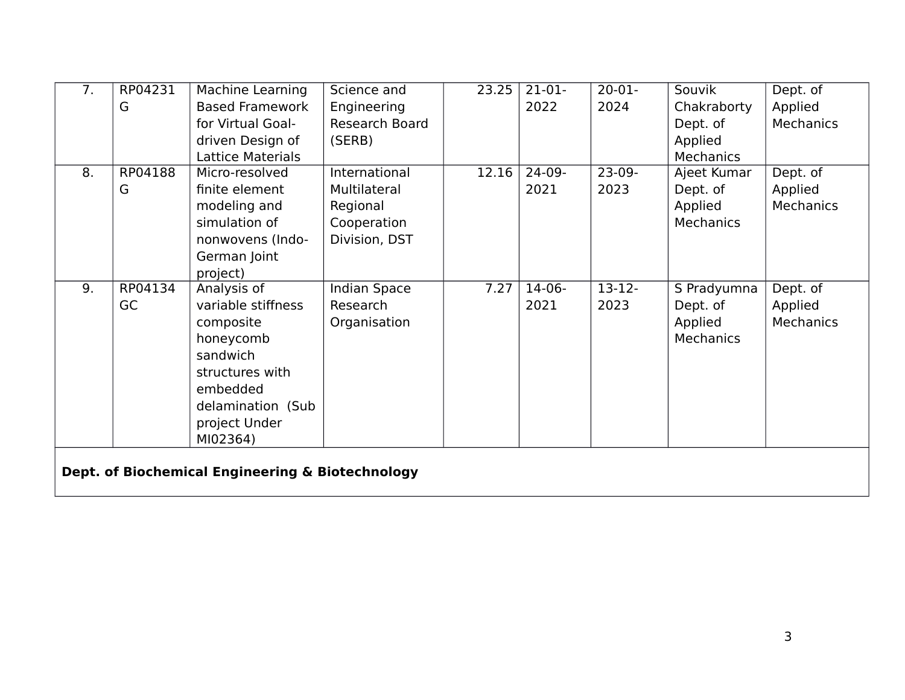| $\overline{7}$ . | RP04231                                          | Machine Learning         | Science and         | 23.25 | $21-01-$ | $20 - 01 -$ | Souvik           | Dept. of         |  |
|------------------|--------------------------------------------------|--------------------------|---------------------|-------|----------|-------------|------------------|------------------|--|
|                  | G                                                | <b>Based Framework</b>   | Engineering         |       | 2022     | 2024        | Chakraborty      | Applied          |  |
|                  |                                                  | for Virtual Goal-        | Research Board      |       |          |             | Dept. of         | <b>Mechanics</b> |  |
|                  |                                                  | driven Design of         | (SERB)              |       |          |             | Applied          |                  |  |
|                  |                                                  | <b>Lattice Materials</b> |                     |       |          |             | Mechanics        |                  |  |
| 8.               | RP04188                                          | Micro-resolved           | International       | 12.16 | $24-09-$ | $23-09-$    | Ajeet Kumar      | Dept. of         |  |
|                  | G                                                | finite element           | Multilateral        |       | 2021     | 2023        | Dept. of         | Applied          |  |
|                  |                                                  | modeling and             | Regional            |       |          |             | Applied          | <b>Mechanics</b> |  |
|                  |                                                  | simulation of            | Cooperation         |       |          |             | <b>Mechanics</b> |                  |  |
|                  |                                                  | nonwovens (Indo-         | Division, DST       |       |          |             |                  |                  |  |
|                  |                                                  | German Joint             |                     |       |          |             |                  |                  |  |
|                  |                                                  | project)                 |                     |       |          |             |                  |                  |  |
| 9.               | RP04134                                          | Analysis of              | <b>Indian Space</b> | 7.27  | $14-06-$ | $13 - 12 -$ | S Pradyumna      | Dept. of         |  |
|                  | GC                                               | variable stiffness       | Research            |       | 2021     | 2023        | Dept. of         | Applied          |  |
|                  |                                                  | composite                | Organisation        |       |          |             | Applied          | <b>Mechanics</b> |  |
|                  |                                                  | honeycomb                |                     |       |          |             | Mechanics        |                  |  |
|                  |                                                  | sandwich                 |                     |       |          |             |                  |                  |  |
|                  |                                                  | structures with          |                     |       |          |             |                  |                  |  |
|                  |                                                  | embedded                 |                     |       |          |             |                  |                  |  |
|                  |                                                  | delamination (Sub        |                     |       |          |             |                  |                  |  |
|                  |                                                  | project Under            |                     |       |          |             |                  |                  |  |
|                  |                                                  | MI02364)                 |                     |       |          |             |                  |                  |  |
|                  |                                                  |                          |                     |       |          |             |                  |                  |  |
|                  | Dept. of Biochemical Engineering & Biotechnology |                          |                     |       |          |             |                  |                  |  |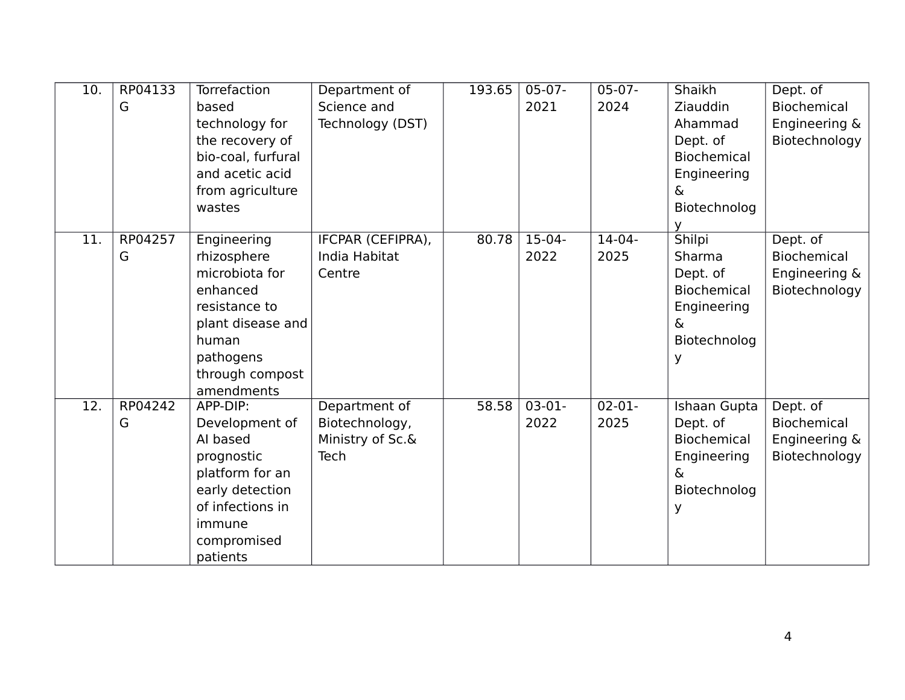| 10. | RP04133 | Torrefaction       | Department of     | 193.65 | $05-07-$ | $05-07-$ | Shaikh             | Dept. of           |
|-----|---------|--------------------|-------------------|--------|----------|----------|--------------------|--------------------|
|     | G       | based              | Science and       |        | 2021     | 2024     | Ziauddin           | <b>Biochemical</b> |
|     |         | technology for     | Technology (DST)  |        |          |          | Ahammad            | Engineering &      |
|     |         | the recovery of    |                   |        |          |          | Dept. of           | Biotechnology      |
|     |         | bio-coal, furfural |                   |        |          |          | <b>Biochemical</b> |                    |
|     |         | and acetic acid    |                   |        |          |          | Engineering        |                    |
|     |         | from agriculture   |                   |        |          |          | &                  |                    |
|     |         | wastes             |                   |        |          |          | Biotechnolog       |                    |
|     |         |                    |                   |        |          |          | v                  |                    |
| 11. | RP04257 | Engineering        | IFCPAR (CEFIPRA), | 80.78  | $15-04-$ | $14-04-$ | Shilpi             | Dept. of           |
|     | G       | rhizosphere        | India Habitat     |        | 2022     | 2025     | Sharma             | <b>Biochemical</b> |
|     |         | microbiota for     | Centre            |        |          |          | Dept. of           | Engineering &      |
|     |         | enhanced           |                   |        |          |          | <b>Biochemical</b> | Biotechnology      |
|     |         | resistance to      |                   |        |          |          | Engineering        |                    |
|     |         | plant disease and  |                   |        |          |          | $\delta$           |                    |
|     |         | human              |                   |        |          |          | Biotechnolog       |                    |
|     |         | pathogens          |                   |        |          |          |                    |                    |
|     |         | through compost    |                   |        |          |          |                    |                    |
|     |         | amendments         |                   |        |          |          |                    |                    |
| 12. | RP04242 | APP-DIP:           | Department of     | 58.58  | $03-01-$ | $02-01-$ | Ishaan Gupta       | Dept. of           |
|     | G       | Development of     | Biotechnology,    |        | 2022     | 2025     | Dept. of           | <b>Biochemical</b> |
|     |         | Al based           | Ministry of Sc.&  |        |          |          | <b>Biochemical</b> | Engineering &      |
|     |         | prognostic         | <b>Tech</b>       |        |          |          | Engineering        | Biotechnology      |
|     |         | platform for an    |                   |        |          |          | $\delta$           |                    |
|     |         | early detection    |                   |        |          |          | Biotechnolog       |                    |
|     |         | of infections in   |                   |        |          |          | У                  |                    |
|     |         | immune             |                   |        |          |          |                    |                    |
|     |         | compromised        |                   |        |          |          |                    |                    |
|     |         | patients           |                   |        |          |          |                    |                    |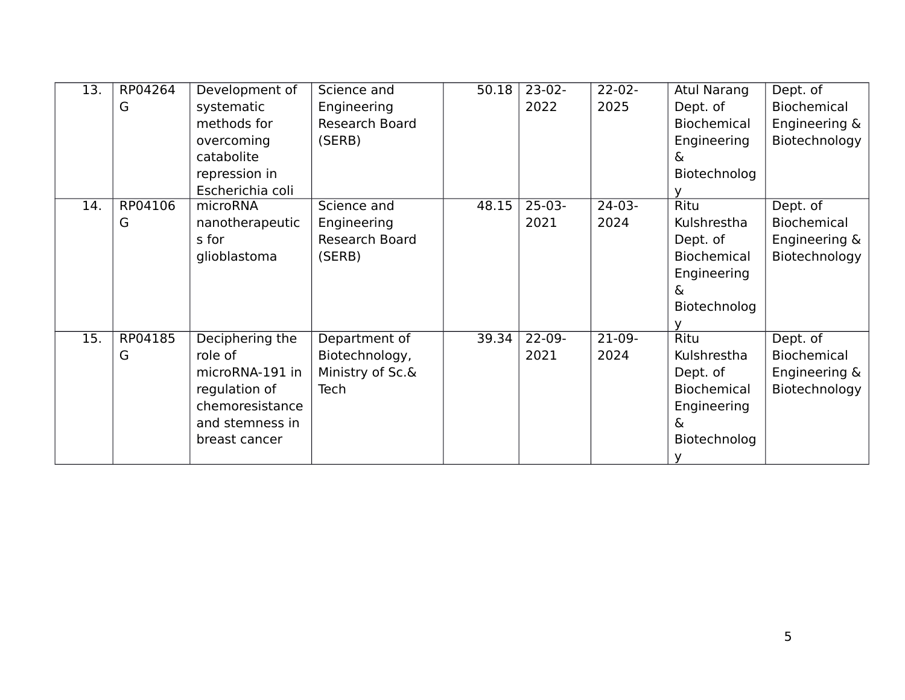| 13. | RP04264 | Development of   | Science and      | 50.18 | $23-02-$ | $22 - 02 -$ | <b>Atul Narang</b> | Dept. of           |
|-----|---------|------------------|------------------|-------|----------|-------------|--------------------|--------------------|
|     | G       | systematic       | Engineering      |       | 2022     | 2025        | Dept. of           | Biochemical        |
|     |         | methods for      | Research Board   |       |          |             | Biochemical        | Engineering &      |
|     |         | overcoming       | (SERB)           |       |          |             | Engineering        | Biotechnology      |
|     |         | catabolite       |                  |       |          |             | &                  |                    |
|     |         | repression in    |                  |       |          |             | Biotechnolog       |                    |
|     |         | Escherichia coli |                  |       |          |             |                    |                    |
| 14. | RP04106 | microRNA         | Science and      | 48.15 | $25-03-$ | $24-03-$    | Ritu               | Dept. of           |
|     | G       | nanotherapeutic  | Engineering      |       | 2021     | 2024        | Kulshrestha        | <b>Biochemical</b> |
|     |         | s for            | Research Board   |       |          |             | Dept. of           | Engineering &      |
|     |         | glioblastoma     | (SERB)           |       |          |             | Biochemical        | Biotechnology      |
|     |         |                  |                  |       |          |             | Engineering        |                    |
|     |         |                  |                  |       |          |             | &                  |                    |
|     |         |                  |                  |       |          |             | Biotechnolog       |                    |
|     |         |                  |                  |       |          |             |                    |                    |
| 15. | RP04185 | Deciphering the  | Department of    | 39.34 | $22-09-$ | $21-09-$    | <b>Ritu</b>        | Dept. of           |
|     | G       | role of          | Biotechnology,   |       | 2021     | 2024        | Kulshrestha        | Biochemical        |
|     |         | microRNA-191 in  | Ministry of Sc.& |       |          |             | Dept. of           | Engineering &      |
|     |         | regulation of    | Tech             |       |          |             | Biochemical        | Biotechnology      |
|     |         | chemoresistance  |                  |       |          |             | Engineering        |                    |
|     |         | and stemness in  |                  |       |          |             | &                  |                    |
|     |         | breast cancer    |                  |       |          |             | Biotechnolog       |                    |
|     |         |                  |                  |       |          |             |                    |                    |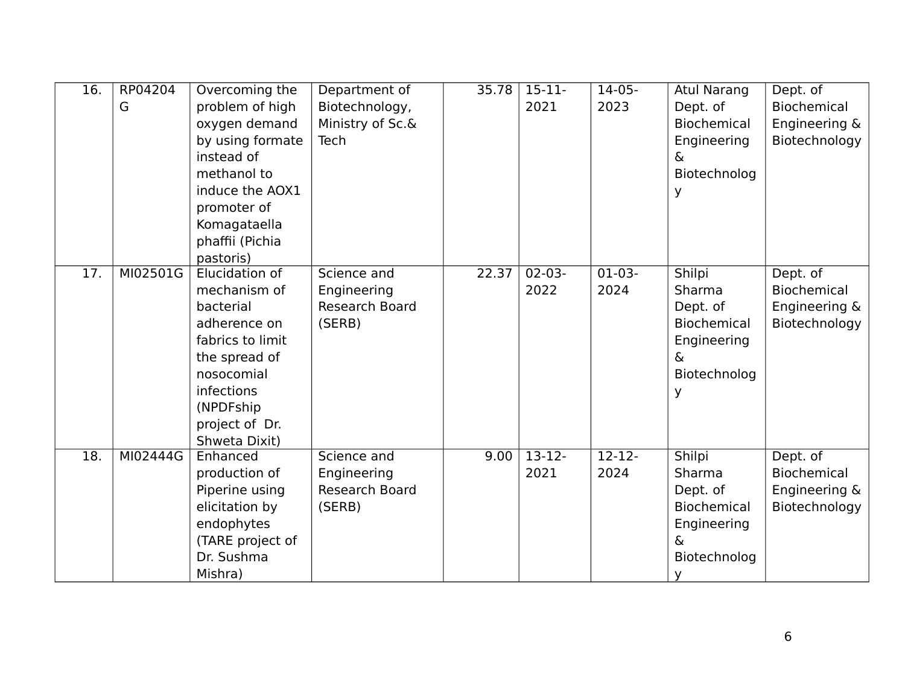| 16.               | RP04204<br>G | Overcoming the<br>problem of high<br>oxygen demand<br>by using formate<br>instead of<br>methanol to<br>induce the AOX1<br>promoter of                                        | Department of<br>Biotechnology,<br>Ministry of Sc.&<br>Tech | 35.78 | $15 - 11$<br>2021   | $14-05-$<br>2023  | <b>Atul Narang</b><br>Dept. of<br>Biochemical<br>Engineering<br>&<br>Biotechnolog<br>У             | Dept. of<br><b>Biochemical</b><br>Engineering &<br>Biotechnology |
|-------------------|--------------|------------------------------------------------------------------------------------------------------------------------------------------------------------------------------|-------------------------------------------------------------|-------|---------------------|-------------------|----------------------------------------------------------------------------------------------------|------------------------------------------------------------------|
|                   |              | Komagataella<br>phaffii (Pichia<br>pastoris)                                                                                                                                 |                                                             |       |                     |                   |                                                                                                    |                                                                  |
| 17.               | MI02501G     | Elucidation of<br>mechanism of<br>bacterial<br>adherence on<br>fabrics to limit<br>the spread of<br>nosocomial<br>infections<br>(NPDFship<br>project of Dr.<br>Shweta Dixit) | Science and<br>Engineering<br>Research Board<br>(SERB)      | 22.37 | $02 - 03 -$<br>2022 | $01-03-$<br>2024  | Shilpi<br>Sharma<br>Dept. of<br><b>Biochemical</b><br>Engineering<br>&<br>Biotechnolog<br>У        | Dept. of<br><b>Biochemical</b><br>Engineering &<br>Biotechnology |
| $\overline{18}$ . | MI02444G     | Enhanced<br>production of<br>Piperine using<br>elicitation by<br>endophytes<br>(TARE project of<br>Dr. Sushma<br>Mishra)                                                     | Science and<br>Engineering<br>Research Board<br>(SERB)      | 9.00  | $13-12-$<br>2021    | $12 - 12$<br>2024 | Shilpi<br>Sharma<br>Dept. of<br><b>Biochemical</b><br>Engineering<br>$\delta$<br>Biotechnolog<br>У | Dept. of<br><b>Biochemical</b><br>Engineering &<br>Biotechnology |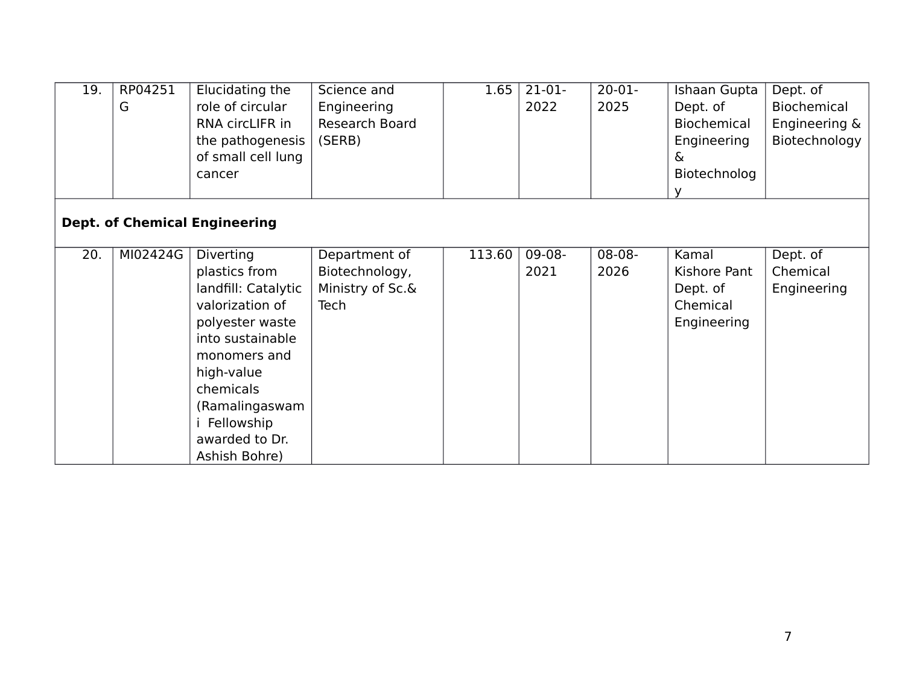| 19. | RP04251<br>G | Elucidating the<br>role of circular<br>RNA circLIFR in<br>the pathogenesis<br>of small cell lung                                                                                                               | Science and<br>Engineering<br>Research Board<br>(SERB) | 1.65   | $21-01-$<br>2022 | $20-01-$<br>2025 | Ishaan Gupta<br>Dept. of<br><b>Biochemical</b><br>Engineering<br>& | Dept. of<br>Biochemical<br>Engineering &<br>Biotechnology |
|-----|--------------|----------------------------------------------------------------------------------------------------------------------------------------------------------------------------------------------------------------|--------------------------------------------------------|--------|------------------|------------------|--------------------------------------------------------------------|-----------------------------------------------------------|
| 20. | MI02424G     | cancer<br><b>Dept. of Chemical Engineering</b><br>Diverting                                                                                                                                                    | Department of                                          | 113.60 | $09-08-$         | 08-08-           | Biotechnolog<br>Kamal                                              | Dept. of                                                  |
|     |              | plastics from<br>landfill: Catalytic<br>valorization of<br>polyester waste<br>into sustainable<br>monomers and<br>high-value<br>chemicals<br>(Ramalingaswam<br>i Fellowship<br>awarded to Dr.<br>Ashish Bohre) | Biotechnology,<br>Ministry of Sc.&<br>Tech             |        | 2021             | 2026             | Kishore Pant<br>Dept. of<br>Chemical<br>Engineering                | Chemical<br>Engineering                                   |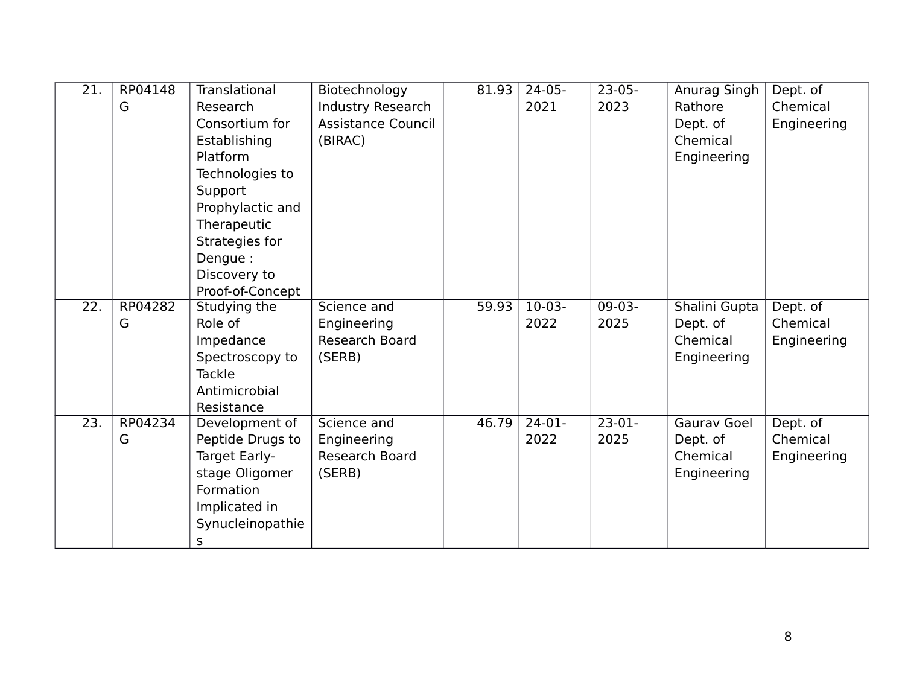| $\overline{21}$ . | RP04148 | Translational    | Biotechnology      | 81.93 | $24-05-$           | $23-05-$ | Anurag Singh       | Dept. of    |
|-------------------|---------|------------------|--------------------|-------|--------------------|----------|--------------------|-------------|
|                   | G       | Research         | Industry Research  |       | 2021               | 2023     | Rathore            | Chemical    |
|                   |         | Consortium for   | Assistance Council |       |                    |          | Dept. of           | Engineering |
|                   |         | Establishing     | (BIRAC)            |       |                    |          | Chemical           |             |
|                   |         | Platform         |                    |       |                    |          | Engineering        |             |
|                   |         | Technologies to  |                    |       |                    |          |                    |             |
|                   |         | Support          |                    |       |                    |          |                    |             |
|                   |         | Prophylactic and |                    |       |                    |          |                    |             |
|                   |         | Therapeutic      |                    |       |                    |          |                    |             |
|                   |         | Strategies for   |                    |       |                    |          |                    |             |
|                   |         | Dengue :         |                    |       |                    |          |                    |             |
|                   |         | Discovery to     |                    |       |                    |          |                    |             |
|                   |         | Proof-of-Concept |                    |       |                    |          |                    |             |
| $\overline{22}$ . | RP04282 | Studying the     | Science and        | 59.93 | $10-03-$           | $09-03-$ | Shalini Gupta      | Dept. of    |
|                   | G       | Role of          | Engineering        |       | 2022               | 2025     | Dept. of           | Chemical    |
|                   |         | Impedance        | Research Board     |       |                    |          | Chemical           | Engineering |
|                   |         | Spectroscopy to  | (SERB)             |       |                    |          | Engineering        |             |
|                   |         | Tackle           |                    |       |                    |          |                    |             |
|                   |         | Antimicrobial    |                    |       |                    |          |                    |             |
|                   |         | Resistance       |                    |       |                    |          |                    |             |
| $\overline{23}$ . | RP04234 | Development of   | Science and        | 46.79 | $\overline{24-01}$ | $23-01-$ | <b>Gaurav Goel</b> | Dept. of    |
|                   | G       | Peptide Drugs to | Engineering        |       | 2022               | 2025     | Dept. of           | Chemical    |
|                   |         | Target Early-    | Research Board     |       |                    |          | Chemical           | Engineering |
|                   |         | stage Oligomer   | (SERB)             |       |                    |          | Engineering        |             |
|                   |         | Formation        |                    |       |                    |          |                    |             |
|                   |         | Implicated in    |                    |       |                    |          |                    |             |
|                   |         | Synucleinopathie |                    |       |                    |          |                    |             |
|                   |         | $\sf S$          |                    |       |                    |          |                    |             |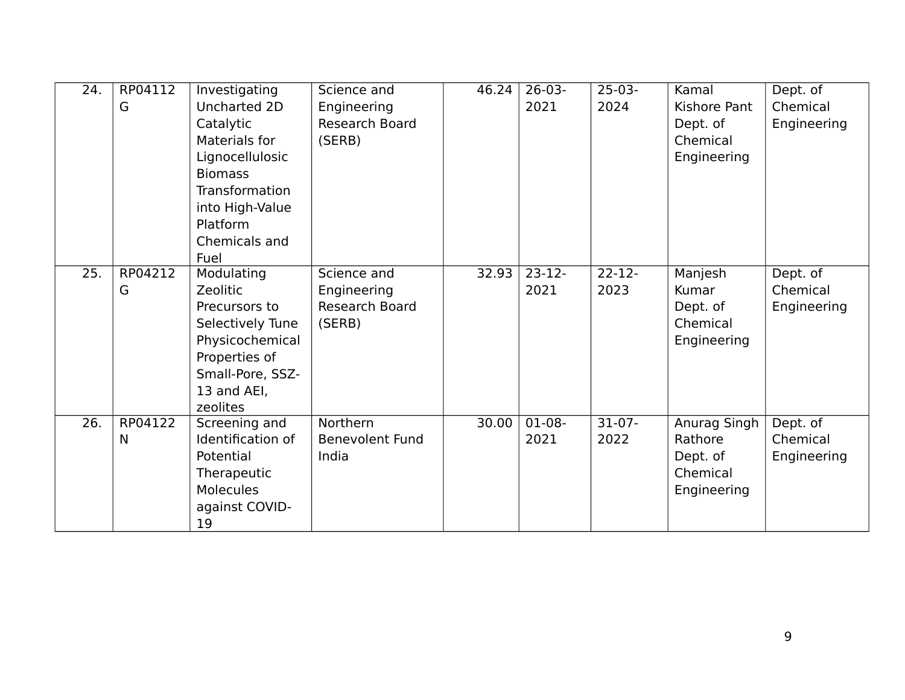| 24. | RP04112<br>G | Investigating<br>Uncharted 2D<br>Catalytic<br>Materials for<br>Lignocellulosic<br><b>Biomass</b><br><b>Transformation</b><br>into High-Value<br>Platform<br>Chemicals and<br>Fuel | Science and<br>Engineering<br>Research Board<br>(SERB) | 46.24 | $26-03-$<br>2021 | $25-03-$<br>2024            | Kamal<br><b>Kishore Pant</b><br>Dept. of<br>Chemical<br>Engineering | Dept. of<br>Chemical<br>Engineering |
|-----|--------------|-----------------------------------------------------------------------------------------------------------------------------------------------------------------------------------|--------------------------------------------------------|-------|------------------|-----------------------------|---------------------------------------------------------------------|-------------------------------------|
| 25. | RP04212<br>G | Modulating<br>Zeolitic<br>Precursors to<br>Selectively Tune<br>Physicochemical<br>Properties of<br>Small-Pore, SSZ-<br>13 and AEI,<br>zeolites                                    | Science and<br>Engineering<br>Research Board<br>(SERB) | 32.93 | $23-12-$<br>2021 | $\overline{22-12-}$<br>2023 | Manjesh<br>Kumar<br>Dept. of<br>Chemical<br>Engineering             | Dept. of<br>Chemical<br>Engineering |
| 26. | RP04122<br>N | Screening and<br>Identification of<br>Potential<br>Therapeutic<br><b>Molecules</b><br>against COVID-<br>19                                                                        | Northern<br><b>Benevolent Fund</b><br>India            | 30.00 | $01-08-$<br>2021 | $31-07-$<br>2022            | Anurag Singh<br>Rathore<br>Dept. of<br>Chemical<br>Engineering      | Dept. of<br>Chemical<br>Engineering |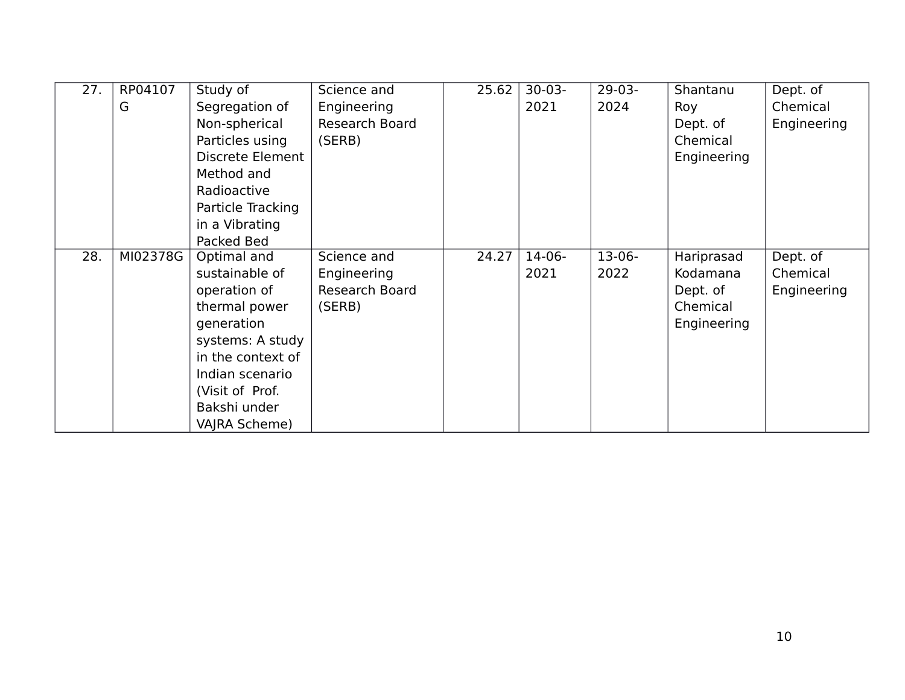| 27. | RP04107  | Study of          | Science and    | 25.62 | $30-03-$ | $29-03-$ | Shantanu    | Dept. of    |
|-----|----------|-------------------|----------------|-------|----------|----------|-------------|-------------|
|     | G        | Segregation of    | Engineering    |       | 2021     | 2024     | Roy         | Chemical    |
|     |          | Non-spherical     | Research Board |       |          |          | Dept. of    | Engineering |
|     |          | Particles using   | (SERB)         |       |          |          | Chemical    |             |
|     |          | Discrete Element  |                |       |          |          | Engineering |             |
|     |          | Method and        |                |       |          |          |             |             |
|     |          | Radioactive       |                |       |          |          |             |             |
|     |          | Particle Tracking |                |       |          |          |             |             |
|     |          | in a Vibrating    |                |       |          |          |             |             |
|     |          | Packed Bed        |                |       |          |          |             |             |
| 28. | MI02378G | Optimal and       | Science and    | 24.27 | $14-06-$ | $13-06-$ | Hariprasad  | Dept. of    |
|     |          | sustainable of    | Engineering    |       | 2021     | 2022     | Kodamana    | Chemical    |
|     |          | operation of      | Research Board |       |          |          | Dept. of    | Engineering |
|     |          | thermal power     | (SERB)         |       |          |          | Chemical    |             |
|     |          | generation        |                |       |          |          | Engineering |             |
|     |          | systems: A study  |                |       |          |          |             |             |
|     |          | in the context of |                |       |          |          |             |             |
|     |          | Indian scenario   |                |       |          |          |             |             |
|     |          | (Visit of Prof.   |                |       |          |          |             |             |
|     |          | Bakshi under      |                |       |          |          |             |             |
|     |          | VAJRA Scheme)     |                |       |          |          |             |             |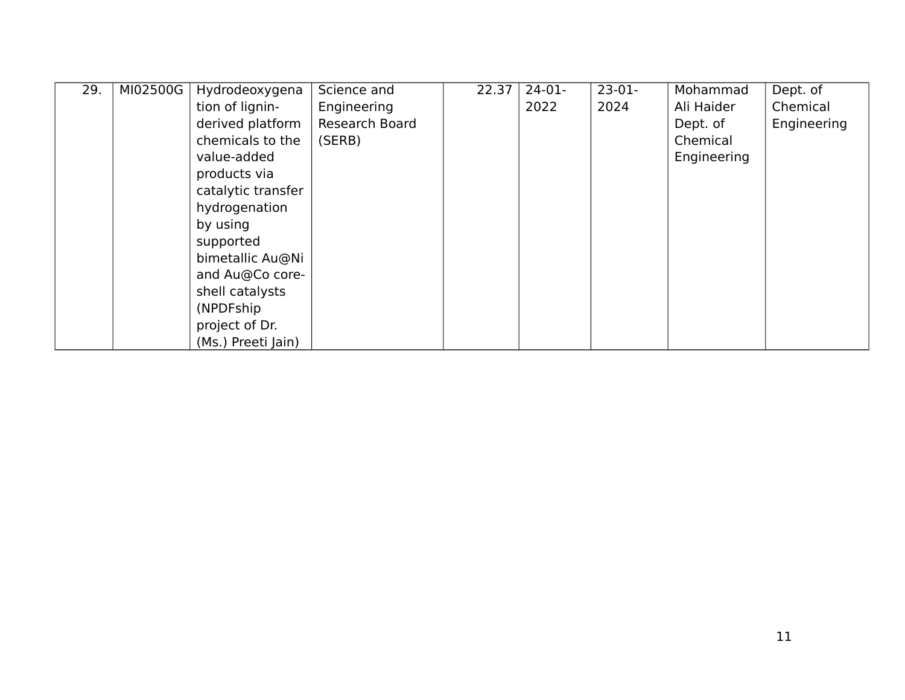| 29. | MI02500G | Hydrodeoxygena     | Science and    | 22.37 | $24-01-$ | $23-01-$ | Mohammad    | Dept. of    |
|-----|----------|--------------------|----------------|-------|----------|----------|-------------|-------------|
|     |          | tion of lignin-    | Engineering    |       | 2022     | 2024     | Ali Haider  | Chemical    |
|     |          | derived platform   | Research Board |       |          |          | Dept. of    | Engineering |
|     |          | chemicals to the   | (SERB)         |       |          |          | Chemical    |             |
|     |          | value-added        |                |       |          |          | Engineering |             |
|     |          | products via       |                |       |          |          |             |             |
|     |          | catalytic transfer |                |       |          |          |             |             |
|     |          | hydrogenation      |                |       |          |          |             |             |
|     |          | by using           |                |       |          |          |             |             |
|     |          | supported          |                |       |          |          |             |             |
|     |          | bimetallic Au@Ni   |                |       |          |          |             |             |
|     |          | and Au@Co core-    |                |       |          |          |             |             |
|     |          | shell catalysts    |                |       |          |          |             |             |
|     |          | (NPDFship)         |                |       |          |          |             |             |
|     |          | project of Dr.     |                |       |          |          |             |             |
|     |          | (Ms.) Preeti Jain) |                |       |          |          |             |             |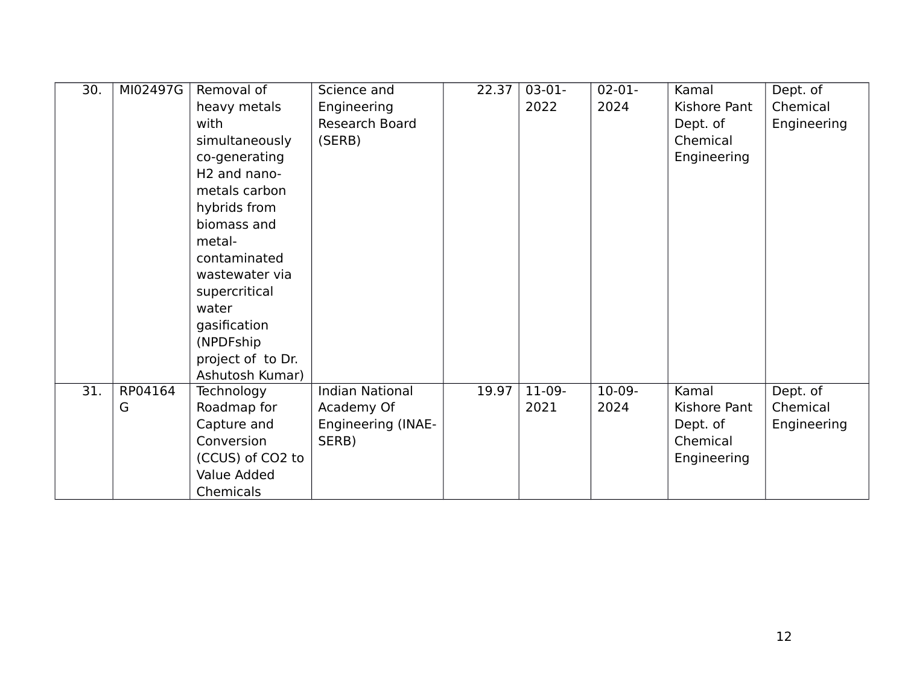| 30. | MI02497G | Removal of               | Science and               | 22.37 | $03-01-$ | $02 - 01 -$ | Kamal        | Dept. of    |
|-----|----------|--------------------------|---------------------------|-------|----------|-------------|--------------|-------------|
|     |          | heavy metals             | Engineering               |       | 2022     | 2024        | Kishore Pant | Chemical    |
|     |          | with                     | Research Board            |       |          |             | Dept. of     | Engineering |
|     |          | simultaneously           | (SERB)                    |       |          |             | Chemical     |             |
|     |          | co-generating            |                           |       |          |             | Engineering  |             |
|     |          | H <sub>2</sub> and nano- |                           |       |          |             |              |             |
|     |          | metals carbon            |                           |       |          |             |              |             |
|     |          | hybrids from             |                           |       |          |             |              |             |
|     |          | biomass and              |                           |       |          |             |              |             |
|     |          | metal-                   |                           |       |          |             |              |             |
|     |          | contaminated             |                           |       |          |             |              |             |
|     |          | wastewater via           |                           |       |          |             |              |             |
|     |          | supercritical            |                           |       |          |             |              |             |
|     |          | water                    |                           |       |          |             |              |             |
|     |          | gasification             |                           |       |          |             |              |             |
|     |          | (NPDFship)               |                           |       |          |             |              |             |
|     |          | project of to Dr.        |                           |       |          |             |              |             |
|     |          | Ashutosh Kumar)          |                           |       |          |             |              |             |
| 31. | RP04164  | Technology               | <b>Indian National</b>    | 19.97 | $11-09-$ | $10-09-$    | Kamal        | Dept. of    |
|     | G        | Roadmap for              | Academy Of                |       | 2021     | 2024        | Kishore Pant | Chemical    |
|     |          | Capture and              | <b>Engineering (INAE-</b> |       |          |             | Dept. of     | Engineering |
|     |          | Conversion               | SERB)                     |       |          |             | Chemical     |             |
|     |          | (CCUS) of CO2 to         |                           |       |          |             | Engineering  |             |
|     |          | Value Added              |                           |       |          |             |              |             |
|     |          | Chemicals                |                           |       |          |             |              |             |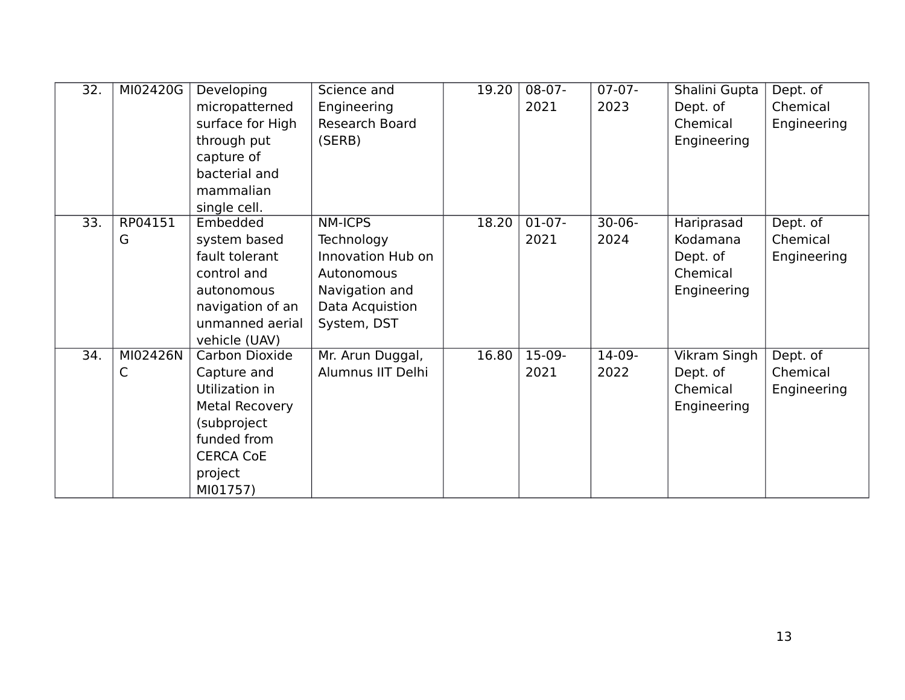| 32. | MI02420G | Developing            | Science and       | 19.20 | $08-07-$ | $07-07-$    | Shalini Gupta | Dept. of    |
|-----|----------|-----------------------|-------------------|-------|----------|-------------|---------------|-------------|
|     |          | micropatterned        | Engineering       |       | 2021     | 2023        | Dept. of      | Chemical    |
|     |          | surface for High      | Research Board    |       |          |             | Chemical      | Engineering |
|     |          | through put           | (SERB)            |       |          |             | Engineering   |             |
|     |          | capture of            |                   |       |          |             |               |             |
|     |          | bacterial and         |                   |       |          |             |               |             |
|     |          | mammalian             |                   |       |          |             |               |             |
|     |          | single cell.          |                   |       |          |             |               |             |
| 33. | RP04151  | Embedded              | <b>NM-ICPS</b>    | 18.20 | $01-07-$ | $30 - 06 -$ | Hariprasad    | Dept. of    |
|     | G        | system based          | Technology        |       | 2021     | 2024        | Kodamana      | Chemical    |
|     |          | fault tolerant        | Innovation Hub on |       |          |             | Dept. of      | Engineering |
|     |          | control and           | Autonomous        |       |          |             | Chemical      |             |
|     |          | autonomous            | Navigation and    |       |          |             | Engineering   |             |
|     |          | navigation of an      | Data Acquistion   |       |          |             |               |             |
|     |          | unmanned aerial       | System, DST       |       |          |             |               |             |
|     |          | vehicle (UAV)         |                   |       |          |             |               |             |
| 34. | MI02426N | Carbon Dioxide        | Mr. Arun Duggal,  | 16.80 | $15-09-$ | $14-09-$    | Vikram Singh  | Dept. of    |
|     | C        | Capture and           | Alumnus IIT Delhi |       | 2021     | 2022        | Dept. of      | Chemical    |
|     |          | Utilization in        |                   |       |          |             | Chemical      | Engineering |
|     |          | <b>Metal Recovery</b> |                   |       |          |             | Engineering   |             |
|     |          | (subproject           |                   |       |          |             |               |             |
|     |          | funded from           |                   |       |          |             |               |             |
|     |          | <b>CERCA CoE</b>      |                   |       |          |             |               |             |
|     |          | project               |                   |       |          |             |               |             |
|     |          | MI01757)              |                   |       |          |             |               |             |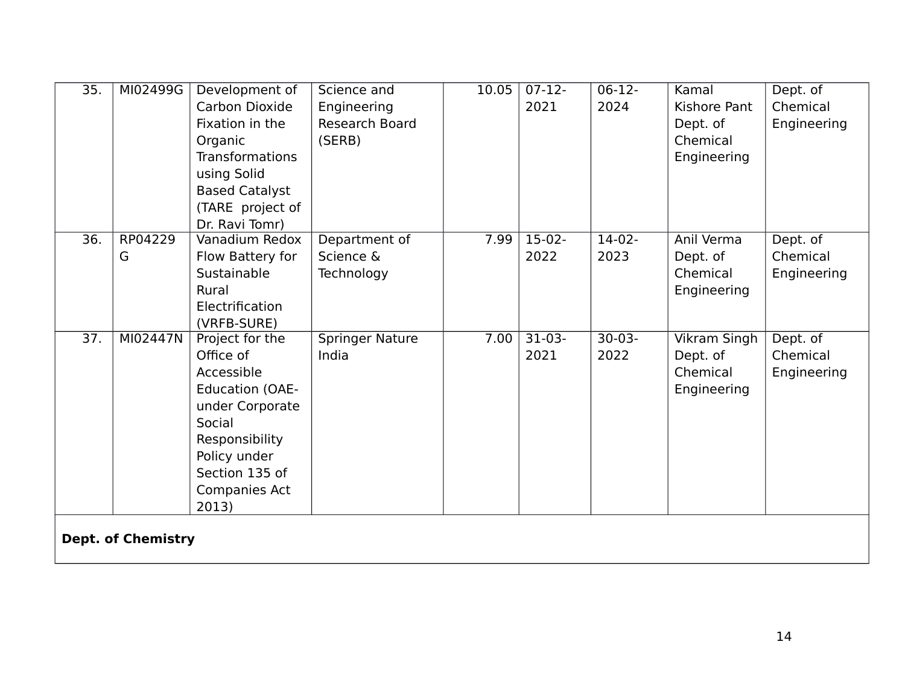| 35.               | MI02499G                  | Development of         | Science and            | 10.05 | $07-12-$ | $06-12-$ | Kamal               | Dept. of    |  |  |
|-------------------|---------------------------|------------------------|------------------------|-------|----------|----------|---------------------|-------------|--|--|
|                   |                           | Carbon Dioxide         | Engineering            |       | 2021     | 2024     | <b>Kishore Pant</b> | Chemical    |  |  |
|                   |                           | Fixation in the        | Research Board         |       |          |          | Dept. of            | Engineering |  |  |
|                   |                           | Organic                | (SERB)                 |       |          |          | Chemical            |             |  |  |
|                   |                           | <b>Transformations</b> |                        |       |          |          | Engineering         |             |  |  |
|                   |                           | using Solid            |                        |       |          |          |                     |             |  |  |
|                   |                           | <b>Based Catalyst</b>  |                        |       |          |          |                     |             |  |  |
|                   |                           | (TARE project of       |                        |       |          |          |                     |             |  |  |
|                   |                           | Dr. Ravi Tomr)         |                        |       |          |          |                     |             |  |  |
| 36.               | RP04229                   | Vanadium Redox         | Department of          | 7.99  | $15-02-$ | $14-02-$ | Anil Verma          | Dept. of    |  |  |
|                   | G                         | Flow Battery for       | Science &              |       | 2022     | 2023     | Dept. of            | Chemical    |  |  |
|                   |                           | Sustainable            | Technology             |       |          |          | Chemical            | Engineering |  |  |
|                   |                           | Rural                  |                        |       |          |          | Engineering         |             |  |  |
|                   |                           | Electrification        |                        |       |          |          |                     |             |  |  |
|                   |                           | (VRFB-SURE)            |                        |       |          |          |                     |             |  |  |
| $\overline{37}$ . | MI02447N                  | Project for the        | <b>Springer Nature</b> | 7.00  | $31-03-$ | $30-03-$ | <b>Vikram Singh</b> | Dept. of    |  |  |
|                   |                           | Office of              | India                  |       | 2021     | 2022     | Dept. of            | Chemical    |  |  |
|                   |                           | Accessible             |                        |       |          |          | Chemical            | Engineering |  |  |
|                   |                           | <b>Education (OAE-</b> |                        |       |          |          | Engineering         |             |  |  |
|                   |                           | under Corporate        |                        |       |          |          |                     |             |  |  |
|                   |                           | Social                 |                        |       |          |          |                     |             |  |  |
|                   |                           | Responsibility         |                        |       |          |          |                     |             |  |  |
|                   |                           | Policy under           |                        |       |          |          |                     |             |  |  |
|                   |                           | Section 135 of         |                        |       |          |          |                     |             |  |  |
|                   |                           | Companies Act          |                        |       |          |          |                     |             |  |  |
|                   |                           | 2013)                  |                        |       |          |          |                     |             |  |  |
|                   |                           |                        |                        |       |          |          |                     |             |  |  |
|                   | <b>Dept. of Chemistry</b> |                        |                        |       |          |          |                     |             |  |  |
|                   |                           |                        |                        |       |          |          |                     |             |  |  |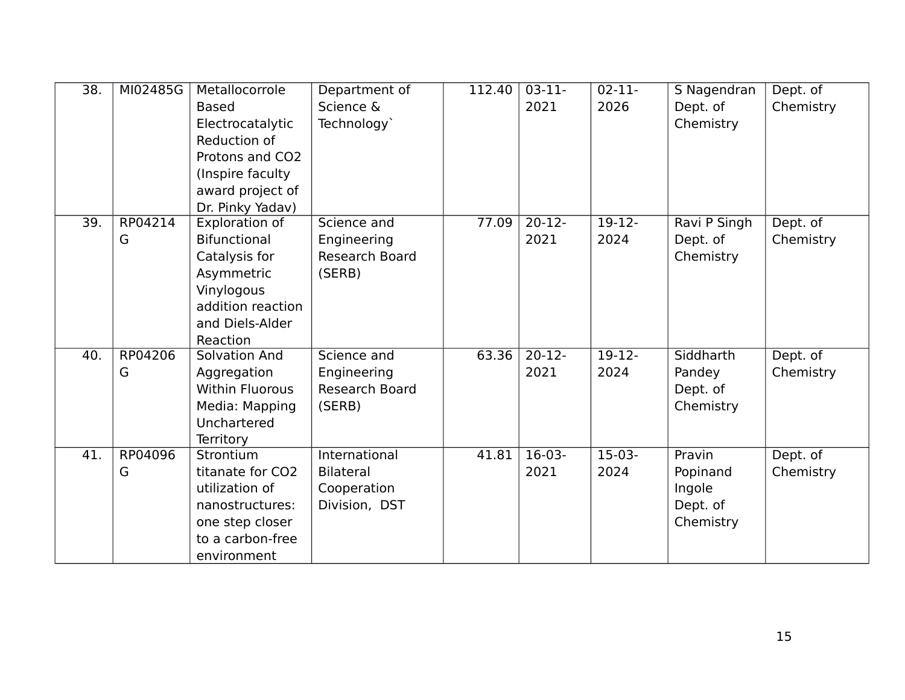| 38. | MI02485G     | Metallocorrole<br><b>Based</b><br>Electrocatalytic<br>Reduction of<br>Protons and CO2<br>(Inspire faculty<br>award project of<br>Dr. Pinky Yadav) | Department of<br>Science &<br>Technology`                         | 112.40 | $03-11-$<br>2021           | $02 - 11 -$<br>2026 | S Nagendran<br>Dept. of<br>Chemistry                  | Dept. of<br>Chemistry |
|-----|--------------|---------------------------------------------------------------------------------------------------------------------------------------------------|-------------------------------------------------------------------|--------|----------------------------|---------------------|-------------------------------------------------------|-----------------------|
| 39. | RP04214<br>G | Exploration of<br><b>Bifunctional</b><br>Catalysis for<br>Asymmetric<br>Vinylogous<br>addition reaction<br>and Diels-Alder<br>Reaction            | Science and<br>Engineering<br>Research Board<br>(SERB)            | 77.09  | $20-12-$<br>2021           | $19-12-$<br>2024    | Ravi P Singh<br>Dept. of<br>Chemistry                 | Dept. of<br>Chemistry |
| 40. | RP04206<br>G | Solvation And<br>Aggregation<br><b>Within Fluorous</b><br>Media: Mapping<br>Unchartered<br><b>Territory</b>                                       | Science and<br>Engineering<br><b>Research Board</b><br>(SERB)     | 63.36  | $\overline{20-12}$<br>2021 | $19-12-$<br>2024    | Siddharth<br>Pandey<br>Dept. of<br>Chemistry          | Dept. of<br>Chemistry |
| 41. | RP04096<br>G | Strontium<br>titanate for CO2<br>utilization of<br>nanostructures:<br>one step closer<br>to a carbon-free<br>environment                          | International<br><b>Bilateral</b><br>Cooperation<br>Division, DST | 41.81  | $16-03-$<br>2021           | $15-03-$<br>2024    | Pravin<br>Popinand<br>Ingole<br>Dept. of<br>Chemistry | Dept. of<br>Chemistry |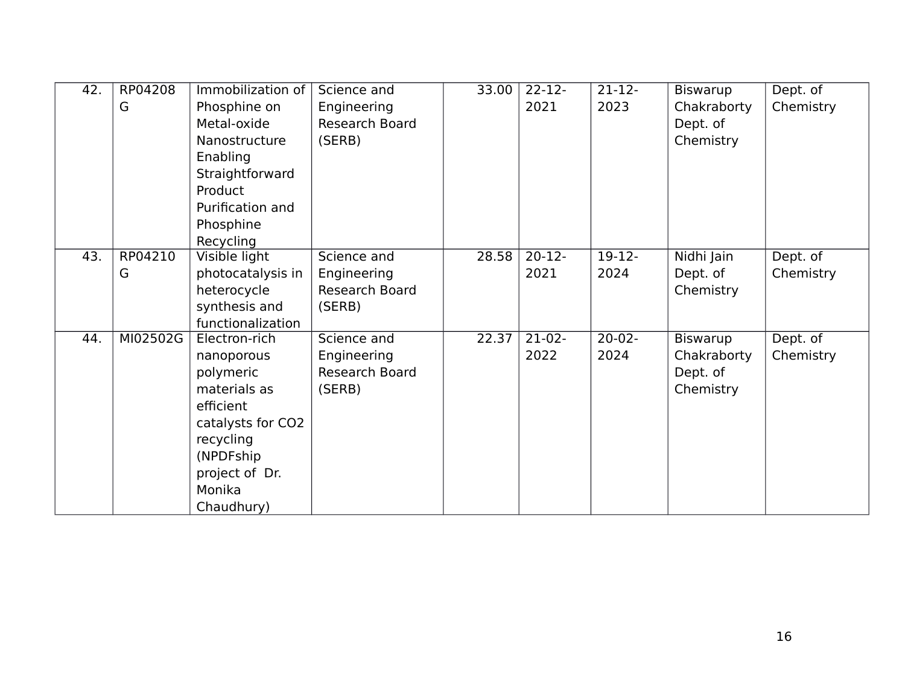| 42. | RP04208  | Immobilization of | Science and    | 33.00 | $22 - 12$ | $21 - 12 -$ | <b>Biswarup</b> | Dept. of  |
|-----|----------|-------------------|----------------|-------|-----------|-------------|-----------------|-----------|
|     | G        | Phosphine on      | Engineering    |       | 2021      | 2023        | Chakraborty     | Chemistry |
|     |          | Metal-oxide       | Research Board |       |           |             | Dept. of        |           |
|     |          | Nanostructure     | (SERB)         |       |           |             | Chemistry       |           |
|     |          | Enabling          |                |       |           |             |                 |           |
|     |          | Straightforward   |                |       |           |             |                 |           |
|     |          | Product           |                |       |           |             |                 |           |
|     |          | Purification and  |                |       |           |             |                 |           |
|     |          | Phosphine         |                |       |           |             |                 |           |
|     |          | Recycling         |                |       |           |             |                 |           |
| 43. | RP04210  | Visible light     | Science and    | 28.58 | $20-12-$  | $19-12-$    | Nidhi Jain      | Dept. of  |
|     | G        | photocatalysis in | Engineering    |       | 2021      | 2024        | Dept. of        | Chemistry |
|     |          | heterocycle       | Research Board |       |           |             | Chemistry       |           |
|     |          | synthesis and     | (SERB)         |       |           |             |                 |           |
|     |          | functionalization |                |       |           |             |                 |           |
| 44. | MI02502G | Electron-rich     | Science and    | 22.37 | $21-02-$  | $20 - 02 -$ | <b>Biswarup</b> | Dept. of  |
|     |          | nanoporous        | Engineering    |       | 2022      | 2024        | Chakraborty     | Chemistry |
|     |          | polymeric         | Research Board |       |           |             | Dept. of        |           |
|     |          | materials as      | (SERB)         |       |           |             | Chemistry       |           |
|     |          | efficient         |                |       |           |             |                 |           |
|     |          | catalysts for CO2 |                |       |           |             |                 |           |
|     |          | recycling         |                |       |           |             |                 |           |
|     |          | (NPDFship         |                |       |           |             |                 |           |
|     |          | project of Dr.    |                |       |           |             |                 |           |
|     |          | Monika            |                |       |           |             |                 |           |
|     |          | Chaudhury)        |                |       |           |             |                 |           |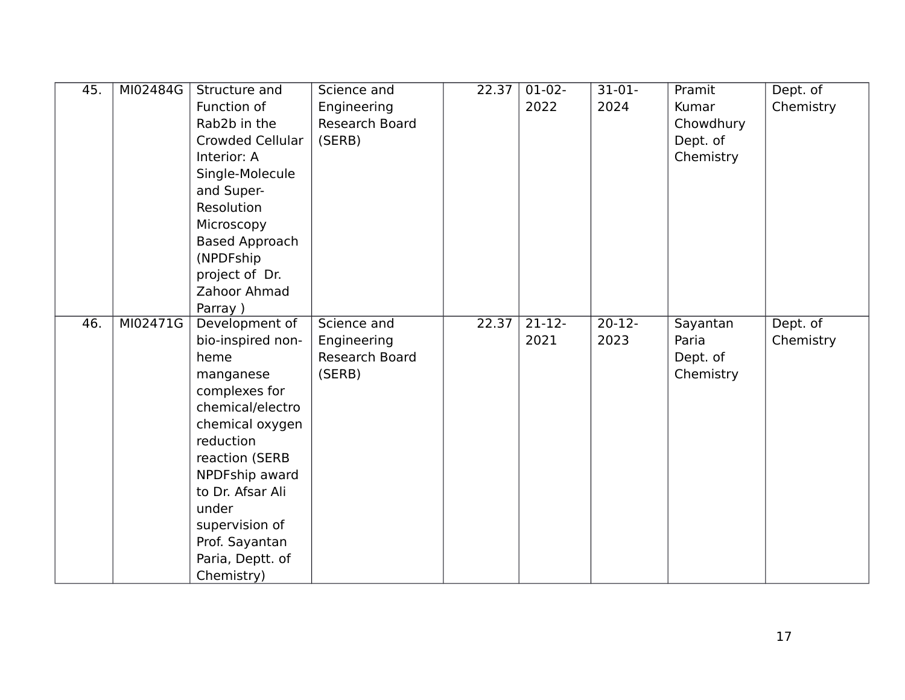| 45. | MI02484G | Structure and<br>Function of<br>Rab2b in the<br><b>Crowded Cellular</b><br>Interior: A<br>Single-Molecule<br>and Super-                                                                                                                                              | Science and<br>Engineering<br>Research Board<br>(SERB) | 22.37 | $01-02-$<br>2022 | $31-01-$<br>2024  | Pramit<br>Kumar<br>Chowdhury<br>Dept. of<br>Chemistry | Dept. of<br>Chemistry |
|-----|----------|----------------------------------------------------------------------------------------------------------------------------------------------------------------------------------------------------------------------------------------------------------------------|--------------------------------------------------------|-------|------------------|-------------------|-------------------------------------------------------|-----------------------|
|     |          | Resolution<br>Microscopy<br><b>Based Approach</b><br>(NPDFship<br>project of Dr.<br>Zahoor Ahmad<br>Parray)                                                                                                                                                          |                                                        |       |                  |                   |                                                       |                       |
| 46. | MI02471G | Development of<br>bio-inspired non-<br>heme<br>manganese<br>complexes for<br>chemical/electro<br>chemical oxygen<br>reduction<br>reaction (SERB<br>NPDFship award<br>to Dr. Afsar Ali<br>under<br>supervision of<br>Prof. Sayantan<br>Paria, Deptt. of<br>Chemistry) | Science and<br>Engineering<br>Research Board<br>(SERB) | 22.37 | $21-12-$<br>2021 | $20 - 12$<br>2023 | Sayantan<br>Paria<br>Dept. of<br>Chemistry            | Dept. of<br>Chemistry |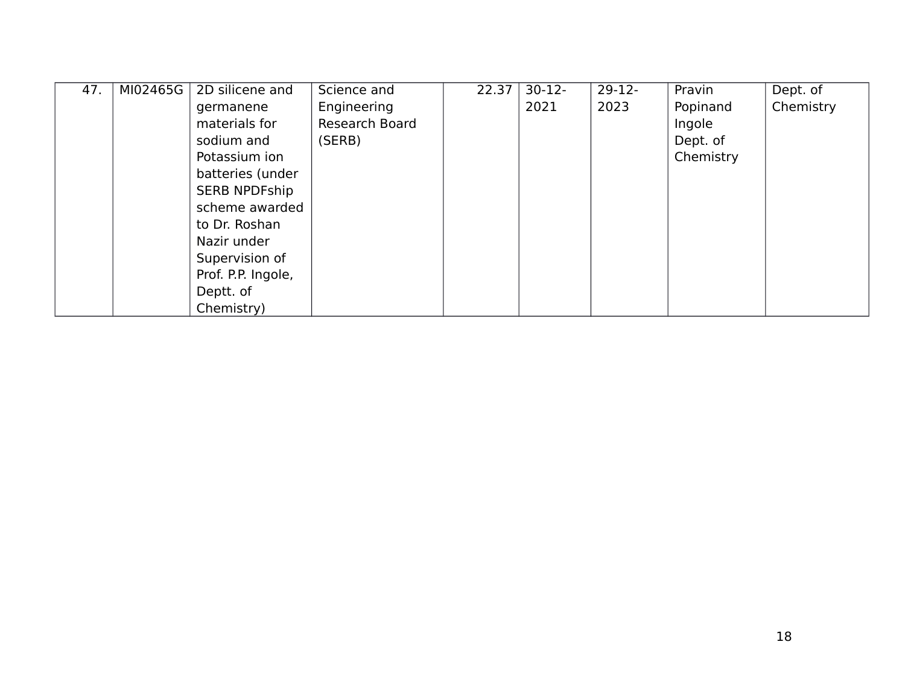| 47. | MI02465G | 2D silicene and      | Science and    | 22.37 | $30-12-$ | $29-12-$ | Pravin    | Dept. of  |
|-----|----------|----------------------|----------------|-------|----------|----------|-----------|-----------|
|     |          | germanene            | Engineering    |       | 2021     | 2023     | Popinand  | Chemistry |
|     |          | materials for        | Research Board |       |          |          | Ingole    |           |
|     |          | sodium and           | (SERB)         |       |          |          | Dept. of  |           |
|     |          | Potassium ion        |                |       |          |          | Chemistry |           |
|     |          | batteries (under     |                |       |          |          |           |           |
|     |          | <b>SERB NPDFship</b> |                |       |          |          |           |           |
|     |          | scheme awarded       |                |       |          |          |           |           |
|     |          | to Dr. Roshan        |                |       |          |          |           |           |
|     |          | Nazir under          |                |       |          |          |           |           |
|     |          | Supervision of       |                |       |          |          |           |           |
|     |          | Prof. P.P. Ingole,   |                |       |          |          |           |           |
|     |          | Deptt. of            |                |       |          |          |           |           |
|     |          | Chemistry)           |                |       |          |          |           |           |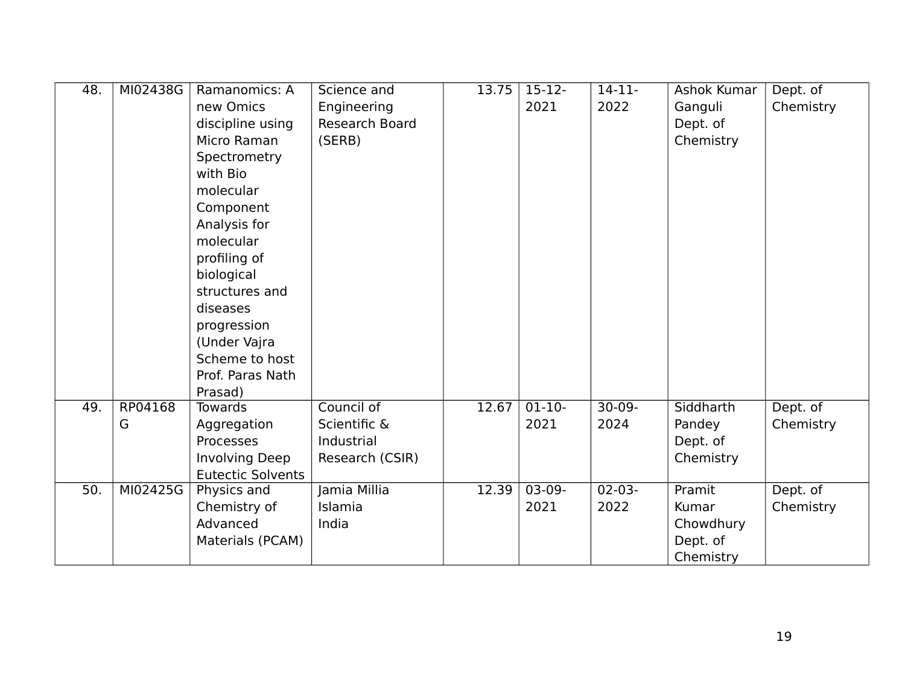| 48. | MI02438G | Ramanomics: A            | Science and     | 13.75 | $\overline{15-12}$ | $14 - 11 -$ | Ashok Kumar | Dept. of  |
|-----|----------|--------------------------|-----------------|-------|--------------------|-------------|-------------|-----------|
|     |          | new Omics                | Engineering     |       | 2021               | 2022        | Ganguli     | Chemistry |
|     |          | discipline using         | Research Board  |       |                    |             | Dept. of    |           |
|     |          | Micro Raman              | (SERB)          |       |                    |             | Chemistry   |           |
|     |          | Spectrometry             |                 |       |                    |             |             |           |
|     |          | with Bio                 |                 |       |                    |             |             |           |
|     |          | molecular                |                 |       |                    |             |             |           |
|     |          | Component                |                 |       |                    |             |             |           |
|     |          | Analysis for             |                 |       |                    |             |             |           |
|     |          | molecular                |                 |       |                    |             |             |           |
|     |          | profiling of             |                 |       |                    |             |             |           |
|     |          | biological               |                 |       |                    |             |             |           |
|     |          | structures and           |                 |       |                    |             |             |           |
|     |          | diseases                 |                 |       |                    |             |             |           |
|     |          | progression              |                 |       |                    |             |             |           |
|     |          | (Under Vajra             |                 |       |                    |             |             |           |
|     |          | Scheme to host           |                 |       |                    |             |             |           |
|     |          | Prof. Paras Nath         |                 |       |                    |             |             |           |
|     |          | Prasad)                  |                 |       |                    |             |             |           |
| 49. | RP04168  | <b>Towards</b>           | Council of      | 12.67 | $01-10-$           | $30-09-$    | Siddharth   | Dept. of  |
|     | G        | Aggregation              | Scientific &    |       | 2021               | 2024        | Pandey      | Chemistry |
|     |          | Processes                | Industrial      |       |                    |             | Dept. of    |           |
|     |          | <b>Involving Deep</b>    | Research (CSIR) |       |                    |             | Chemistry   |           |
|     |          | <b>Eutectic Solvents</b> |                 |       |                    |             |             |           |
| 50. | MI02425G | Physics and              | Jamia Millia    | 12.39 | 03-09-             | $02 - 03 -$ | Pramit      | Dept. of  |
|     |          | Chemistry of             | Islamia         |       | 2021               | 2022        | Kumar       | Chemistry |
|     |          | Advanced                 | India           |       |                    |             | Chowdhury   |           |
|     |          | Materials (PCAM)         |                 |       |                    |             | Dept. of    |           |
|     |          |                          |                 |       |                    |             | Chemistry   |           |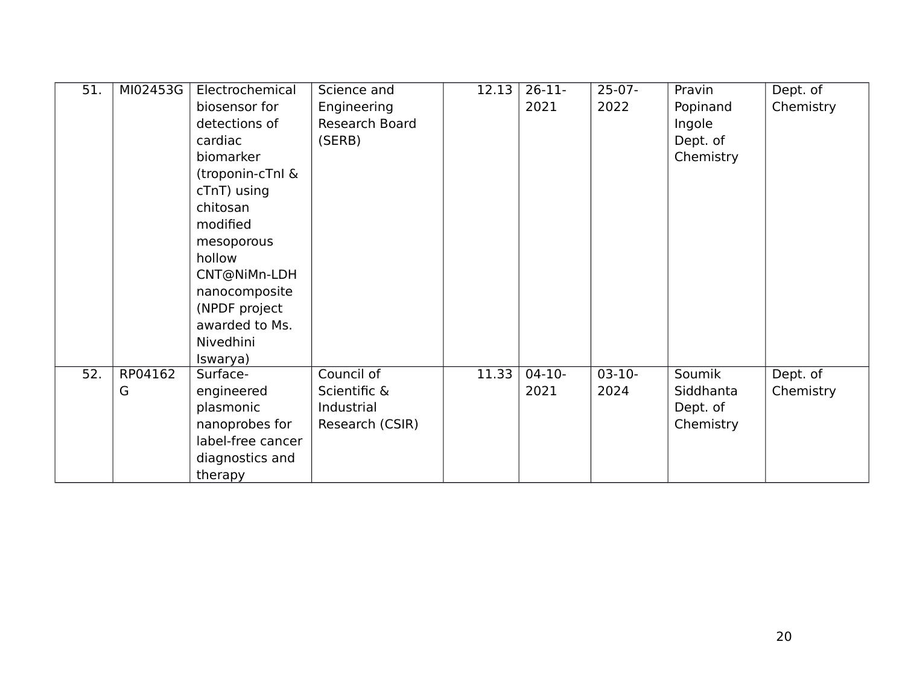| 51. | MI02453G | Electrochemical   | Science and     | 12.13 | $26-11-$ | $25-07-$ | Pravin    | Dept. of  |
|-----|----------|-------------------|-----------------|-------|----------|----------|-----------|-----------|
|     |          | biosensor for     | Engineering     |       | 2021     | 2022     | Popinand  | Chemistry |
|     |          | detections of     | Research Board  |       |          |          | Ingole    |           |
|     |          | cardiac           | (SERB)          |       |          |          | Dept. of  |           |
|     |          | biomarker         |                 |       |          |          | Chemistry |           |
|     |          | (troponin-cTnl &  |                 |       |          |          |           |           |
|     |          | cTnT) using       |                 |       |          |          |           |           |
|     |          | chitosan          |                 |       |          |          |           |           |
|     |          | modified          |                 |       |          |          |           |           |
|     |          | mesoporous        |                 |       |          |          |           |           |
|     |          | hollow            |                 |       |          |          |           |           |
|     |          | CNT@NiMn-LDH      |                 |       |          |          |           |           |
|     |          | nanocomposite     |                 |       |          |          |           |           |
|     |          | (NPDF project     |                 |       |          |          |           |           |
|     |          | awarded to Ms.    |                 |       |          |          |           |           |
|     |          | Nivedhini         |                 |       |          |          |           |           |
|     |          | Iswarya)          |                 |       |          |          |           |           |
| 52. | RP04162  | Surface-          | Council of      | 11.33 | $04-10-$ | $03-10-$ | Soumik    | Dept. of  |
|     | G        | engineered        | Scientific &    |       | 2021     | 2024     | Siddhanta | Chemistry |
|     |          | plasmonic         | Industrial      |       |          |          | Dept. of  |           |
|     |          | nanoprobes for    | Research (CSIR) |       |          |          | Chemistry |           |
|     |          | label-free cancer |                 |       |          |          |           |           |
|     |          | diagnostics and   |                 |       |          |          |           |           |
|     |          | therapy           |                 |       |          |          |           |           |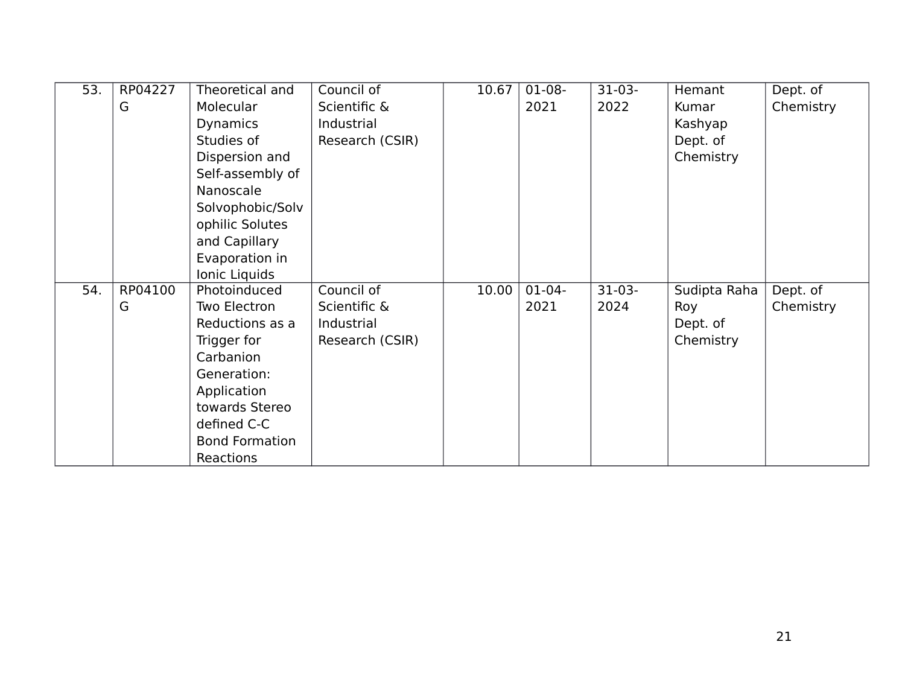| 53. | RP04227 | Theoretical and       | Council of      | 10.67 | $01-08-$ | $31-03-$ | Hemant       | Dept. of  |
|-----|---------|-----------------------|-----------------|-------|----------|----------|--------------|-----------|
|     | G       | Molecular             | Scientific &    |       | 2021     | 2022     | Kumar        | Chemistry |
|     |         | <b>Dynamics</b>       | Industrial      |       |          |          | Kashyap      |           |
|     |         | Studies of            | Research (CSIR) |       |          |          | Dept. of     |           |
|     |         | Dispersion and        |                 |       |          |          | Chemistry    |           |
|     |         | Self-assembly of      |                 |       |          |          |              |           |
|     |         | Nanoscale             |                 |       |          |          |              |           |
|     |         | Solvophobic/Solv      |                 |       |          |          |              |           |
|     |         | ophilic Solutes       |                 |       |          |          |              |           |
|     |         | and Capillary         |                 |       |          |          |              |           |
|     |         | Evaporation in        |                 |       |          |          |              |           |
|     |         | Ionic Liquids         |                 |       |          |          |              |           |
| 54. | RP04100 | Photoinduced          | Council of      | 10.00 | $01-04-$ | $31-03-$ | Sudipta Raha | Dept. of  |
|     | G       | Two Electron          | Scientific &    |       | 2021     | 2024     | Roy          | Chemistry |
|     |         | Reductions as a       | Industrial      |       |          |          | Dept. of     |           |
|     |         | Trigger for           | Research (CSIR) |       |          |          | Chemistry    |           |
|     |         | Carbanion             |                 |       |          |          |              |           |
|     |         | Generation:           |                 |       |          |          |              |           |
|     |         | Application           |                 |       |          |          |              |           |
|     |         | towards Stereo        |                 |       |          |          |              |           |
|     |         | defined C-C           |                 |       |          |          |              |           |
|     |         | <b>Bond Formation</b> |                 |       |          |          |              |           |
|     |         | Reactions             |                 |       |          |          |              |           |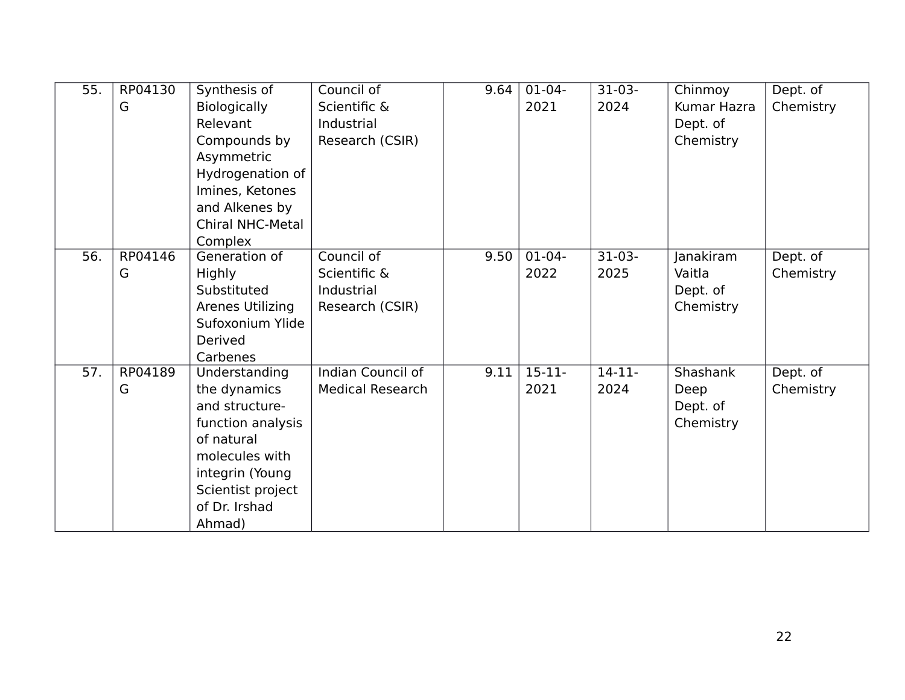| 55. | RP04130 | Synthesis of            | Council of               | 9.64 | $01-04-$  | $31-03-$ | Chinmoy     | Dept. of  |
|-----|---------|-------------------------|--------------------------|------|-----------|----------|-------------|-----------|
|     | G       | <b>Biologically</b>     | Scientific &             |      | 2021      | 2024     | Kumar Hazra | Chemistry |
|     |         | Relevant                | Industrial               |      |           |          | Dept. of    |           |
|     |         | Compounds by            | Research (CSIR)          |      |           |          | Chemistry   |           |
|     |         | Asymmetric              |                          |      |           |          |             |           |
|     |         | Hydrogenation of        |                          |      |           |          |             |           |
|     |         | Imines, Ketones         |                          |      |           |          |             |           |
|     |         | and Alkenes by          |                          |      |           |          |             |           |
|     |         | <b>Chiral NHC-Metal</b> |                          |      |           |          |             |           |
|     |         | Complex                 |                          |      |           |          |             |           |
| 56. | RP04146 | Generation of           | Council of               | 9.50 | $01-04-$  | $31-03-$ | Janakiram   | Dept. of  |
|     | G       | Highly                  | Scientific &             |      | 2022      | 2025     | Vaitla      | Chemistry |
|     |         | Substituted             | Industrial               |      |           |          | Dept. of    |           |
|     |         | Arenes Utilizing        | Research (CSIR)          |      |           |          | Chemistry   |           |
|     |         | Sufoxonium Ylide        |                          |      |           |          |             |           |
|     |         | Derived                 |                          |      |           |          |             |           |
|     |         | Carbenes                |                          |      |           |          |             |           |
| 57. | RP04189 | Understanding           | <b>Indian Council of</b> | 9.11 | $15 - 11$ | $14-11-$ | Shashank    | Dept. of  |
|     | G       | the dynamics            | <b>Medical Research</b>  |      | 2021      | 2024     | Deep        | Chemistry |
|     |         | and structure-          |                          |      |           |          | Dept. of    |           |
|     |         | function analysis       |                          |      |           |          | Chemistry   |           |
|     |         | of natural              |                          |      |           |          |             |           |
|     |         | molecules with          |                          |      |           |          |             |           |
|     |         | integrin (Young         |                          |      |           |          |             |           |
|     |         | Scientist project       |                          |      |           |          |             |           |
|     |         | of Dr. Irshad           |                          |      |           |          |             |           |
|     |         | Ahmad)                  |                          |      |           |          |             |           |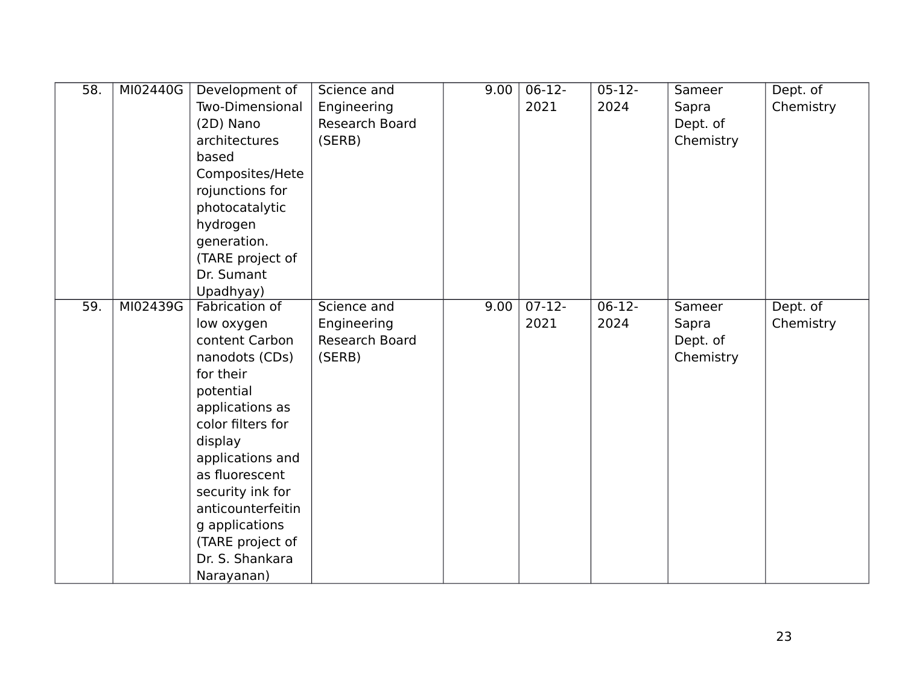| $\overline{58}$ . | MI02440G | Development of    | Science and    | 9.00 | $06-12-$ | $05 - 12 -$ | Sameer    | Dept. of  |
|-------------------|----------|-------------------|----------------|------|----------|-------------|-----------|-----------|
|                   |          | Two-Dimensional   | Engineering    |      | 2021     | 2024        | Sapra     | Chemistry |
|                   |          | (2D) Nano         | Research Board |      |          |             | Dept. of  |           |
|                   |          | architectures     | (SERB)         |      |          |             | Chemistry |           |
|                   |          | based             |                |      |          |             |           |           |
|                   |          | Composites/Hete   |                |      |          |             |           |           |
|                   |          | rojunctions for   |                |      |          |             |           |           |
|                   |          | photocatalytic    |                |      |          |             |           |           |
|                   |          | hydrogen          |                |      |          |             |           |           |
|                   |          | generation.       |                |      |          |             |           |           |
|                   |          | (TARE project of  |                |      |          |             |           |           |
|                   |          | Dr. Sumant        |                |      |          |             |           |           |
|                   |          | Upadhyay)         |                |      |          |             |           |           |
| $\overline{59}$ . | MI02439G | Fabrication of    | Science and    | 9.00 | $07-12-$ | $06-12-$    | Sameer    | Dept. of  |
|                   |          | low oxygen        | Engineering    |      | 2021     | 2024        | Sapra     | Chemistry |
|                   |          | content Carbon    | Research Board |      |          |             | Dept. of  |           |
|                   |          | nanodots (CDs)    | (SERB)         |      |          |             | Chemistry |           |
|                   |          | for their         |                |      |          |             |           |           |
|                   |          | potential         |                |      |          |             |           |           |
|                   |          | applications as   |                |      |          |             |           |           |
|                   |          | color filters for |                |      |          |             |           |           |
|                   |          | display           |                |      |          |             |           |           |
|                   |          | applications and  |                |      |          |             |           |           |
|                   |          | as fluorescent    |                |      |          |             |           |           |
|                   |          | security ink for  |                |      |          |             |           |           |
|                   |          | anticounterfeitin |                |      |          |             |           |           |
|                   |          | g applications    |                |      |          |             |           |           |
|                   |          | (TARE project of  |                |      |          |             |           |           |
|                   |          | Dr. S. Shankara   |                |      |          |             |           |           |
|                   |          | Narayanan)        |                |      |          |             |           |           |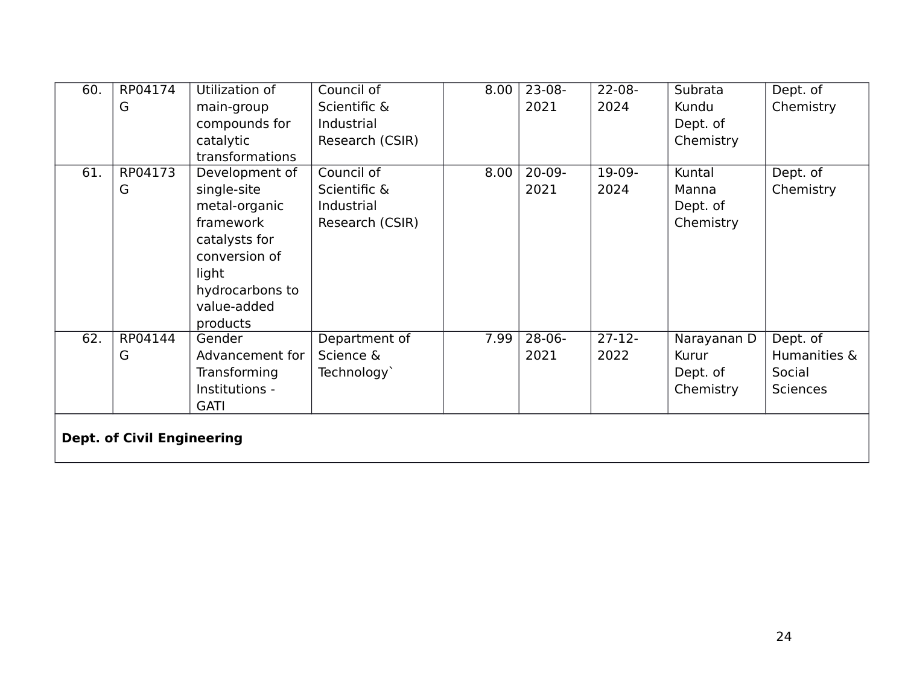| 60. | RP04174                           | Utilization of  | Council of      | 8.00 | $23-08-$    | $22 - 08 -$ | Subrata     | Dept. of        |
|-----|-----------------------------------|-----------------|-----------------|------|-------------|-------------|-------------|-----------------|
|     | G                                 | main-group      | Scientific &    |      | 2021        | 2024        | Kundu       | Chemistry       |
|     |                                   | compounds for   | Industrial      |      |             |             | Dept. of    |                 |
|     |                                   | catalytic       | Research (CSIR) |      |             |             | Chemistry   |                 |
|     |                                   | transformations |                 |      |             |             |             |                 |
| 61. | RP04173                           | Development of  | Council of      | 8.00 | $20-09-$    | 19-09-      | Kuntal      | Dept. of        |
|     | G                                 | single-site     | Scientific &    |      | 2021        | 2024        | Manna       | Chemistry       |
|     |                                   | metal-organic   | Industrial      |      |             |             | Dept. of    |                 |
|     |                                   | framework       | Research (CSIR) |      |             |             | Chemistry   |                 |
|     |                                   | catalysts for   |                 |      |             |             |             |                 |
|     |                                   | conversion of   |                 |      |             |             |             |                 |
|     |                                   | light           |                 |      |             |             |             |                 |
|     |                                   | hydrocarbons to |                 |      |             |             |             |                 |
|     |                                   | value-added     |                 |      |             |             |             |                 |
|     |                                   | products        |                 |      |             |             |             |                 |
| 62. | RP04144                           | Gender          | Department of   | 7.99 | $28 - 06 -$ | $27 - 12 -$ | Narayanan D | Dept. of        |
|     | G                                 | Advancement for | Science &       |      | 2021        | 2022        | Kurur       | Humanities &    |
|     |                                   | Transforming    | Technology`     |      |             |             | Dept. of    | Social          |
|     |                                   | Institutions -  |                 |      |             |             | Chemistry   | <b>Sciences</b> |
|     |                                   | <b>GATI</b>     |                 |      |             |             |             |                 |
|     |                                   |                 |                 |      |             |             |             |                 |
|     | <b>Dept. of Civil Engineering</b> |                 |                 |      |             |             |             |                 |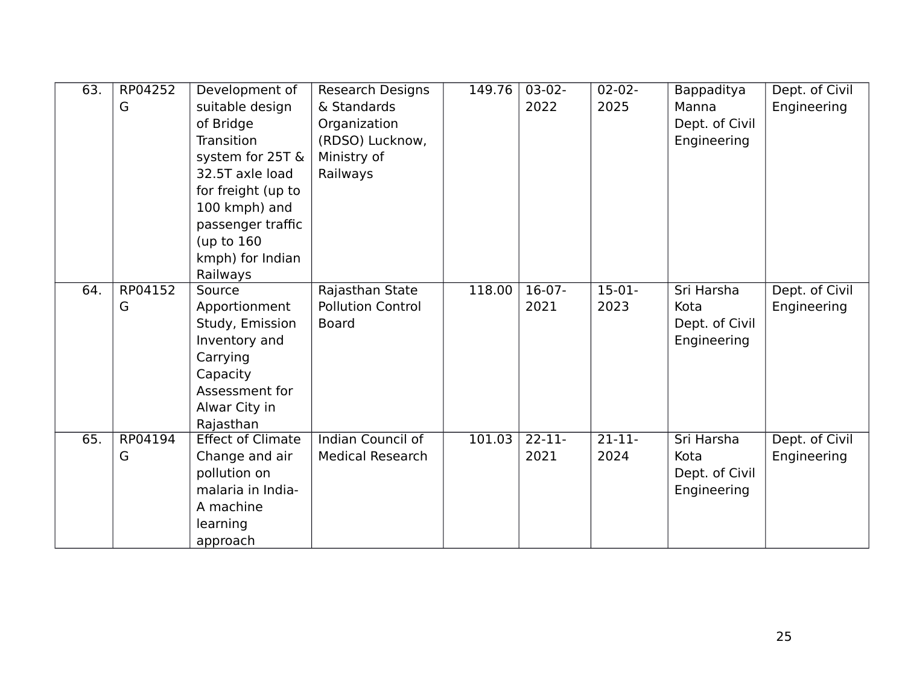| 63. | RP04252 | Development of           | <b>Research Designs</b>  | 149.76 | $03-02-$           | $02 - 02 -$ | Bappaditya     | Dept. of Civil |
|-----|---------|--------------------------|--------------------------|--------|--------------------|-------------|----------------|----------------|
|     | G       | suitable design          | & Standards              |        | 2022               | 2025        | Manna          | Engineering    |
|     |         | of Bridge                | Organization             |        |                    |             | Dept. of Civil |                |
|     |         | Transition               | (RDSO) Lucknow,          |        |                    |             | Engineering    |                |
|     |         | system for 25T &         | Ministry of              |        |                    |             |                |                |
|     |         | 32.5T axle load          | Railways                 |        |                    |             |                |                |
|     |         | for freight (up to       |                          |        |                    |             |                |                |
|     |         | 100 kmph) and            |                          |        |                    |             |                |                |
|     |         | passenger traffic        |                          |        |                    |             |                |                |
|     |         | (up to $160$             |                          |        |                    |             |                |                |
|     |         | kmph) for Indian         |                          |        |                    |             |                |                |
|     |         | Railways                 |                          |        |                    |             |                |                |
| 64. | RP04152 | Source                   | Rajasthan State          | 118.00 | $16-07-$           | $15-01-$    | Sri Harsha     | Dept. of Civil |
|     | G       | Apportionment            | <b>Pollution Control</b> |        | 2021               | 2023        | Kota           | Engineering    |
|     |         | Study, Emission          | <b>Board</b>             |        |                    |             | Dept. of Civil |                |
|     |         | Inventory and            |                          |        |                    |             | Engineering    |                |
|     |         | Carrying                 |                          |        |                    |             |                |                |
|     |         | Capacity                 |                          |        |                    |             |                |                |
|     |         | Assessment for           |                          |        |                    |             |                |                |
|     |         | Alwar City in            |                          |        |                    |             |                |                |
|     |         | Rajasthan                |                          |        |                    |             |                |                |
| 65. | RP04194 | <b>Effect of Climate</b> | <b>Indian Council of</b> | 101.03 | $\overline{22-11}$ | $21-11-$    | Sri Harsha     | Dept. of Civil |
|     | G       | Change and air           | <b>Medical Research</b>  |        | 2021               | 2024        | Kota           | Engineering    |
|     |         | pollution on             |                          |        |                    |             | Dept. of Civil |                |
|     |         | malaria in India-        |                          |        |                    |             | Engineering    |                |
|     |         | A machine                |                          |        |                    |             |                |                |
|     |         | learning                 |                          |        |                    |             |                |                |
|     |         | approach                 |                          |        |                    |             |                |                |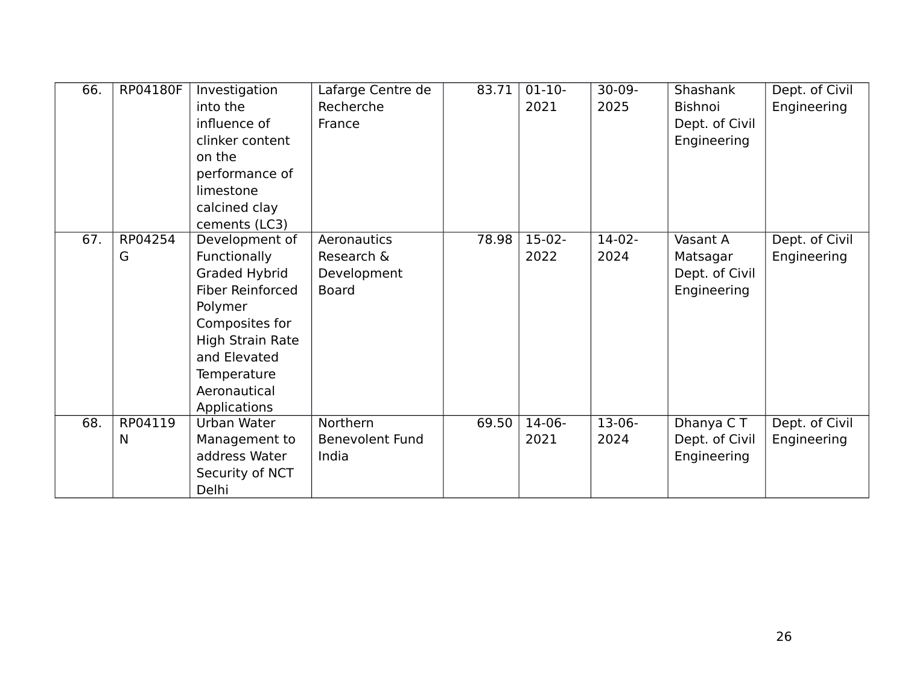| 66. | RP04180F | Investigation           | Lafarge Centre de      | 83.71 | $01-10-$ | $30-09-$ | Shashank       | Dept. of Civil |
|-----|----------|-------------------------|------------------------|-------|----------|----------|----------------|----------------|
|     |          | into the                | Recherche              |       | 2021     | 2025     | Bishnoi        | Engineering    |
|     |          | influence of            | France                 |       |          |          | Dept. of Civil |                |
|     |          | clinker content         |                        |       |          |          | Engineering    |                |
|     |          | on the                  |                        |       |          |          |                |                |
|     |          | performance of          |                        |       |          |          |                |                |
|     |          | limestone               |                        |       |          |          |                |                |
|     |          | calcined clay           |                        |       |          |          |                |                |
|     |          | cements (LC3)           |                        |       |          |          |                |                |
| 67. | RP04254  | Development of          | Aeronautics            | 78.98 | $15-02-$ | $14-02-$ | Vasant A       | Dept. of Civil |
|     | G        | Functionally            | Research &             |       | 2022     | 2024     | Matsagar       | Engineering    |
|     |          | <b>Graded Hybrid</b>    | Development            |       |          |          | Dept. of Civil |                |
|     |          | <b>Fiber Reinforced</b> | <b>Board</b>           |       |          |          | Engineering    |                |
|     |          | Polymer                 |                        |       |          |          |                |                |
|     |          | Composites for          |                        |       |          |          |                |                |
|     |          | High Strain Rate        |                        |       |          |          |                |                |
|     |          | and Elevated            |                        |       |          |          |                |                |
|     |          | Temperature             |                        |       |          |          |                |                |
|     |          | Aeronautical            |                        |       |          |          |                |                |
|     |          | Applications            |                        |       |          |          |                |                |
| 68. | RP04119  | Urban Water             | Northern               | 69.50 | $14-06-$ | $13-06-$ | Dhanya CT      | Dept. of Civil |
|     | N        | Management to           | <b>Benevolent Fund</b> |       | 2021     | 2024     | Dept. of Civil | Engineering    |
|     |          | address Water           | India                  |       |          |          | Engineering    |                |
|     |          | Security of NCT         |                        |       |          |          |                |                |
|     |          | Delhi                   |                        |       |          |          |                |                |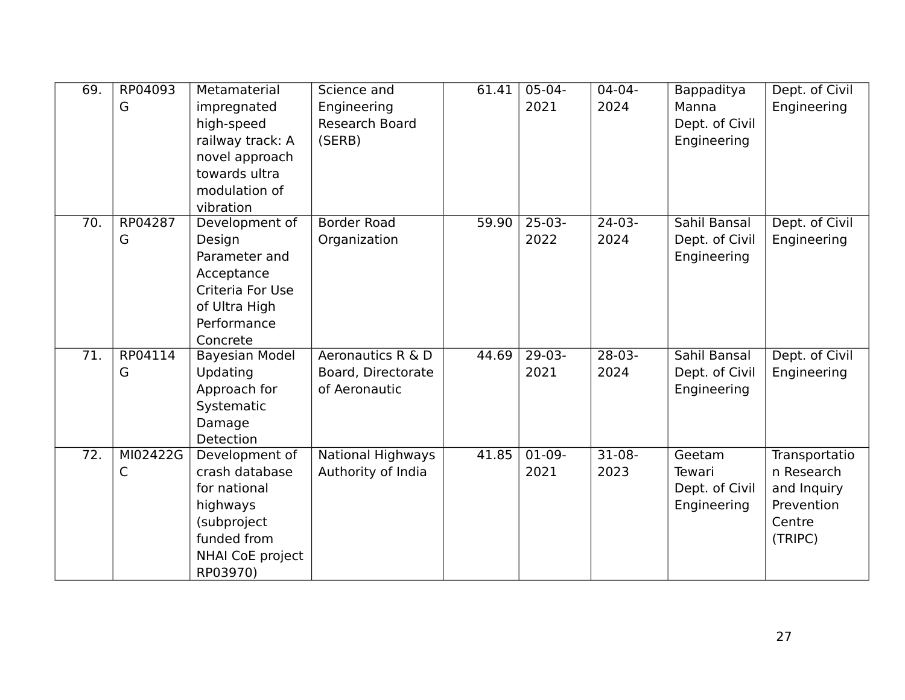| 69. | RP04093  | Metamaterial          | Science and              | 61.41 | $05-04-$ | $04 - 04 -$ | Bappaditya     | Dept. of Civil |
|-----|----------|-----------------------|--------------------------|-------|----------|-------------|----------------|----------------|
|     | G        | impregnated           | Engineering              |       | 2021     | 2024        | Manna          | Engineering    |
|     |          | high-speed            | <b>Research Board</b>    |       |          |             | Dept. of Civil |                |
|     |          | railway track: A      | (SERB)                   |       |          |             | Engineering    |                |
|     |          | novel approach        |                          |       |          |             |                |                |
|     |          | towards ultra         |                          |       |          |             |                |                |
|     |          | modulation of         |                          |       |          |             |                |                |
|     |          | vibration             |                          |       |          |             |                |                |
| 70. | RP04287  | Development of        | <b>Border Road</b>       | 59.90 | $25-03-$ | $24-03-$    | Sahil Bansal   | Dept. of Civil |
|     | G        | Design                | Organization             |       | 2022     | 2024        | Dept. of Civil | Engineering    |
|     |          | Parameter and         |                          |       |          |             | Engineering    |                |
|     |          | Acceptance            |                          |       |          |             |                |                |
|     |          | Criteria For Use      |                          |       |          |             |                |                |
|     |          | of Ultra High         |                          |       |          |             |                |                |
|     |          | Performance           |                          |       |          |             |                |                |
|     |          | Concrete              |                          |       |          |             |                |                |
| 71. | RP04114  | <b>Bayesian Model</b> | Aeronautics R & D        | 44.69 | $29-03-$ | $28-03-$    | Sahil Bansal   | Dept. of Civil |
|     | G        | Updating              | Board, Directorate       |       | 2021     | 2024        | Dept. of Civil | Engineering    |
|     |          | Approach for          | of Aeronautic            |       |          |             | Engineering    |                |
|     |          | Systematic            |                          |       |          |             |                |                |
|     |          | Damage                |                          |       |          |             |                |                |
|     |          | Detection             |                          |       |          |             |                |                |
| 72. | MI02422G | Development of        | <b>National Highways</b> | 41.85 | $01-09-$ | $31-08-$    | Geetam         | Transportatio  |
|     | C        | crash database        | Authority of India       |       | 2021     | 2023        | Tewari         | n Research     |
|     |          | for national          |                          |       |          |             | Dept. of Civil | and Inquiry    |
|     |          | highways              |                          |       |          |             | Engineering    | Prevention     |
|     |          | (subproject           |                          |       |          |             |                | Centre         |
|     |          | funded from           |                          |       |          |             |                | (TRIPC)        |
|     |          | NHAI CoE project      |                          |       |          |             |                |                |
|     |          | RP03970)              |                          |       |          |             |                |                |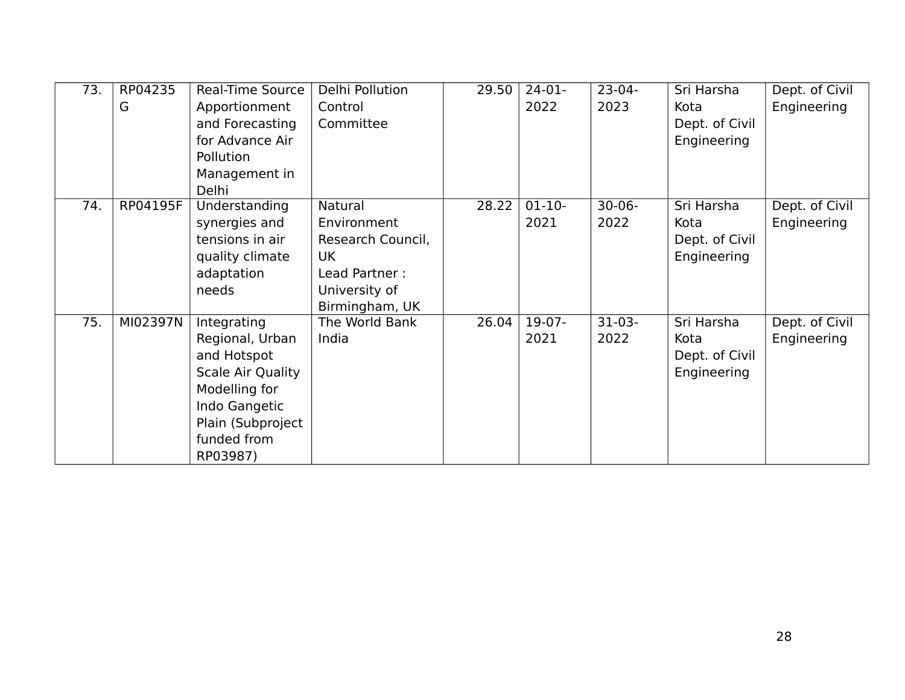| $\overline{73.}$ | RP04235  | Real-Time Source         | Delhi Pollution   | 29.50 | $24-01-$    | $23-04-$    | Sri Harsha     | Dept. of Civil |
|------------------|----------|--------------------------|-------------------|-------|-------------|-------------|----------------|----------------|
|                  | G        | Apportionment            | Control           |       | 2022        | 2023        | Kota           | Engineering    |
|                  |          | and Forecasting          | Committee         |       |             |             | Dept. of Civil |                |
|                  |          | for Advance Air          |                   |       |             |             | Engineering    |                |
|                  |          | Pollution                |                   |       |             |             |                |                |
|                  |          | Management in            |                   |       |             |             |                |                |
|                  |          | Delhi                    |                   |       |             |             |                |                |
| 74.              | RP04195F | Understanding            | Natural           | 28.22 | $01 - 10 -$ | $30 - 06 -$ | Sri Harsha     | Dept. of Civil |
|                  |          | synergies and            | Environment       |       | 2021        | 2022        | Kota           | Engineering    |
|                  |          | tensions in air          | Research Council, |       |             |             | Dept. of Civil |                |
|                  |          | quality climate          | UK                |       |             |             | Engineering    |                |
|                  |          | adaptation               | Lead Partner:     |       |             |             |                |                |
|                  |          | needs                    | University of     |       |             |             |                |                |
|                  |          |                          | Birmingham, UK    |       |             |             |                |                |
| 75.              | MI02397N | Integrating              | The World Bank    | 26.04 | $19-07-$    | $31-03-$    | Sri Harsha     | Dept. of Civil |
|                  |          | Regional, Urban          | India             |       | 2021        | 2022        | Kota           | Engineering    |
|                  |          | and Hotspot              |                   |       |             |             | Dept. of Civil |                |
|                  |          | <b>Scale Air Quality</b> |                   |       |             |             | Engineering    |                |
|                  |          | Modelling for            |                   |       |             |             |                |                |
|                  |          | Indo Gangetic            |                   |       |             |             |                |                |
|                  |          | Plain (Subproject        |                   |       |             |             |                |                |
|                  |          | funded from              |                   |       |             |             |                |                |
|                  |          | RP03987)                 |                   |       |             |             |                |                |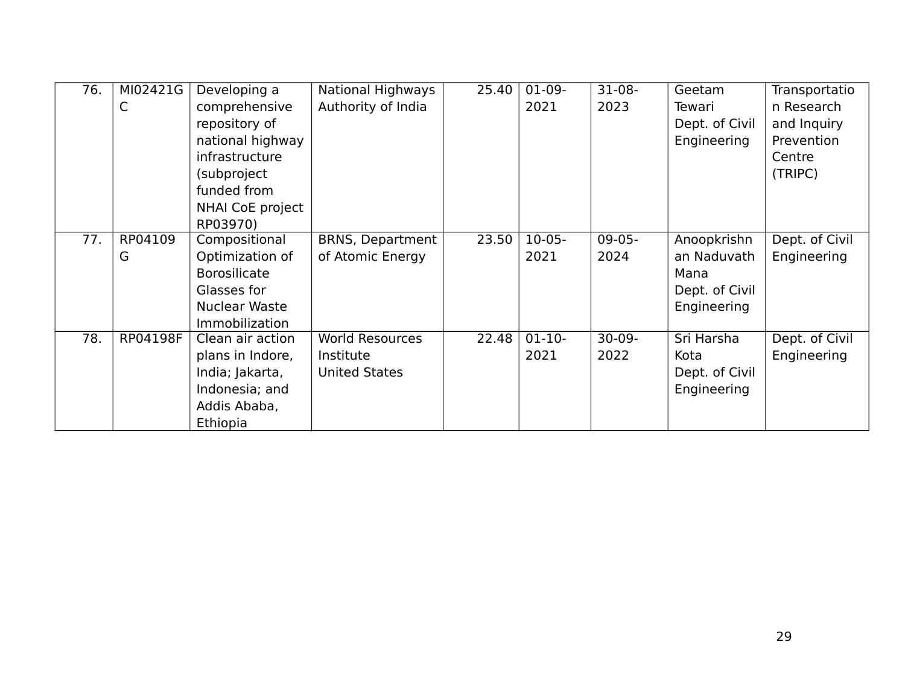| 76. | MI02421G | Developing a          | National Highways       | 25.40 | $01-09-$ | $31-08-$ | Geetam         | Transportatio  |
|-----|----------|-----------------------|-------------------------|-------|----------|----------|----------------|----------------|
|     | С        | comprehensive         | Authority of India      |       | 2021     | 2023     | Tewari         | n Research     |
|     |          | repository of         |                         |       |          |          | Dept. of Civil | and Inquiry    |
|     |          | national highway      |                         |       |          |          | Engineering    | Prevention     |
|     |          | infrastructure        |                         |       |          |          |                | Centre         |
|     |          | (subproject           |                         |       |          |          |                | (TRIPC)        |
|     |          | funded from           |                         |       |          |          |                |                |
|     |          | NHAI CoE project      |                         |       |          |          |                |                |
|     |          | RP03970)              |                         |       |          |          |                |                |
| 77. | RP04109  | Compositional         | <b>BRNS, Department</b> | 23.50 | $10-05-$ | $09-05-$ | Anoopkrishn    | Dept. of Civil |
|     | G        | Optimization of       | of Atomic Energy        |       | 2021     | 2024     | an Naduvath    | Engineering    |
|     |          | <b>Borosilicate</b>   |                         |       |          |          | Mana           |                |
|     |          | Glasses for           |                         |       |          |          | Dept. of Civil |                |
|     |          | <b>Nuclear Waste</b>  |                         |       |          |          | Engineering    |                |
|     |          | <b>Immobilization</b> |                         |       |          |          |                |                |
| 78. | RP04198F | Clean air action      | <b>World Resources</b>  | 22.48 | $01-10-$ | $30-09-$ | Sri Harsha     | Dept. of Civil |
|     |          | plans in Indore,      | Institute               |       | 2021     | 2022     | Kota           | Engineering    |
|     |          | India; Jakarta,       | <b>United States</b>    |       |          |          | Dept. of Civil |                |
|     |          | Indonesia; and        |                         |       |          |          | Engineering    |                |
|     |          | Addis Ababa,          |                         |       |          |          |                |                |
|     |          | Ethiopia              |                         |       |          |          |                |                |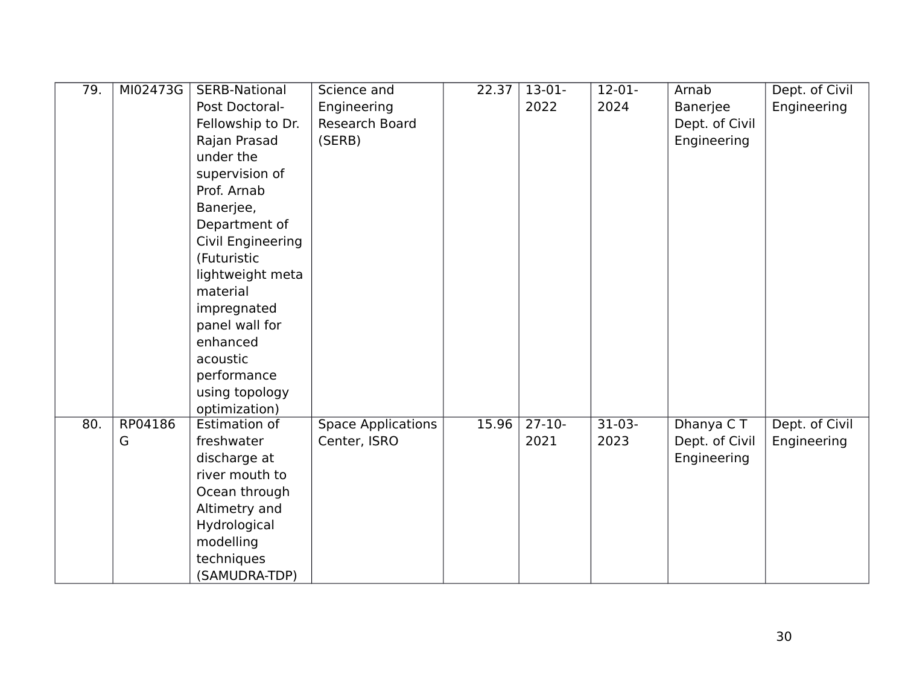| 79. | MI02473G | SERB-National                 | Science and               | 22.37 | $13-01-$ | $12-01-$ | Arnab          | Dept. of Civil |
|-----|----------|-------------------------------|---------------------------|-------|----------|----------|----------------|----------------|
|     |          | Post Doctoral-                | Engineering               |       | 2022     | 2024     | Banerjee       | Engineering    |
|     |          | Fellowship to Dr.             | Research Board            |       |          |          | Dept. of Civil |                |
|     |          | Rajan Prasad                  | (SERB)                    |       |          |          | Engineering    |                |
|     |          | under the                     |                           |       |          |          |                |                |
|     |          |                               |                           |       |          |          |                |                |
|     |          | supervision of<br>Prof. Arnab |                           |       |          |          |                |                |
|     |          |                               |                           |       |          |          |                |                |
|     |          | Banerjee,                     |                           |       |          |          |                |                |
|     |          | Department of                 |                           |       |          |          |                |                |
|     |          | Civil Engineering             |                           |       |          |          |                |                |
|     |          | (Futuristic                   |                           |       |          |          |                |                |
|     |          | lightweight meta              |                           |       |          |          |                |                |
|     |          | material                      |                           |       |          |          |                |                |
|     |          | impregnated                   |                           |       |          |          |                |                |
|     |          | panel wall for                |                           |       |          |          |                |                |
|     |          | enhanced                      |                           |       |          |          |                |                |
|     |          | acoustic                      |                           |       |          |          |                |                |
|     |          | performance                   |                           |       |          |          |                |                |
|     |          | using topology                |                           |       |          |          |                |                |
|     |          | optimization)                 |                           |       |          |          |                |                |
| 80. | RP04186  | Estimation of                 | <b>Space Applications</b> | 15.96 | $27-10-$ | $31-03-$ | Dhanya CT      | Dept. of Civil |
|     | G        | freshwater                    | Center, ISRO              |       | 2021     | 2023     | Dept. of Civil | Engineering    |
|     |          | discharge at                  |                           |       |          |          | Engineering    |                |
|     |          | river mouth to                |                           |       |          |          |                |                |
|     |          | Ocean through                 |                           |       |          |          |                |                |
|     |          | Altimetry and                 |                           |       |          |          |                |                |
|     |          | Hydrological                  |                           |       |          |          |                |                |
|     |          | modelling                     |                           |       |          |          |                |                |
|     |          | techniques                    |                           |       |          |          |                |                |
|     |          | (SAMUDRA-TDP)                 |                           |       |          |          |                |                |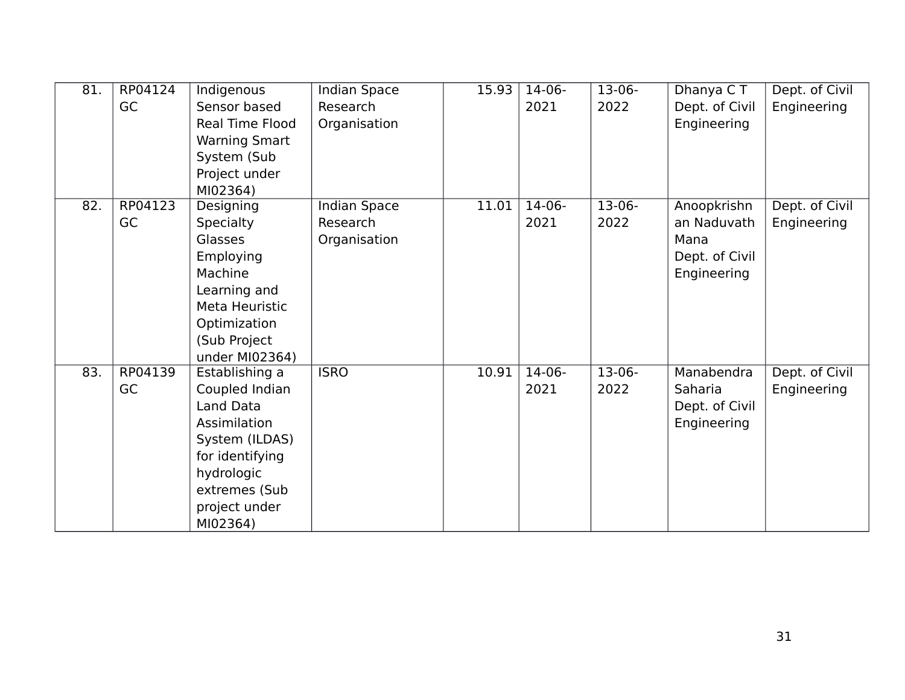| 81. | RP04124<br>GC | Indigenous<br>Sensor based<br>Real Time Flood<br><b>Warning Smart</b><br>System (Sub<br>Project under<br>MI02364)                                              | <b>Indian Space</b><br>Research<br>Organisation | 15.93 | $14-06-$<br>2021 | $13-06-$<br>2022 | Dhanya CT<br>Dept. of Civil<br>Engineering                          | Dept. of Civil<br>Engineering |
|-----|---------------|----------------------------------------------------------------------------------------------------------------------------------------------------------------|-------------------------------------------------|-------|------------------|------------------|---------------------------------------------------------------------|-------------------------------|
| 82. | RP04123<br>GC | Designing<br><b>Specialty</b><br><b>Glasses</b><br>Employing<br>Machine<br>Learning and<br>Meta Heuristic<br>Optimization<br>(Sub Project<br>under MI02364)    | Indian Space<br>Research<br>Organisation        | 11.01 | $14-06-$<br>2021 | $13-06-$<br>2022 | Anoopkrishn<br>an Naduvath<br>Mana<br>Dept. of Civil<br>Engineering | Dept. of Civil<br>Engineering |
| 83. | RP04139<br>GC | Establishing a<br>Coupled Indian<br>Land Data<br>Assimilation<br>System (ILDAS)<br>for identifying<br>hydrologic<br>extremes (Sub<br>project under<br>MI02364) | <b>ISRO</b>                                     | 10.91 | $14-06-$<br>2021 | $13-06-$<br>2022 | Manabendra<br>Saharia<br>Dept. of Civil<br>Engineering              | Dept. of Civil<br>Engineering |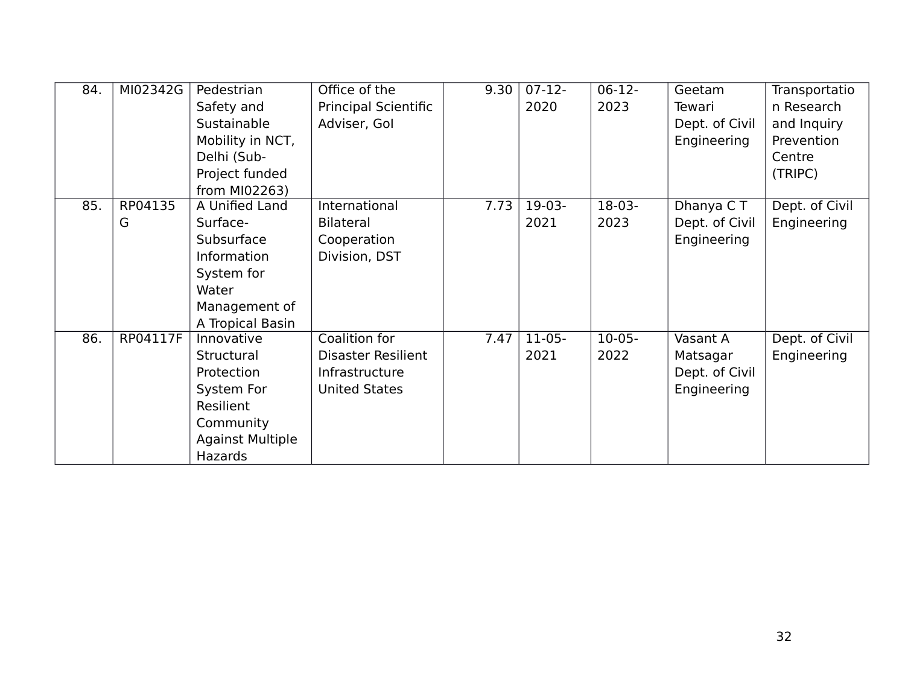| 84. | MI02342G | Pedestrian              | Office of the               | 9.30 | $\overline{07-12}$ | $06-12-$ | Geetam         | Transportatio  |
|-----|----------|-------------------------|-----------------------------|------|--------------------|----------|----------------|----------------|
|     |          | Safety and              | <b>Principal Scientific</b> |      | 2020               | 2023     | Tewari         | n Research     |
|     |          | Sustainable             | Adviser, Gol                |      |                    |          | Dept. of Civil | and Inquiry    |
|     |          | Mobility in NCT,        |                             |      |                    |          | Engineering    | Prevention     |
|     |          | Delhi (Sub-             |                             |      |                    |          |                | Centre         |
|     |          | Project funded          |                             |      |                    |          |                | (TRIPC)        |
|     |          | from MI02263)           |                             |      |                    |          |                |                |
| 85. | RP04135  | A Unified Land          | International               | 7.73 | $19-03-$           | $18-03-$ | Dhanya CT      | Dept. of Civil |
|     | G        | Surface-                | <b>Bilateral</b>            |      | 2021               | 2023     | Dept. of Civil | Engineering    |
|     |          | Subsurface              | Cooperation                 |      |                    |          | Engineering    |                |
|     |          | Information             | Division, DST               |      |                    |          |                |                |
|     |          | System for              |                             |      |                    |          |                |                |
|     |          | Water                   |                             |      |                    |          |                |                |
|     |          | Management of           |                             |      |                    |          |                |                |
|     |          | A Tropical Basin        |                             |      |                    |          |                |                |
| 86. | RP04117F | Innovative              | Coalition for               | 7.47 | $11-05-$           | $10-05-$ | Vasant A       | Dept. of Civil |
|     |          | Structural              | <b>Disaster Resilient</b>   |      | 2021               | 2022     | Matsagar       | Engineering    |
|     |          | Protection              | Infrastructure              |      |                    |          | Dept. of Civil |                |
|     |          | System For              | <b>United States</b>        |      |                    |          | Engineering    |                |
|     |          | Resilient               |                             |      |                    |          |                |                |
|     |          | Community               |                             |      |                    |          |                |                |
|     |          | <b>Against Multiple</b> |                             |      |                    |          |                |                |
|     |          | <b>Hazards</b>          |                             |      |                    |          |                |                |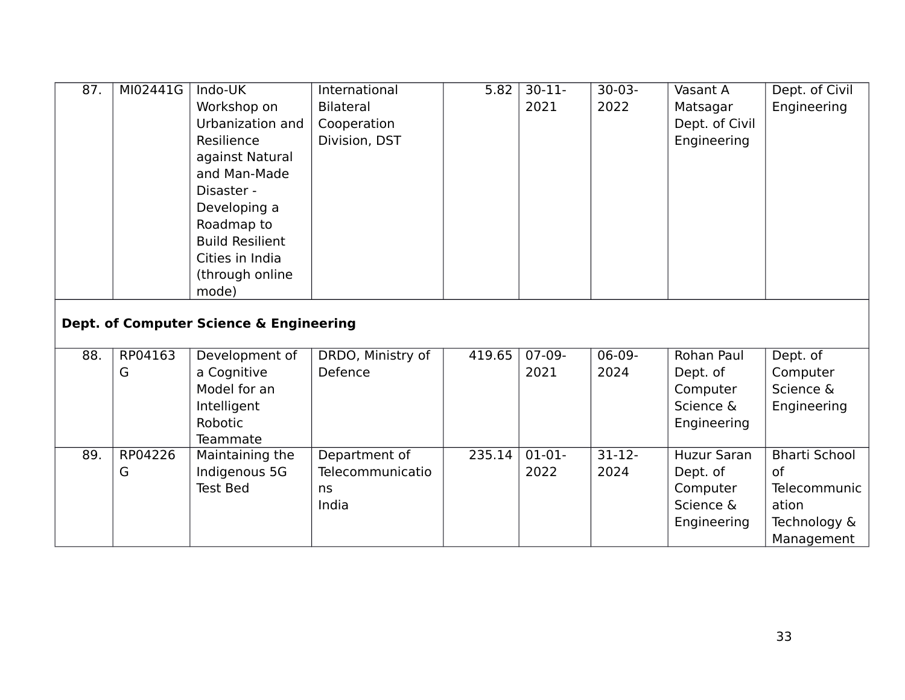| 87. | MI02441G     | Indo-UK<br>Workshop on<br>Urbanization and<br>Resilience<br>against Natural<br>and Man-Made<br>Disaster -<br>Developing a<br>Roadmap to<br><b>Build Resilient</b><br>Cities in India<br>(through online<br>mode) | International<br><b>Bilateral</b><br>Cooperation<br>Division, DST | 5.82   | $30 - 11$<br>2021 | $30-03-$<br>2022  | Vasant A<br>Matsagar<br>Dept. of Civil<br>Engineering                  | Dept. of Civil<br>Engineering                                                            |
|-----|--------------|------------------------------------------------------------------------------------------------------------------------------------------------------------------------------------------------------------------|-------------------------------------------------------------------|--------|-------------------|-------------------|------------------------------------------------------------------------|------------------------------------------------------------------------------------------|
|     |              | Dept. of Computer Science & Engineering                                                                                                                                                                          |                                                                   |        |                   |                   |                                                                        |                                                                                          |
| 88. | RP04163<br>G | Development of<br>a Cognitive<br>Model for an<br>Intelligent<br>Robotic<br>Teammate                                                                                                                              | DRDO, Ministry of<br>Defence                                      | 419.65 | $07-09-$<br>2021  | $06-09-$<br>2024  | Rohan Paul<br>Dept. of<br>Computer<br>Science &<br>Engineering         | Dept. of<br>Computer<br>Science &<br>Engineering                                         |
| 89. | RP04226<br>G | Maintaining the<br>Indigenous 5G<br><b>Test Bed</b>                                                                                                                                                              | Department of<br>Telecommunicatio<br>ns<br>India                  | 235.14 | $01-01-$<br>2022  | $31 - 12$<br>2024 | <b>Huzur Saran</b><br>Dept. of<br>Computer<br>Science &<br>Engineering | <b>Bharti School</b><br><b>of</b><br>Telecommunic<br>ation<br>Technology &<br>Management |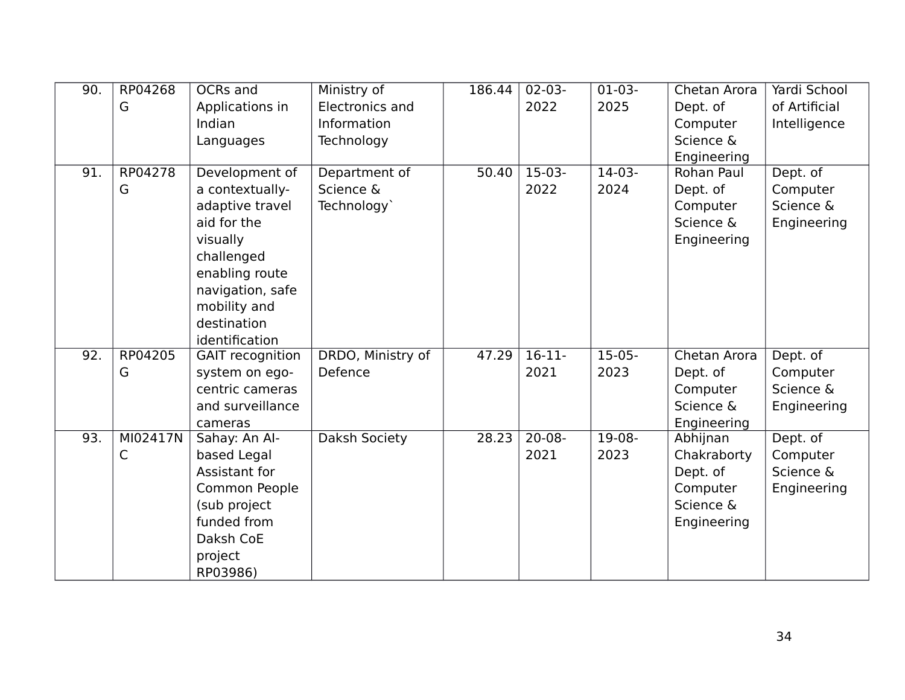| 90.               | RP04268  | OCRs and                | Ministry of            | 186.44 | $02 - 03 -$ | $01-03-$ | Chetan Arora | Yardi School  |
|-------------------|----------|-------------------------|------------------------|--------|-------------|----------|--------------|---------------|
|                   | G        | Applications in         | <b>Electronics and</b> |        | 2022        | 2025     | Dept. of     | of Artificial |
|                   |          | Indian                  | Information            |        |             |          | Computer     | Intelligence  |
|                   |          | Languages               | Technology             |        |             |          | Science &    |               |
|                   |          |                         |                        |        |             |          | Engineering  |               |
| 91.               | RP04278  | Development of          | Department of          | 50.40  | $15-03-$    | $14-03-$ | Rohan Paul   | Dept. of      |
|                   | G        | a contextually-         | Science &              |        | 2022        | 2024     | Dept. of     | Computer      |
|                   |          | adaptive travel         | Technology`            |        |             |          | Computer     | Science &     |
|                   |          | aid for the             |                        |        |             |          | Science &    | Engineering   |
|                   |          | visually                |                        |        |             |          | Engineering  |               |
|                   |          | challenged              |                        |        |             |          |              |               |
|                   |          | enabling route          |                        |        |             |          |              |               |
|                   |          | navigation, safe        |                        |        |             |          |              |               |
|                   |          | mobility and            |                        |        |             |          |              |               |
|                   |          | destination             |                        |        |             |          |              |               |
|                   |          | identification          |                        |        |             |          |              |               |
| $\overline{92}$ . | RP04205  | <b>GAIT</b> recognition | DRDO, Ministry of      | 47.29  | $16-11-$    | $15-05-$ | Chetan Arora | Dept. of      |
|                   | G        | system on ego-          | Defence                |        | 2021        | 2023     | Dept. of     | Computer      |
|                   |          | centric cameras         |                        |        |             |          | Computer     | Science &     |
|                   |          | and surveillance        |                        |        |             |          | Science &    | Engineering   |
|                   |          | cameras                 |                        |        |             |          | Engineering  |               |
| 93.               | MI02417N | Sahay: An Al-           | Daksh Society          | 28.23  | $20 - 08 -$ | $19-08-$ | Abhijnan     | Dept. of      |
|                   | C        | based Legal             |                        |        | 2021        | 2023     | Chakraborty  | Computer      |
|                   |          | Assistant for           |                        |        |             |          | Dept. of     | Science &     |
|                   |          | Common People           |                        |        |             |          | Computer     | Engineering   |
|                   |          | (sub project            |                        |        |             |          | Science &    |               |
|                   |          | funded from             |                        |        |             |          | Engineering  |               |
|                   |          | Daksh CoE               |                        |        |             |          |              |               |
|                   |          | project                 |                        |        |             |          |              |               |
|                   |          | RP03986)                |                        |        |             |          |              |               |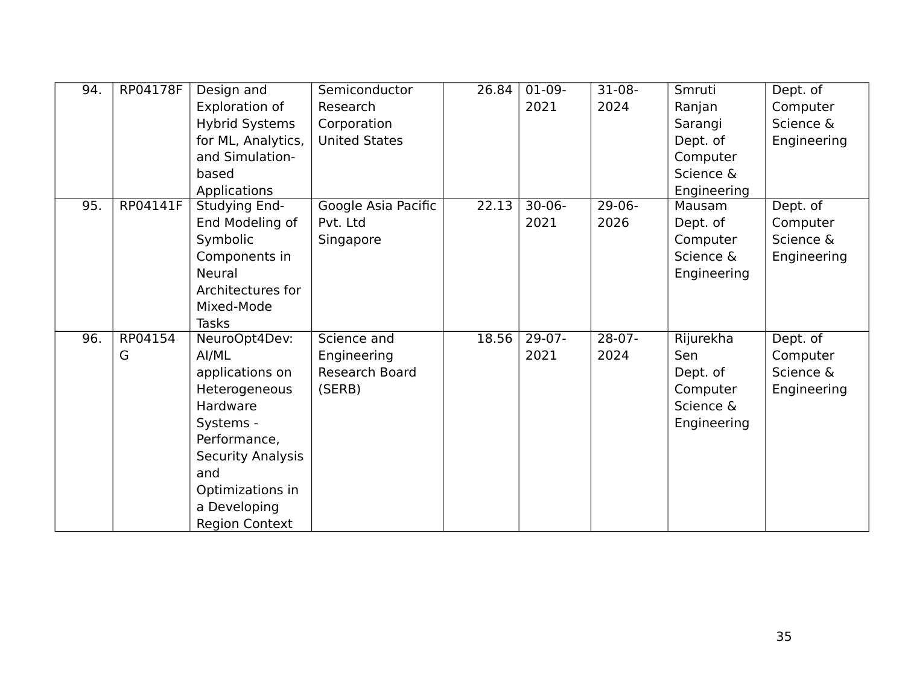| 94. | RP04178F | Design and               | Semiconductor         | 26.84 | $01-09-$    | $31-08-$ | Smruti      | Dept. of    |
|-----|----------|--------------------------|-----------------------|-------|-------------|----------|-------------|-------------|
|     |          | Exploration of           | Research              |       | 2021        | 2024     | Ranjan      | Computer    |
|     |          | <b>Hybrid Systems</b>    | Corporation           |       |             |          | Sarangi     | Science &   |
|     |          | for ML, Analytics,       | <b>United States</b>  |       |             |          | Dept. of    | Engineering |
|     |          | and Simulation-          |                       |       |             |          | Computer    |             |
|     |          | based                    |                       |       |             |          | Science &   |             |
|     |          | Applications             |                       |       |             |          | Engineering |             |
| 95. | RP04141F | Studying End-            | Google Asia Pacific   | 22.13 | $30 - 06 -$ | $29-06-$ | Mausam      | Dept. of    |
|     |          | End Modeling of          | Pvt. Ltd              |       | 2021        | 2026     | Dept. of    | Computer    |
|     |          | Symbolic                 | Singapore             |       |             |          | Computer    | Science &   |
|     |          | Components in            |                       |       |             |          | Science &   | Engineering |
|     |          | <b>Neural</b>            |                       |       |             |          | Engineering |             |
|     |          | Architectures for        |                       |       |             |          |             |             |
|     |          | Mixed-Mode               |                       |       |             |          |             |             |
|     |          | <b>Tasks</b>             |                       |       |             |          |             |             |
| 96. | RP04154  | NeuroOpt4Dev:            | Science and           | 18.56 | $29-07-$    | $28-07-$ | Rijurekha   | Dept. of    |
|     | G        | AI/ML                    | Engineering           |       | 2021        | 2024     | Sen         | Computer    |
|     |          | applications on          | <b>Research Board</b> |       |             |          | Dept. of    | Science &   |
|     |          | Heterogeneous            | (SERB)                |       |             |          | Computer    | Engineering |
|     |          | Hardware                 |                       |       |             |          | Science &   |             |
|     |          | Systems -                |                       |       |             |          | Engineering |             |
|     |          | Performance,             |                       |       |             |          |             |             |
|     |          | <b>Security Analysis</b> |                       |       |             |          |             |             |
|     |          | and                      |                       |       |             |          |             |             |
|     |          | Optimizations in         |                       |       |             |          |             |             |
|     |          | a Developing             |                       |       |             |          |             |             |
|     |          | <b>Region Context</b>    |                       |       |             |          |             |             |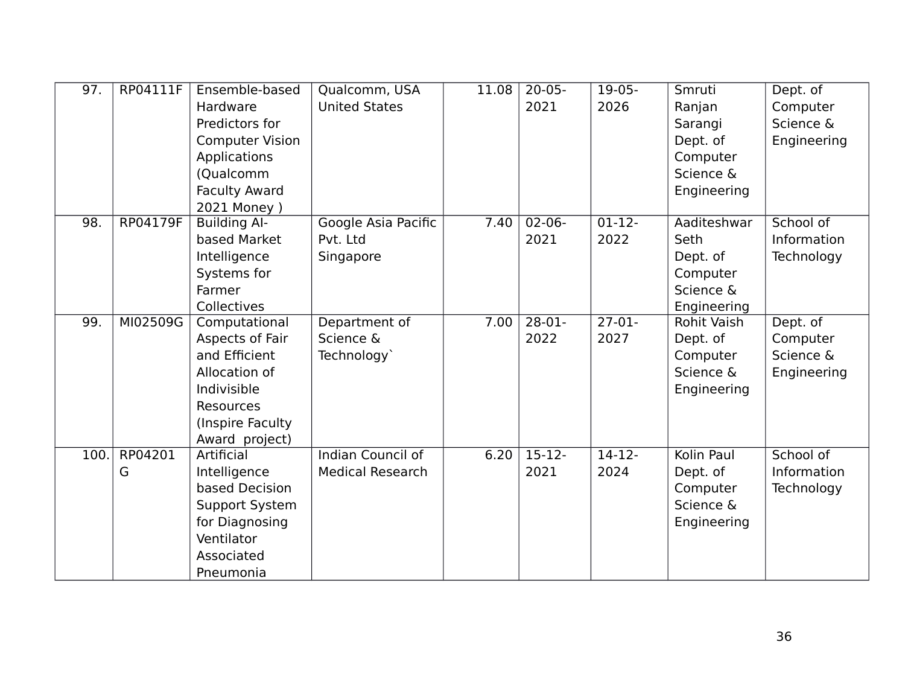| 97.               | RP04111F        | Ensemble-based         | Qualcomm, USA            | 11.08 | $20 - 05 -$ | $19-05-$ | Smruti             | Dept. of    |
|-------------------|-----------------|------------------------|--------------------------|-------|-------------|----------|--------------------|-------------|
|                   |                 | Hardware               | <b>United States</b>     |       | 2021        | 2026     | Ranjan             | Computer    |
|                   |                 | Predictors for         |                          |       |             |          | Sarangi            | Science &   |
|                   |                 | <b>Computer Vision</b> |                          |       |             |          | Dept. of           | Engineering |
|                   |                 | Applications           |                          |       |             |          | Computer           |             |
|                   |                 | (Qualcomm              |                          |       |             |          | Science &          |             |
|                   |                 | <b>Faculty Award</b>   |                          |       |             |          | Engineering        |             |
|                   |                 | 2021 Money )           |                          |       |             |          |                    |             |
| $\overline{98}$ . | <b>RP04179F</b> | <b>Building Al-</b>    | Google Asia Pacific      | 7.40  | $02 - 06 -$ | $01-12-$ | Aaditeshwar        | School of   |
|                   |                 | based Market           | Pvt. Ltd                 |       | 2021        | 2022     | Seth               | Information |
|                   |                 | Intelligence           | Singapore                |       |             |          | Dept. of           | Technology  |
|                   |                 | Systems for            |                          |       |             |          | Computer           |             |
|                   |                 | Farmer                 |                          |       |             |          | Science &          |             |
|                   |                 | Collectives            |                          |       |             |          | Engineering        |             |
| 99.               | MI02509G        | Computational          | Department of            | 7.00  | $28-01-$    | $27-01-$ | <b>Rohit Vaish</b> | Dept. of    |
|                   |                 | Aspects of Fair        | Science &                |       | 2022        | 2027     | Dept. of           | Computer    |
|                   |                 | and Efficient          | Technology`              |       |             |          | Computer           | Science &   |
|                   |                 | Allocation of          |                          |       |             |          | Science &          | Engineering |
|                   |                 | Indivisible            |                          |       |             |          | Engineering        |             |
|                   |                 | Resources              |                          |       |             |          |                    |             |
|                   |                 | (Inspire Faculty       |                          |       |             |          |                    |             |
|                   |                 | Award project)         |                          |       |             |          |                    |             |
| 100.              | RP04201         | Artificial             | <b>Indian Council of</b> | 6.20  | $15-12-$    | $14-12-$ | Kolin Paul         | School of   |
|                   | G               | Intelligence           | <b>Medical Research</b>  |       | 2021        | 2024     | Dept. of           | Information |
|                   |                 | based Decision         |                          |       |             |          | Computer           | Technology  |
|                   |                 | Support System         |                          |       |             |          | Science &          |             |
|                   |                 | for Diagnosing         |                          |       |             |          | Engineering        |             |
|                   |                 | Ventilator             |                          |       |             |          |                    |             |
|                   |                 | Associated             |                          |       |             |          |                    |             |
|                   |                 | Pneumonia              |                          |       |             |          |                    |             |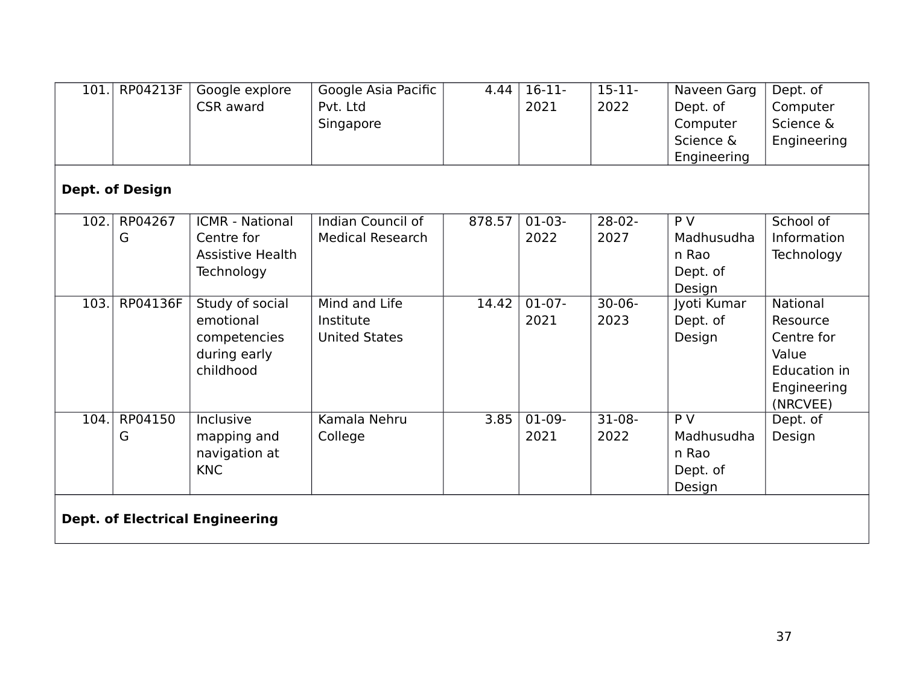| 101.                                   | RP04213F               | Google explore<br>CSR award                                                   | Google Asia Pacific<br>Pvt. Ltd<br>Singapore       | 4.44   | $16-11-$<br>2021 | $15 - 11 -$<br>2022 | Naveen Garg<br>Dept. of<br>Computer<br>Science &<br>Engineering | Dept. of<br>Computer<br>Science &<br>Engineering                                       |  |  |
|----------------------------------------|------------------------|-------------------------------------------------------------------------------|----------------------------------------------------|--------|------------------|---------------------|-----------------------------------------------------------------|----------------------------------------------------------------------------------------|--|--|
|                                        | <b>Dept. of Design</b> |                                                                               |                                                    |        |                  |                     |                                                                 |                                                                                        |  |  |
| 102.                                   | RP04267<br>G           | <b>ICMR - National</b><br>Centre for<br><b>Assistive Health</b><br>Technology | Indian Council of<br><b>Medical Research</b>       | 878.57 | $01-03-$<br>2022 | $28-02-$<br>2027    | $\overline{P}V$<br>Madhusudha<br>n Rao<br>Dept. of<br>Design    | School of<br>Information<br>Technology                                                 |  |  |
| 103.                                   | RP04136F               | Study of social<br>emotional<br>competencies<br>during early<br>childhood     | Mind and Life<br>Institute<br><b>United States</b> | 14.42  | $01-07-$<br>2021 | $30 - 06 -$<br>2023 | Jyoti Kumar<br>Dept. of<br>Design                               | National<br>Resource<br>Centre for<br>Value<br>Education in<br>Engineering<br>(NRCVEE) |  |  |
| 104.                                   | RP04150<br>G           | Inclusive<br>mapping and<br>navigation at<br><b>KNC</b>                       | Kamala Nehru<br>College                            | 3.85   | $01-09-$<br>2021 | $31-08-$<br>2022    | $\overline{P}V$<br>Madhusudha<br>n Rao<br>Dept. of<br>Design    | Dept. of<br>Design                                                                     |  |  |
| <b>Dept. of Electrical Engineering</b> |                        |                                                                               |                                                    |        |                  |                     |                                                                 |                                                                                        |  |  |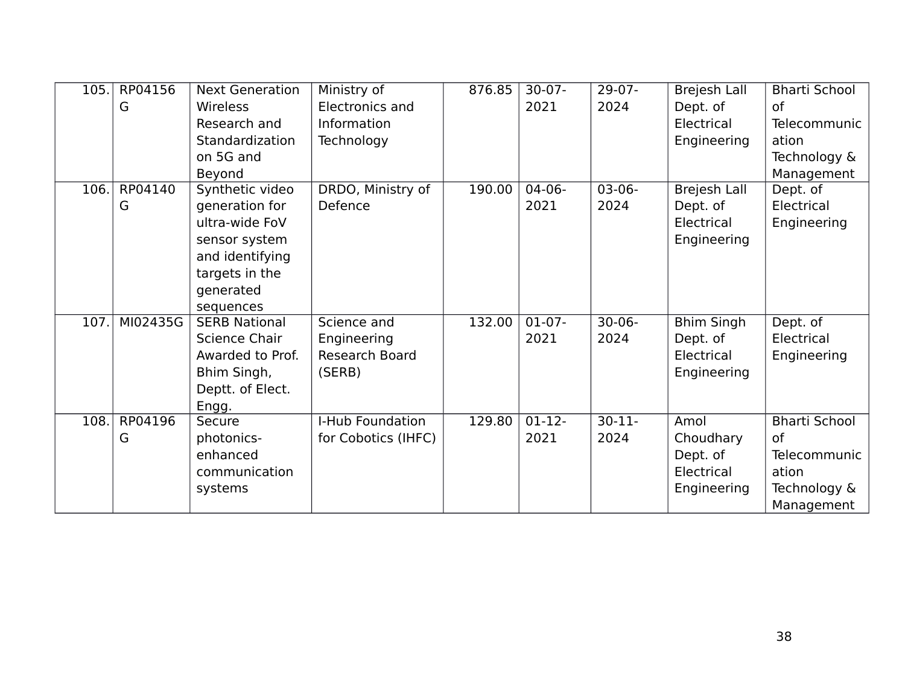| 105. | RP04156  | <b>Next Generation</b> | Ministry of            | 876.85 | $30-07 -$ | $29-07-$    | <b>Brejesh Lall</b> | <b>Bharti School</b> |
|------|----------|------------------------|------------------------|--------|-----------|-------------|---------------------|----------------------|
|      | G        | Wireless               | <b>Electronics and</b> |        | 2021      | 2024        | Dept. of            | <b>of</b>            |
|      |          | Research and           | Information            |        |           |             | Electrical          | <b>Telecommunic</b>  |
|      |          | Standardization        | Technology             |        |           |             | Engineering         | ation                |
|      |          | on 5G and              |                        |        |           |             |                     | Technology &         |
|      |          | Beyond                 |                        |        |           |             |                     | Management           |
| 106. | RP04140  | Synthetic video        | DRDO, Ministry of      | 190.00 | $04-06-$  | $03-06-$    | <b>Brejesh Lall</b> | Dept. of             |
|      | G        | generation for         | Defence                |        | 2021      | 2024        | Dept. of            | Electrical           |
|      |          | ultra-wide FoV         |                        |        |           |             | Electrical          | Engineering          |
|      |          | sensor system          |                        |        |           |             | Engineering         |                      |
|      |          | and identifying        |                        |        |           |             |                     |                      |
|      |          | targets in the         |                        |        |           |             |                     |                      |
|      |          | generated              |                        |        |           |             |                     |                      |
|      |          | sequences              |                        |        |           |             |                     |                      |
| 107. | MI02435G | <b>SERB National</b>   | Science and            | 132.00 | $01-07-$  | $30 - 06 -$ | <b>Bhim Singh</b>   | Dept. of             |
|      |          | Science Chair          | Engineering            |        | 2021      | 2024        | Dept. of            | Electrical           |
|      |          | Awarded to Prof.       | Research Board         |        |           |             | Electrical          | Engineering          |
|      |          | Bhim Singh,            | (SERB)                 |        |           |             | Engineering         |                      |
|      |          | Deptt. of Elect.       |                        |        |           |             |                     |                      |
|      |          | Engg.                  |                        |        |           |             |                     |                      |
| 108. | RP04196  | Secure                 | I-Hub Foundation       | 129.80 | $01-12-$  | $30 - 11$   | Amol                | <b>Bharti School</b> |
|      | G        | photonics-             | for Cobotics (IHFC)    |        | 2021      | 2024        | Choudhary           | <b>of</b>            |
|      |          | enhanced               |                        |        |           |             | Dept. of            | <b>Telecommunic</b>  |
|      |          | communication          |                        |        |           |             | Electrical          | ation                |
|      |          | systems                |                        |        |           |             | Engineering         | Technology &         |
|      |          |                        |                        |        |           |             |                     | Management           |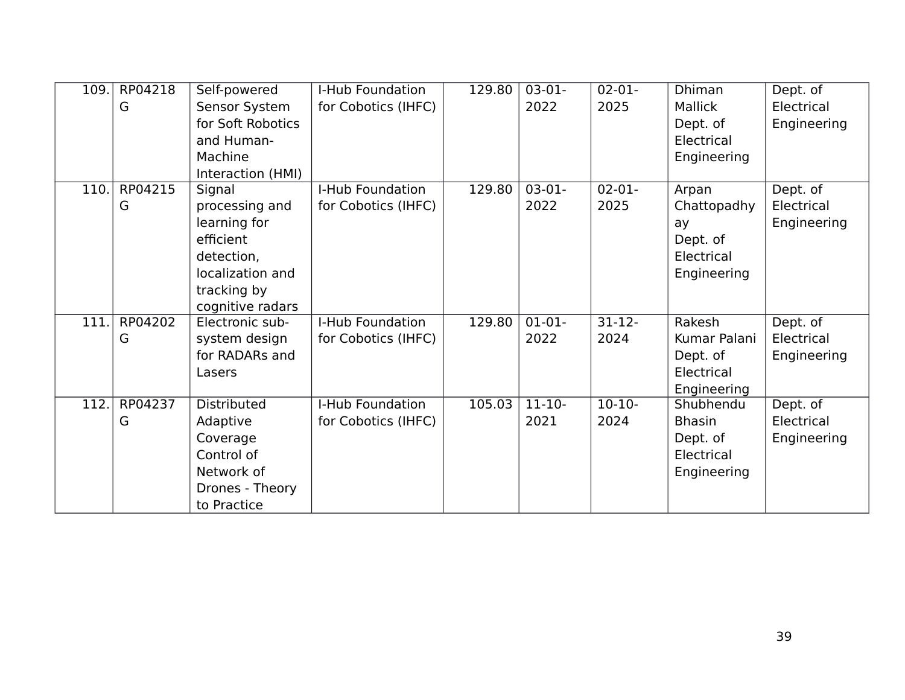| 109. | RP04218 | Self-powered       | I-Hub Foundation    | 129.80 | $03-01-$    | $02 - 01 -$ | <b>Dhiman</b>  | Dept. of    |
|------|---------|--------------------|---------------------|--------|-------------|-------------|----------------|-------------|
|      | G       | Sensor System      | for Cobotics (IHFC) |        | 2022        | 2025        | <b>Mallick</b> | Electrical  |
|      |         | for Soft Robotics  |                     |        |             |             | Dept. of       | Engineering |
|      |         | and Human-         |                     |        |             |             | Electrical     |             |
|      |         | Machine            |                     |        |             |             | Engineering    |             |
|      |         | Interaction (HMI)  |                     |        |             |             |                |             |
| 110. | RP04215 | Signal             | I-Hub Foundation    | 129.80 | $03-01-$    | $02 - 01 -$ | Arpan          | Dept. of    |
|      | G       | processing and     | for Cobotics (IHFC) |        | 2022        | 2025        | Chattopadhy    | Electrical  |
|      |         | learning for       |                     |        |             |             | ay             | Engineering |
|      |         | efficient          |                     |        |             |             | Dept. of       |             |
|      |         | detection,         |                     |        |             |             | Electrical     |             |
|      |         | localization and   |                     |        |             |             | Engineering    |             |
|      |         | tracking by        |                     |        |             |             |                |             |
|      |         | cognitive radars   |                     |        |             |             |                |             |
| 111. | RP04202 | Electronic sub-    | I-Hub Foundation    | 129.80 | $01-01-$    | $31 - 12$   | Rakesh         | Dept. of    |
|      | G       | system design      | for Cobotics (IHFC) |        | 2022        | 2024        | Kumar Palani   | Electrical  |
|      |         | for RADARs and     |                     |        |             |             | Dept. of       | Engineering |
|      |         | Lasers             |                     |        |             |             | Electrical     |             |
|      |         |                    |                     |        |             |             | Engineering    |             |
| 112. | RP04237 | <b>Distributed</b> | I-Hub Foundation    | 105.03 | $11 - 10 -$ | $10-10-$    | Shubhendu      | Dept. of    |
|      | G       | Adaptive           | for Cobotics (IHFC) |        | 2021        | 2024        | <b>Bhasin</b>  | Electrical  |
|      |         | Coverage           |                     |        |             |             | Dept. of       | Engineering |
|      |         | Control of         |                     |        |             |             | Electrical     |             |
|      |         | Network of         |                     |        |             |             | Engineering    |             |
|      |         | Drones - Theory    |                     |        |             |             |                |             |
|      |         | to Practice        |                     |        |             |             |                |             |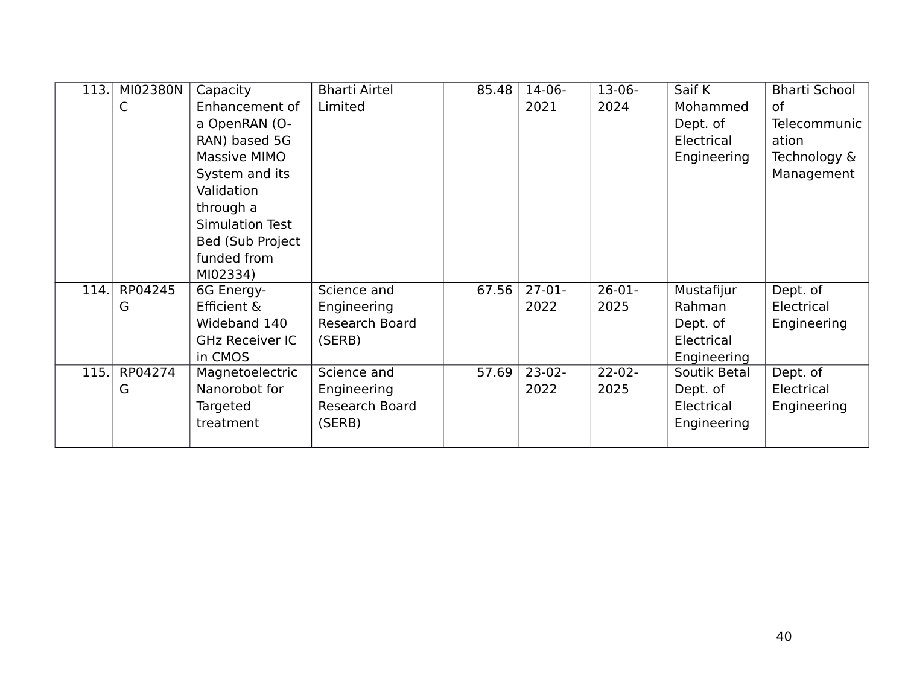| 113. | MI02380N | Capacity               | <b>Bharti Airtel</b>  | 85.48 | $14-06-$ | $13-06-$    | Saif K       | <b>Bharti School</b> |
|------|----------|------------------------|-----------------------|-------|----------|-------------|--------------|----------------------|
|      | C        | Enhancement of         | Limited               |       | 2021     | 2024        | Mohammed     | 0f                   |
|      |          | a OpenRAN (O-          |                       |       |          |             | Dept. of     | <b>Telecommunic</b>  |
|      |          | RAN) based 5G          |                       |       |          |             | Electrical   | ation                |
|      |          | Massive MIMO           |                       |       |          |             | Engineering  | Technology &         |
|      |          | System and its         |                       |       |          |             |              | Management           |
|      |          | Validation             |                       |       |          |             |              |                      |
|      |          | through a              |                       |       |          |             |              |                      |
|      |          | Simulation Test        |                       |       |          |             |              |                      |
|      |          | Bed (Sub Project       |                       |       |          |             |              |                      |
|      |          | funded from            |                       |       |          |             |              |                      |
|      |          | MI02334)               |                       |       |          |             |              |                      |
| 114. | RP04245  | 6G Energy-             | Science and           | 67.56 | $27-01-$ | $26-01-$    | Mustafijur   | Dept. of             |
|      | G        | Efficient &            | Engineering           |       | 2022     | 2025        | Rahman       | Electrical           |
|      |          | Wideband 140           | <b>Research Board</b> |       |          |             | Dept. of     | Engineering          |
|      |          | <b>GHz Receiver IC</b> | (SERB)                |       |          |             | Electrical   |                      |
|      |          | in CMOS                |                       |       |          |             | Engineering  |                      |
| 115. | RP04274  | Magnetoelectric        | Science and           | 57.69 | $23-02-$ | $22 - 02 -$ | Soutik Betal | Dept. of             |
|      | G        | Nanorobot for          | Engineering           |       | 2022     | 2025        | Dept. of     | Electrical           |
|      |          | Targeted               | Research Board        |       |          |             | Electrical   | Engineering          |
|      |          | treatment              | (SERB)                |       |          |             | Engineering  |                      |
|      |          |                        |                       |       |          |             |              |                      |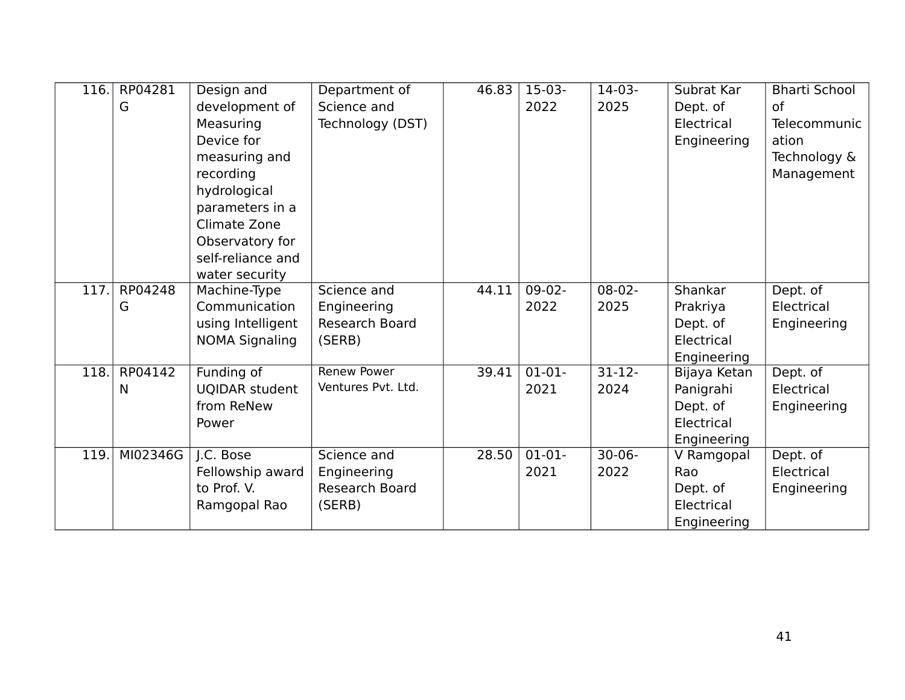| 116. | RP04281  | Design and            | Department of      | 46.83 | $15-03-$ | $14-03-$    | Subrat Kar   | <b>Bharti School</b> |
|------|----------|-----------------------|--------------------|-------|----------|-------------|--------------|----------------------|
|      | G        | development of        | Science and        |       | 2022     | 2025        | Dept. of     | <b>of</b>            |
|      |          | Measuring             | Technology (DST)   |       |          |             | Electrical   | Telecommunic         |
|      |          | Device for            |                    |       |          |             | Engineering  | ation                |
|      |          | measuring and         |                    |       |          |             |              | Technology &         |
|      |          | recording             |                    |       |          |             |              | Management           |
|      |          | hydrological          |                    |       |          |             |              |                      |
|      |          | parameters in a       |                    |       |          |             |              |                      |
|      |          | Climate Zone          |                    |       |          |             |              |                      |
|      |          | Observatory for       |                    |       |          |             |              |                      |
|      |          | self-reliance and     |                    |       |          |             |              |                      |
|      |          | water security        |                    |       |          |             |              |                      |
| 117. | RP04248  | Machine-Type          | Science and        | 44.11 | $09-02-$ | $08-02-$    | Shankar      | Dept. of             |
|      | G        | Communication         | Engineering        |       | 2022     | 2025        | Prakriya     | Electrical           |
|      |          | using Intelligent     | Research Board     |       |          |             | Dept. of     | Engineering          |
|      |          | <b>NOMA Signaling</b> | (SERB)             |       |          |             | Electrical   |                      |
|      |          |                       |                    |       |          |             | Engineering  |                      |
| 118. | RP04142  | Funding of            | <b>Renew Power</b> | 39.41 | $01-01-$ | $31-12-$    | Bijaya Ketan | Dept. of             |
|      | N        | <b>UQIDAR student</b> | Ventures Pvt. Ltd. |       | 2021     | 2024        | Panigrahi    | Electrical           |
|      |          | from ReNew            |                    |       |          |             | Dept. of     | Engineering          |
|      |          | Power                 |                    |       |          |             | Electrical   |                      |
|      |          |                       |                    |       |          |             | Engineering  |                      |
| 119. | MI02346G | J.C. Bose             | Science and        | 28.50 | $01-01-$ | $30 - 06 -$ | V Ramgopal   | Dept. of             |
|      |          | Fellowship award      | Engineering        |       | 2021     | 2022        | Rao          | Electrical           |
|      |          | to Prof. V.           | Research Board     |       |          |             | Dept. of     | Engineering          |
|      |          | Ramgopal Rao          | (SERB)             |       |          |             | Electrical   |                      |
|      |          |                       |                    |       |          |             | Engineering  |                      |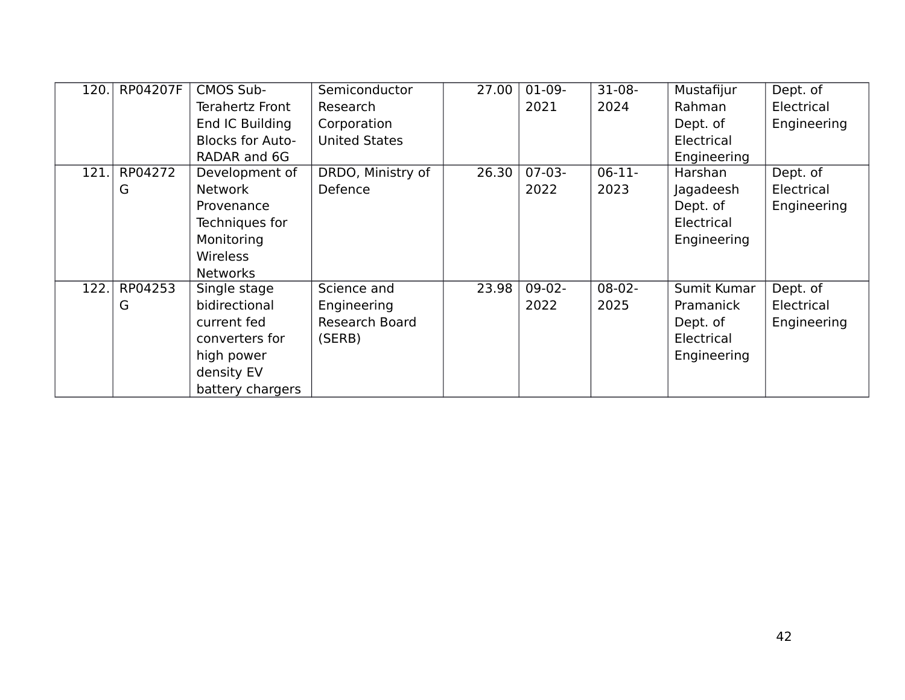| 120.               | RP04207F | <b>CMOS Sub-</b>        | Semiconductor        | 27.00 | $01-09-$ | $31-08-$ | Mustafijur  | Dept. of    |
|--------------------|----------|-------------------------|----------------------|-------|----------|----------|-------------|-------------|
|                    |          | Terahertz Front         | Research             |       | 2021     | 2024     | Rahman      | Electrical  |
|                    |          | End IC Building         | Corporation          |       |          |          | Dept. of    | Engineering |
|                    |          | <b>Blocks for Auto-</b> | <b>United States</b> |       |          |          | Electrical  |             |
|                    |          | RADAR and 6G            |                      |       |          |          | Engineering |             |
| 121.               | RP04272  | Development of          | DRDO, Ministry of    | 26.30 | $07-03-$ | $06-11-$ | Harshan     | Dept. of    |
|                    | G        | <b>Network</b>          | Defence              |       | 2022     | 2023     | Jagadeesh   | Electrical  |
|                    |          | Provenance              |                      |       |          |          | Dept. of    | Engineering |
|                    |          | Techniques for          |                      |       |          |          | Electrical  |             |
|                    |          | Monitoring              |                      |       |          |          | Engineering |             |
|                    |          | <b>Wireless</b>         |                      |       |          |          |             |             |
|                    |          | <b>Networks</b>         |                      |       |          |          |             |             |
| $\overline{122}$ . | RP04253  | Single stage            | Science and          | 23.98 | $09-02-$ | $08-02-$ | Sumit Kumar | Dept. of    |
|                    | G        | bidirectional           | Engineering          |       | 2022     | 2025     | Pramanick   | Electrical  |
|                    |          | current fed             | Research Board       |       |          |          | Dept. of    | Engineering |
|                    |          | converters for          | (SERB)               |       |          |          | Electrical  |             |
|                    |          | high power              |                      |       |          |          | Engineering |             |
|                    |          | density EV              |                      |       |          |          |             |             |
|                    |          | battery chargers        |                      |       |          |          |             |             |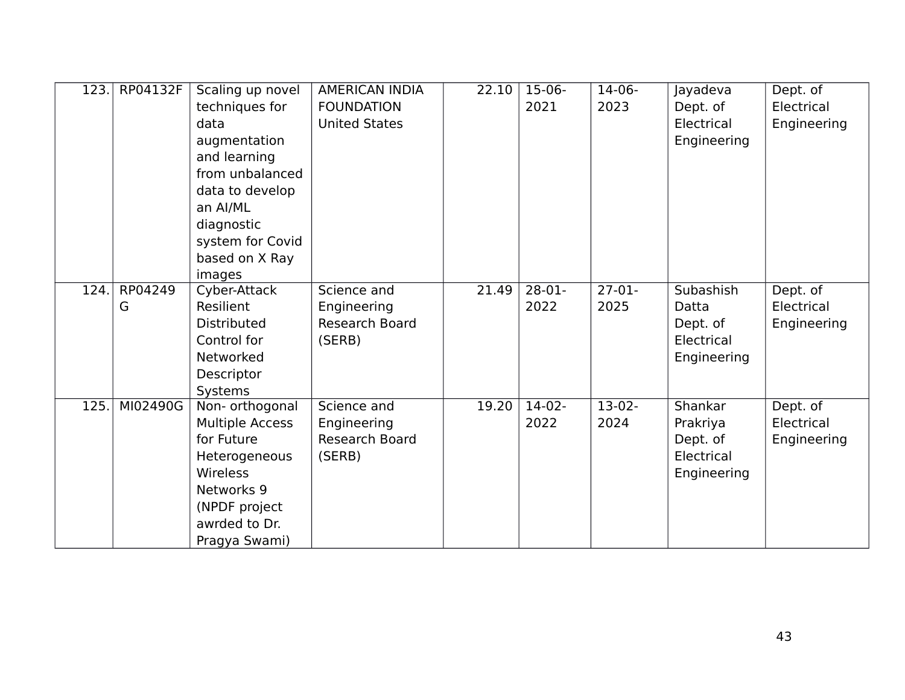| 123. | RP04132F     | Scaling up novel<br>techniques for<br>data<br>augmentation<br>and learning<br>from unbalanced<br>data to develop<br>an Al/ML<br>diagnostic<br>system for Covid<br>based on X Ray<br>images | <b>AMERICAN INDIA</b><br><b>FOUNDATION</b><br><b>United States</b> | 22.10 | $15-06-$<br>2021 | $14-06-$<br>2023 | Jayadeva<br>Dept. of<br>Electrical<br>Engineering            | Dept. of<br>Electrical<br>Engineering |
|------|--------------|--------------------------------------------------------------------------------------------------------------------------------------------------------------------------------------------|--------------------------------------------------------------------|-------|------------------|------------------|--------------------------------------------------------------|---------------------------------------|
| 124. | RP04249<br>G | Cyber-Attack<br>Resilient<br><b>Distributed</b><br>Control for<br>Networked<br>Descriptor<br>Systems                                                                                       | Science and<br>Engineering<br>Research Board<br>(SERB)             | 21.49 | $28-01-$<br>2022 | $27-01-$<br>2025 | Subashish<br>Datta<br>Dept. of<br>Electrical<br>Engineering  | Dept. of<br>Electrical<br>Engineering |
| 125. | MI02490G     | Non- orthogonal<br><b>Multiple Access</b><br>for Future<br>Heterogeneous<br>Wireless<br>Networks 9<br>(NPDF project<br>awrded to Dr.<br>Pragya Swami)                                      | Science and<br>Engineering<br>Research Board<br>(SERB)             | 19.20 | $14-02-$<br>2022 | $13-02-$<br>2024 | Shankar<br>Prakriya<br>Dept. of<br>Electrical<br>Engineering | Dept. of<br>Electrical<br>Engineering |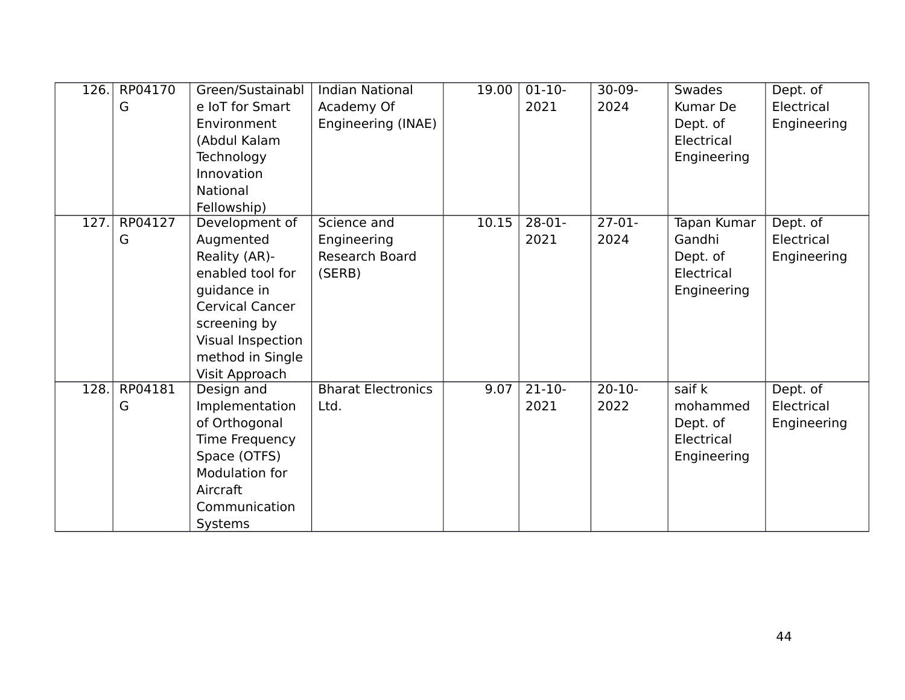| 126. | RP04170<br>G | Green/Sustainabl<br>e IoT for Smart<br>Environment<br>(Abdul Kalam<br>Technology<br>Innovation<br><b>National</b><br>Fellowship)                                                     | <b>Indian National</b><br>Academy Of<br>Engineering (INAE) | 19.00 | $01-10-$<br>2021    | $30-09-$<br>2024    | Swades<br>Kumar De<br>Dept. of<br>Electrical<br>Engineering           | Dept. of<br>Electrical<br>Engineering |
|------|--------------|--------------------------------------------------------------------------------------------------------------------------------------------------------------------------------------|------------------------------------------------------------|-------|---------------------|---------------------|-----------------------------------------------------------------------|---------------------------------------|
| 127. | RP04127<br>G | Development of<br>Augmented<br>Reality (AR)-<br>enabled tool for<br>guidance in<br><b>Cervical Cancer</b><br>screening by<br>Visual Inspection<br>method in Single<br>Visit Approach | Science and<br>Engineering<br>Research Board<br>(SERB)     | 10.15 | $28-01-$<br>2021    | $27-01-$<br>2024    | <b>Tapan Kumar</b><br>Gandhi<br>Dept. of<br>Electrical<br>Engineering | Dept. of<br>Electrical<br>Engineering |
| 128. | RP04181<br>G | Design and<br>Implementation<br>of Orthogonal<br>Time Frequency<br>Space (OTFS)<br><b>Modulation for</b><br>Aircraft<br>Communication<br><b>Systems</b>                              | <b>Bharat Electronics</b><br>Ltd.                          | 9.07  | $21 - 10 -$<br>2021 | $20 - 10 -$<br>2022 | saif k<br>mohammed<br>Dept. of<br>Electrical<br>Engineering           | Dept. of<br>Electrical<br>Engineering |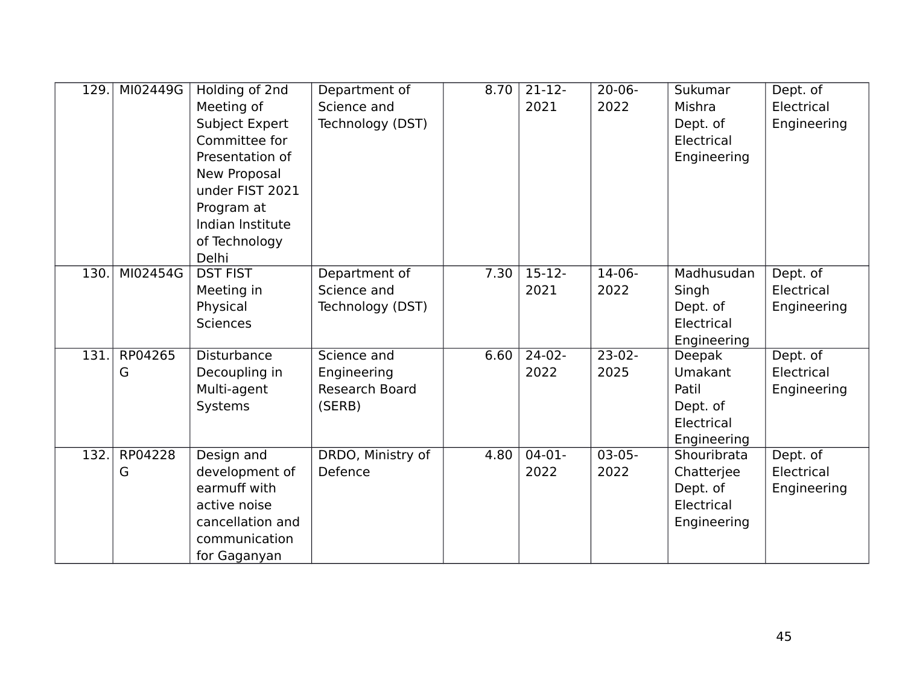| 129. | MI02449G     | Holding of 2nd<br>Meeting of<br>Subject Expert<br>Committee for<br>Presentation of<br>New Proposal<br>under FIST 2021<br>Program at<br>Indian Institute<br>of Technology<br>Delhi | Department of<br>Science and<br>Technology (DST)              | 8.70 | $21-12-$<br>2021 | $20 - 06 -$<br>2022 | Sukumar<br>Mishra<br>Dept. of<br>Electrical<br>Engineering                 | Dept. of<br>Electrical<br>Engineering |
|------|--------------|-----------------------------------------------------------------------------------------------------------------------------------------------------------------------------------|---------------------------------------------------------------|------|------------------|---------------------|----------------------------------------------------------------------------|---------------------------------------|
| 130. | MI02454G     | <b>DST FIST</b><br>Meeting in<br>Physical<br><b>Sciences</b>                                                                                                                      | Department of<br>Science and<br>Technology (DST)              | 7.30 | $15-12-$<br>2021 | $14-06-$<br>2022    | Madhusudan<br>Singh<br>Dept. of<br>Electrical<br>Engineering               | Dept. of<br>Electrical<br>Engineering |
| 131. | RP04265<br>G | <b>Disturbance</b><br>Decoupling in<br>Multi-agent<br>Systems                                                                                                                     | Science and<br>Engineering<br><b>Research Board</b><br>(SERB) | 6.60 | $24-02-$<br>2022 | $23-02-$<br>2025    | Deepak<br><b>Umakant</b><br>Patil<br>Dept. of<br>Electrical<br>Engineering | Dept. of<br>Electrical<br>Engineering |
| 132. | RP04228<br>G | Design and<br>development of<br>earmuff with<br>active noise<br>cancellation and<br>communication<br>for Gaganyan                                                                 | DRDO, Ministry of<br>Defence                                  | 4.80 | $04-01-$<br>2022 | $03 - 05 -$<br>2022 | Shouribrata<br>Chatterjee<br>Dept. of<br>Electrical<br>Engineering         | Dept. of<br>Electrical<br>Engineering |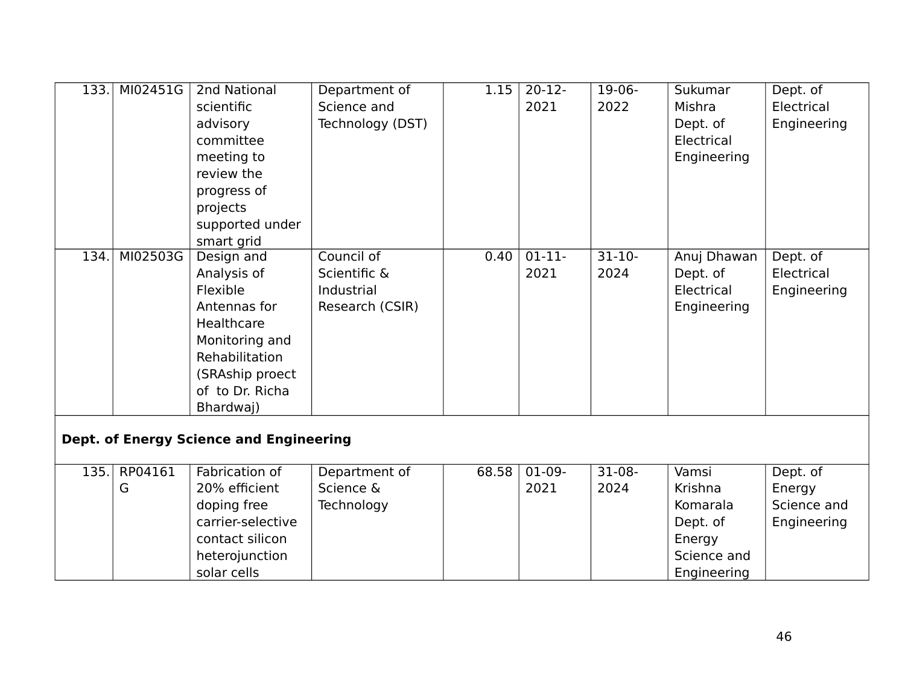| 133. | MI02451G | 2nd National                                   | Department of    | 1.15  | $\overline{20-12}$ | $19-06-$  | Sukumar     | Dept. of    |
|------|----------|------------------------------------------------|------------------|-------|--------------------|-----------|-------------|-------------|
|      |          | scientific                                     | Science and      |       | 2021               | 2022      | Mishra      | Electrical  |
|      |          | advisory                                       | Technology (DST) |       |                    |           | Dept. of    | Engineering |
|      |          | committee                                      |                  |       |                    |           | Electrical  |             |
|      |          | meeting to                                     |                  |       |                    |           | Engineering |             |
|      |          | review the                                     |                  |       |                    |           |             |             |
|      |          | progress of                                    |                  |       |                    |           |             |             |
|      |          | projects                                       |                  |       |                    |           |             |             |
|      |          | supported under                                |                  |       |                    |           |             |             |
|      |          | smart grid                                     |                  |       |                    |           |             |             |
| 134. | MI02503G | Design and                                     | Council of       | 0.40  | $01-11-$           | $31 - 10$ | Anuj Dhawan | Dept. of    |
|      |          | Analysis of                                    | Scientific &     |       | 2021               | 2024      | Dept. of    | Electrical  |
|      |          | Flexible                                       | Industrial       |       |                    |           | Electrical  | Engineering |
|      |          | Antennas for                                   | Research (CSIR)  |       |                    |           | Engineering |             |
|      |          | Healthcare                                     |                  |       |                    |           |             |             |
|      |          | Monitoring and                                 |                  |       |                    |           |             |             |
|      |          | Rehabilitation                                 |                  |       |                    |           |             |             |
|      |          | (SRAship proect                                |                  |       |                    |           |             |             |
|      |          | of to Dr. Richa                                |                  |       |                    |           |             |             |
|      |          | Bhardwaj)                                      |                  |       |                    |           |             |             |
|      |          |                                                |                  |       |                    |           |             |             |
|      |          | <b>Dept. of Energy Science and Engineering</b> |                  |       |                    |           |             |             |
|      |          |                                                |                  |       |                    |           |             |             |
| 135. | RP04161  | Fabrication of                                 | Department of    | 68.58 | $01-09-$           | $31-08-$  | Vamsi       | Dept. of    |
|      | G        | 20% efficient                                  | Science &        |       | 2021               | 2024      | Krishna     | Energy      |
|      |          | doping free                                    | Technology       |       |                    |           | Komarala    | Science and |
|      |          | carrier-selective                              |                  |       |                    |           | Dept. of    | Engineering |
|      |          | contact silicon                                |                  |       |                    |           | Energy      |             |
|      |          | heterojunction                                 |                  |       |                    |           | Science and |             |
|      |          | solar cells                                    |                  |       |                    |           | Engineering |             |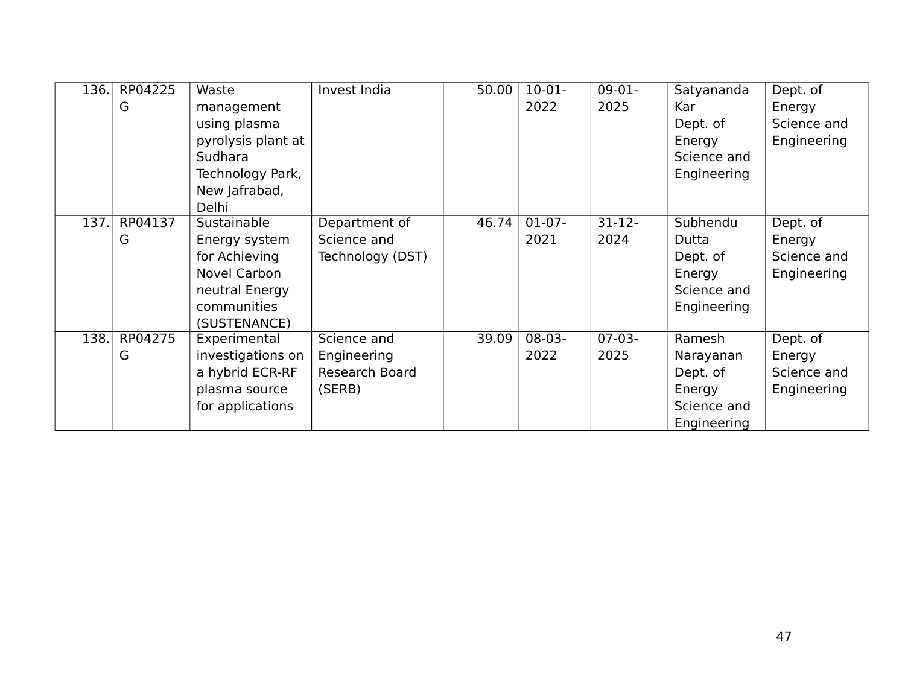| 136. | RP04225 | Waste              | Invest India     | 50.00 | $10-01-$ | $09-01-$    | Satyananda  | Dept. of    |
|------|---------|--------------------|------------------|-------|----------|-------------|-------------|-------------|
|      | G       | management         |                  |       | 2022     | 2025        | <b>Kar</b>  | Energy      |
|      |         | using plasma       |                  |       |          |             | Dept. of    | Science and |
|      |         | pyrolysis plant at |                  |       |          |             | Energy      | Engineering |
|      |         | Sudhara            |                  |       |          |             | Science and |             |
|      |         | Technology Park,   |                  |       |          |             | Engineering |             |
|      |         | New Jafrabad,      |                  |       |          |             |             |             |
|      |         | Delhi              |                  |       |          |             |             |             |
| 137. | RP04137 | Sustainable        | Department of    | 46.74 | $01-07-$ | $31 - 12 -$ | Subhendu    | Dept. of    |
|      | G       | Energy system      | Science and      |       | 2021     | 2024        | Dutta       | Energy      |
|      |         | for Achieving      | Technology (DST) |       |          |             | Dept. of    | Science and |
|      |         | Novel Carbon       |                  |       |          |             | Energy      | Engineering |
|      |         | neutral Energy     |                  |       |          |             | Science and |             |
|      |         | communities        |                  |       |          |             | Engineering |             |
|      |         | (SUSTENANCE)       |                  |       |          |             |             |             |
| 138. | RP04275 | Experimental       | Science and      | 39.09 | $08-03-$ | $07-03-$    | Ramesh      | Dept. of    |
|      | G       | investigations on  | Engineering      |       | 2022     | 2025        | Narayanan   | Energy      |
|      |         | a hybrid ECR-RF    | Research Board   |       |          |             | Dept. of    | Science and |
|      |         | plasma source      | (SERB)           |       |          |             | Energy      | Engineering |
|      |         | for applications   |                  |       |          |             | Science and |             |
|      |         |                    |                  |       |          |             | Engineering |             |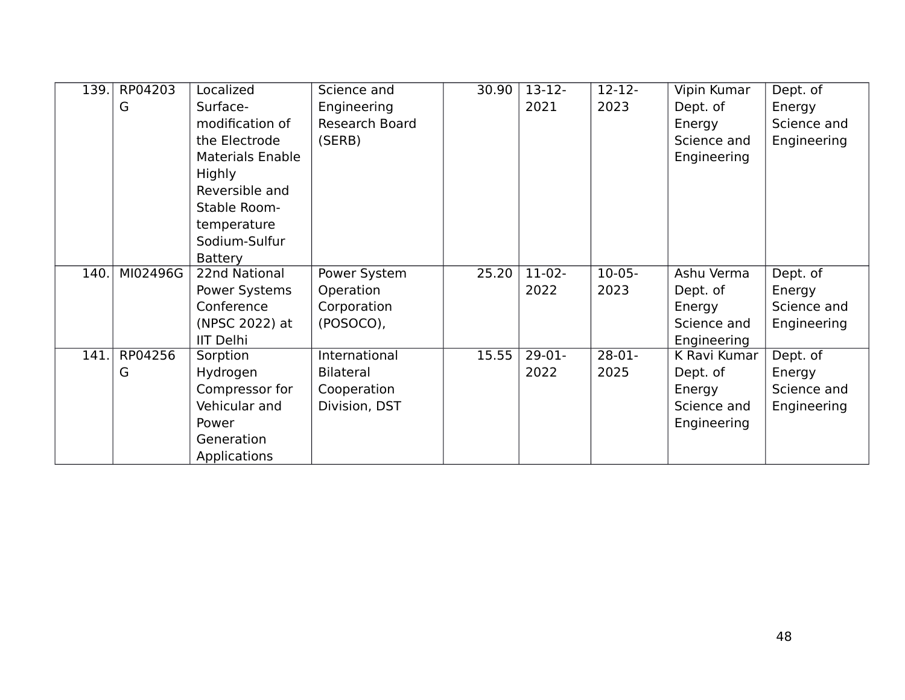| 139. | RP04203  | Localized               | Science and      | 30.90 | $13 - 12 -$ | $12 - 12 -$ | Vipin Kumar  | Dept. of    |
|------|----------|-------------------------|------------------|-------|-------------|-------------|--------------|-------------|
|      | G        | Surface-                | Engineering      |       | 2021        | 2023        | Dept. of     | Energy      |
|      |          | modification of         | Research Board   |       |             |             | Energy       | Science and |
|      |          | the Electrode           | (SERB)           |       |             |             | Science and  | Engineering |
|      |          | <b>Materials Enable</b> |                  |       |             |             | Engineering  |             |
|      |          | Highly                  |                  |       |             |             |              |             |
|      |          | Reversible and          |                  |       |             |             |              |             |
|      |          | Stable Room-            |                  |       |             |             |              |             |
|      |          | temperature             |                  |       |             |             |              |             |
|      |          | Sodium-Sulfur           |                  |       |             |             |              |             |
|      |          | <b>Battery</b>          |                  |       |             |             |              |             |
| 140. | MI02496G | 22nd National           | Power System     | 25.20 | $11-02-$    | $10-05-$    | Ashu Verma   | Dept. of    |
|      |          | Power Systems           | Operation        |       | 2022        | 2023        | Dept. of     | Energy      |
|      |          | Conference              | Corporation      |       |             |             | Energy       | Science and |
|      |          | (NPSC 2022) at          | (POSOCO),        |       |             |             | Science and  | Engineering |
|      |          | <b>IIT Delhi</b>        |                  |       |             |             | Engineering  |             |
| 141. | RP04256  | Sorption                | International    | 15.55 | $29-01-$    | $28-01-$    | K Ravi Kumar | Dept. of    |
|      | G        | Hydrogen                | <b>Bilateral</b> |       | 2022        | 2025        | Dept. of     | Energy      |
|      |          | Compressor for          | Cooperation      |       |             |             | Energy       | Science and |
|      |          | Vehicular and           | Division, DST    |       |             |             | Science and  | Engineering |
|      |          | Power                   |                  |       |             |             | Engineering  |             |
|      |          | Generation              |                  |       |             |             |              |             |
|      |          | Applications            |                  |       |             |             |              |             |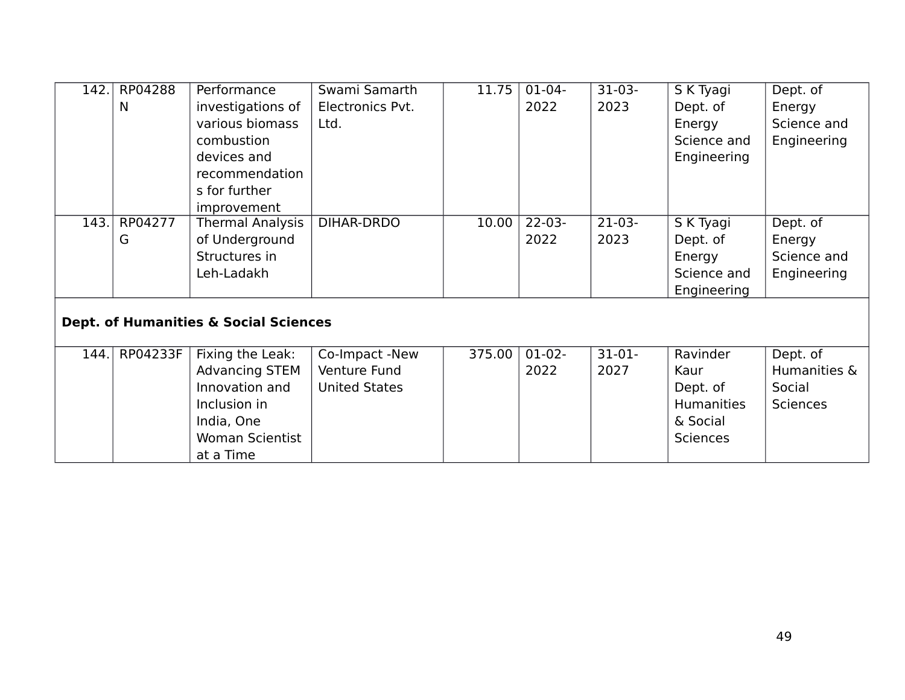| 142.                                             | RP04288<br>N | Performance<br>investigations of<br>various biomass<br>combustion                                                         | Swami Samarth<br>Electronics Pvt.<br>Ltd.              | 11.75  | $01-04-$<br>2022    | $31-03-$<br>2023 | S K Tyagi<br>Dept. of<br>Energy<br>Science and                            | Dept. of<br>Energy<br>Science and<br>Engineering      |  |
|--------------------------------------------------|--------------|---------------------------------------------------------------------------------------------------------------------------|--------------------------------------------------------|--------|---------------------|------------------|---------------------------------------------------------------------------|-------------------------------------------------------|--|
|                                                  |              | devices and<br>recommendation<br>s for further<br>improvement                                                             |                                                        |        |                     |                  | Engineering                                                               |                                                       |  |
| 143.                                             | RP04277<br>G | Thermal Analysis<br>of Underground<br>Structures in<br>Leh-Ladakh                                                         | DIHAR-DRDO                                             | 10.00  | $22 - 03 -$<br>2022 | $21-03-$<br>2023 | S K Tyagi<br>Dept. of<br>Energy<br>Science and<br>Engineering             | Dept. of<br>Energy<br>Science and<br>Engineering      |  |
| <b>Dept. of Humanities &amp; Social Sciences</b> |              |                                                                                                                           |                                                        |        |                     |                  |                                                                           |                                                       |  |
| 144.                                             | RP04233F     | Fixing the Leak:<br><b>Advancing STEM</b><br>Innovation and<br>Inclusion in<br>India, One<br>Woman Scientist<br>at a Time | Co-Impact -New<br>Venture Fund<br><b>United States</b> | 375.00 | $01-02-$<br>2022    | $31-01-$<br>2027 | Ravinder<br>Kaur<br>Dept. of<br>Humanities<br>& Social<br><b>Sciences</b> | Dept. of<br>Humanities &<br>Social<br><b>Sciences</b> |  |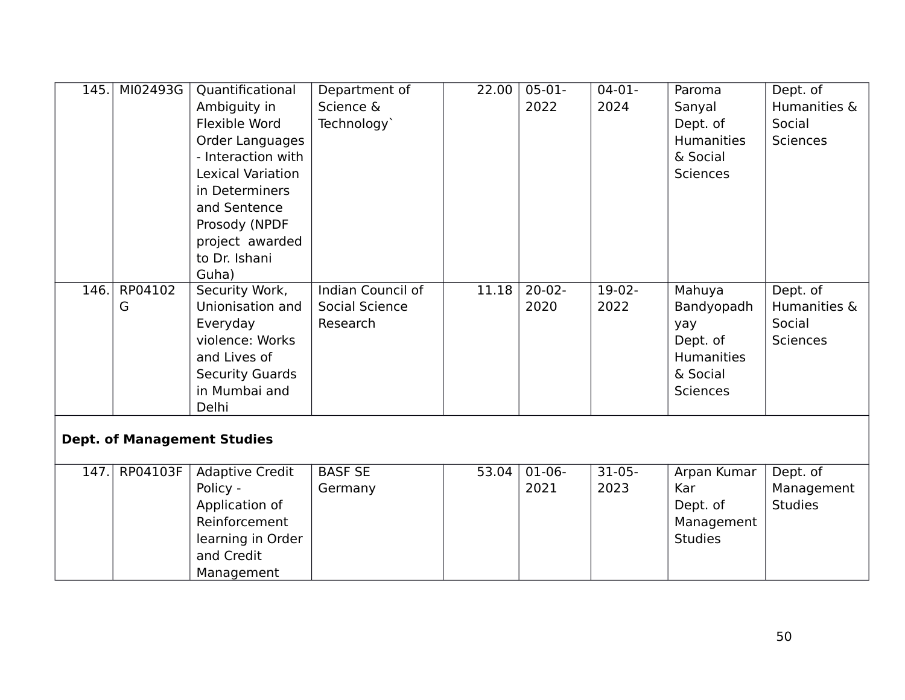| 145. | MI02493G | Quantificational                   | Department of            | 22.00 | $05-01-$ | $04-01-$ | Paroma            | Dept. of        |
|------|----------|------------------------------------|--------------------------|-------|----------|----------|-------------------|-----------------|
|      |          | Ambiguity in                       | Science &                |       | 2022     | 2024     | Sanyal            | Humanities &    |
|      |          | Flexible Word                      | Technology`              |       |          |          | Dept. of          | Social          |
|      |          | <b>Order Languages</b>             |                          |       |          |          | <b>Humanities</b> | <b>Sciences</b> |
|      |          | - Interaction with                 |                          |       |          |          | & Social          |                 |
|      |          | <b>Lexical Variation</b>           |                          |       |          |          | <b>Sciences</b>   |                 |
|      |          | in Determiners                     |                          |       |          |          |                   |                 |
|      |          | and Sentence                       |                          |       |          |          |                   |                 |
|      |          | Prosody (NPDF                      |                          |       |          |          |                   |                 |
|      |          | project awarded                    |                          |       |          |          |                   |                 |
|      |          | to Dr. Ishani                      |                          |       |          |          |                   |                 |
|      |          | Guha)                              |                          |       |          |          |                   |                 |
| 146. | RP04102  | Security Work,                     | <b>Indian Council of</b> | 11.18 | $20-02-$ | $19-02-$ | Mahuya            | Dept. of        |
|      | G        | Unionisation and                   | Social Science           |       | 2020     | 2022     | Bandyopadh        | Humanities &    |
|      |          | Everyday                           | Research                 |       |          |          | yay               | Social          |
|      |          | violence: Works                    |                          |       |          |          | Dept. of          | <b>Sciences</b> |
|      |          | and Lives of                       |                          |       |          |          | <b>Humanities</b> |                 |
|      |          | <b>Security Guards</b>             |                          |       |          |          | & Social          |                 |
|      |          | in Mumbai and                      |                          |       |          |          | <b>Sciences</b>   |                 |
|      |          | Delhi                              |                          |       |          |          |                   |                 |
|      |          |                                    |                          |       |          |          |                   |                 |
|      |          | <b>Dept. of Management Studies</b> |                          |       |          |          |                   |                 |
| 147. | RP04103F | <b>Adaptive Credit</b>             | <b>BASF SE</b>           | 53.04 | $01-06-$ | $31-05-$ | Arpan Kumar       | Dept. of        |
|      |          | Policy -                           | Germany                  |       | 2021     | 2023     | Kar               | Management      |
|      |          | Application of                     |                          |       |          |          | Dept. of          | <b>Studies</b>  |
|      |          | Reinforcement                      |                          |       |          |          | Management        |                 |
|      |          | learning in Order                  |                          |       |          |          | <b>Studies</b>    |                 |
|      |          | and Credit                         |                          |       |          |          |                   |                 |
|      |          | Management                         |                          |       |          |          |                   |                 |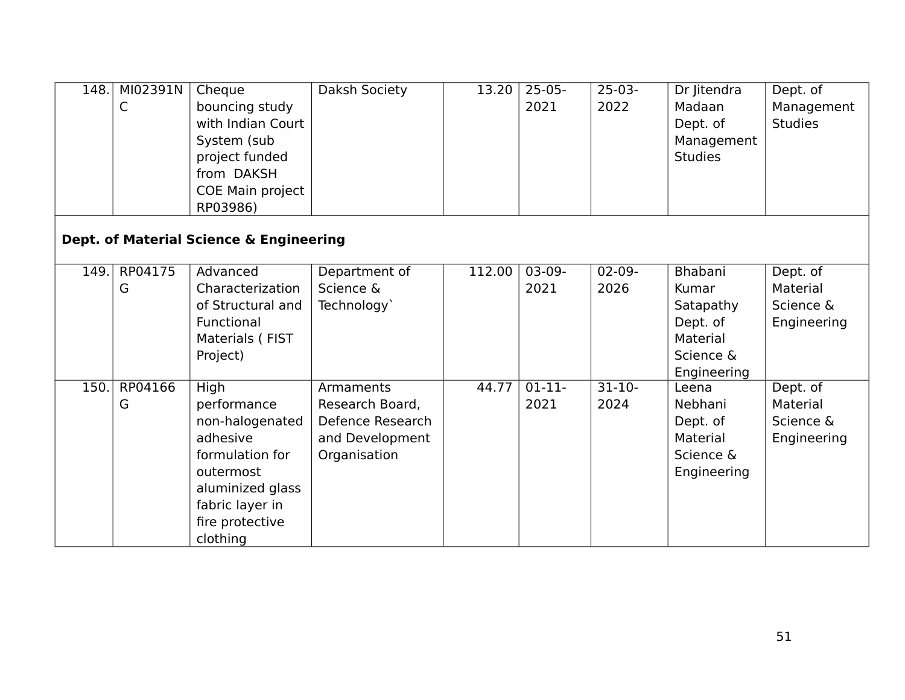| 148. | MI02391N<br>C | Cheque<br>bouncing study<br>with Indian Court<br>System (sub<br>project funded<br>from DAKSH<br>COE Main project<br>RP03986)                             | Daksh Society                                                                       | 13.20  | $25-05-$<br>2021 | $25-03-$<br>2022    | Dr Jitendra<br>Madaan<br>Dept. of<br>Management<br><b>Studies</b>                 | Dept. of<br>Management<br><b>Studies</b>         |
|------|---------------|----------------------------------------------------------------------------------------------------------------------------------------------------------|-------------------------------------------------------------------------------------|--------|------------------|---------------------|-----------------------------------------------------------------------------------|--------------------------------------------------|
|      |               | Dept. of Material Science & Engineering                                                                                                                  |                                                                                     |        |                  |                     |                                                                                   |                                                  |
| 149. | RP04175<br>G  | Advanced<br>Characterization<br>of Structural and<br>Functional<br>Materials (FIST<br>Project)                                                           | Department of<br>Science &<br>Technology`                                           | 112.00 | $03-09-$<br>2021 | $02-09-$<br>2026    | Bhabani<br>Kumar<br>Satapathy<br>Dept. of<br>Material<br>Science &<br>Engineering | Dept. of<br>Material<br>Science &<br>Engineering |
| 150. | RP04166<br>G  | High<br>performance<br>non-halogenated<br>adhesive<br>formulation for<br>outermost<br>aluminized glass<br>fabric layer in<br>fire protective<br>clothing | Armaments<br>Research Board,<br>Defence Research<br>and Development<br>Organisation | 44.77  | $01-11-$<br>2021 | $31 - 10 -$<br>2024 | Leena<br>Nebhani<br>Dept. of<br>Material<br>Science &<br>Engineering              | Dept. of<br>Material<br>Science &<br>Engineering |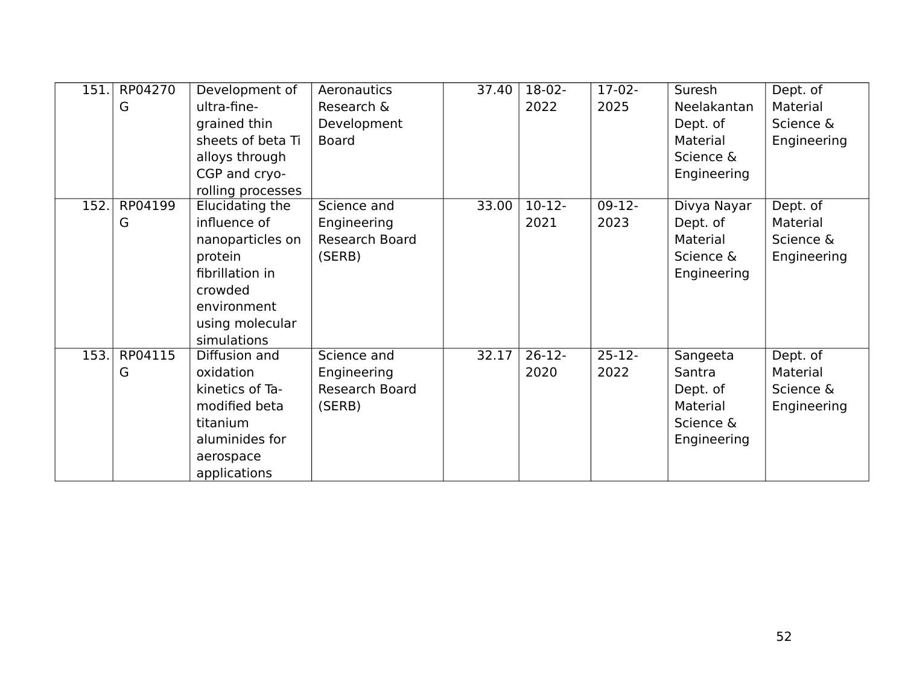| 151. | RP04270 | Development of    | Aeronautics    | 37.40 | 18-02-   | $17-02-$    | Suresh      | Dept. of    |
|------|---------|-------------------|----------------|-------|----------|-------------|-------------|-------------|
|      | G       | ultra-fine-       | Research &     |       | 2022     | 2025        | Neelakantan | Material    |
|      |         | grained thin      | Development    |       |          |             | Dept. of    | Science &   |
|      |         | sheets of beta Ti | <b>Board</b>   |       |          |             | Material    | Engineering |
|      |         | alloys through    |                |       |          |             | Science &   |             |
|      |         | CGP and cryo-     |                |       |          |             | Engineering |             |
|      |         | rolling processes |                |       |          |             |             |             |
| 152. | RP04199 | Elucidating the   | Science and    | 33.00 | $10-12-$ | $09-12-$    | Divya Nayar | Dept. of    |
|      | G       | influence of      | Engineering    |       | 2021     | 2023        | Dept. of    | Material    |
|      |         | nanoparticles on  | Research Board |       |          |             | Material    | Science &   |
|      |         | protein           | (SERB)         |       |          |             | Science &   | Engineering |
|      |         | fibrillation in   |                |       |          |             | Engineering |             |
|      |         | crowded           |                |       |          |             |             |             |
|      |         | environment       |                |       |          |             |             |             |
|      |         | using molecular   |                |       |          |             |             |             |
|      |         | simulations       |                |       |          |             |             |             |
| 153. | RP04115 | Diffusion and     | Science and    | 32.17 | $26-12-$ | $25 - 12 -$ | Sangeeta    | Dept. of    |
|      | G       | oxidation         | Engineering    |       | 2020     | 2022        | Santra      | Material    |
|      |         | kinetics of Ta-   | Research Board |       |          |             | Dept. of    | Science &   |
|      |         | modified beta     | (SERB)         |       |          |             | Material    | Engineering |
|      |         | titanium          |                |       |          |             | Science &   |             |
|      |         | aluminides for    |                |       |          |             | Engineering |             |
|      |         | aerospace         |                |       |          |             |             |             |
|      |         | applications      |                |       |          |             |             |             |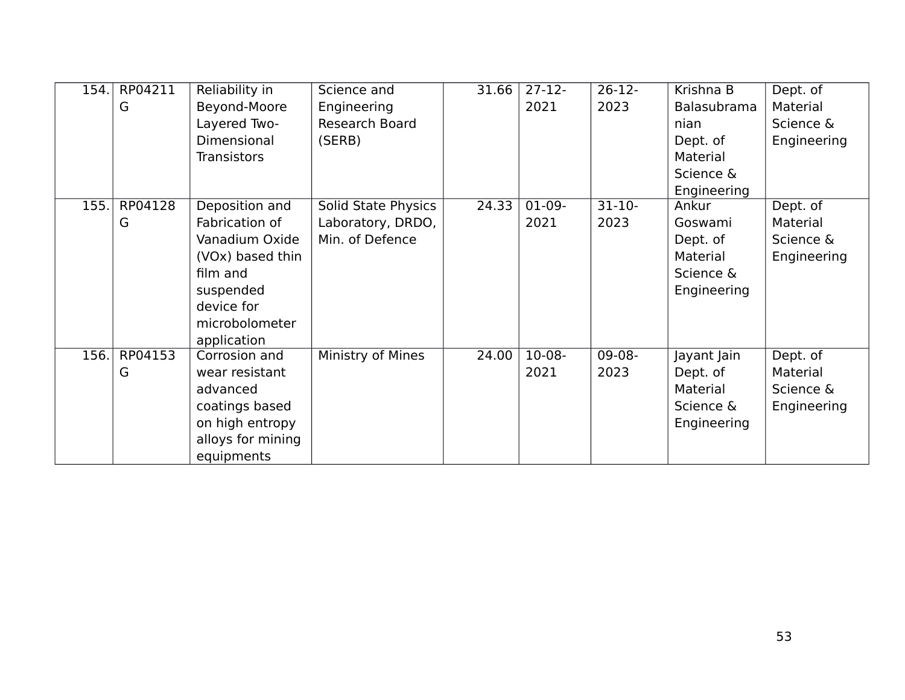| 154. | RP04211 | Reliability in     | Science and         | 31.66 | $27-12-$ | $26-12-$ | Krishna B   | Dept. of    |
|------|---------|--------------------|---------------------|-------|----------|----------|-------------|-------------|
|      | G       | Beyond-Moore       | Engineering         |       | 2021     | 2023     | Balasubrama | Material    |
|      |         | Layered Two-       | Research Board      |       |          |          | nian        | Science &   |
|      |         | Dimensional        | (SERB)              |       |          |          | Dept. of    | Engineering |
|      |         | <b>Transistors</b> |                     |       |          |          | Material    |             |
|      |         |                    |                     |       |          |          | Science &   |             |
|      |         |                    |                     |       |          |          | Engineering |             |
| 155. | RP04128 | Deposition and     | Solid State Physics | 24.33 | $01-09-$ | $31-10-$ | Ankur       | Dept. of    |
|      | G       | Fabrication of     | Laboratory, DRDO,   |       | 2021     | 2023     | Goswami     | Material    |
|      |         | Vanadium Oxide     | Min. of Defence     |       |          |          | Dept. of    | Science &   |
|      |         | (VOx) based thin   |                     |       |          |          | Material    | Engineering |
|      |         | film and           |                     |       |          |          | Science &   |             |
|      |         | suspended          |                     |       |          |          | Engineering |             |
|      |         | device for         |                     |       |          |          |             |             |
|      |         | microbolometer     |                     |       |          |          |             |             |
|      |         | application        |                     |       |          |          |             |             |
| 156. | RP04153 | Corrosion and      | Ministry of Mines   | 24.00 | $10-08-$ | $09-08-$ | Jayant Jain | Dept. of    |
|      | G       | wear resistant     |                     |       | 2021     | 2023     | Dept. of    | Material    |
|      |         | advanced           |                     |       |          |          | Material    | Science &   |
|      |         | coatings based     |                     |       |          |          | Science &   | Engineering |
|      |         | on high entropy    |                     |       |          |          | Engineering |             |
|      |         | alloys for mining  |                     |       |          |          |             |             |
|      |         | equipments         |                     |       |          |          |             |             |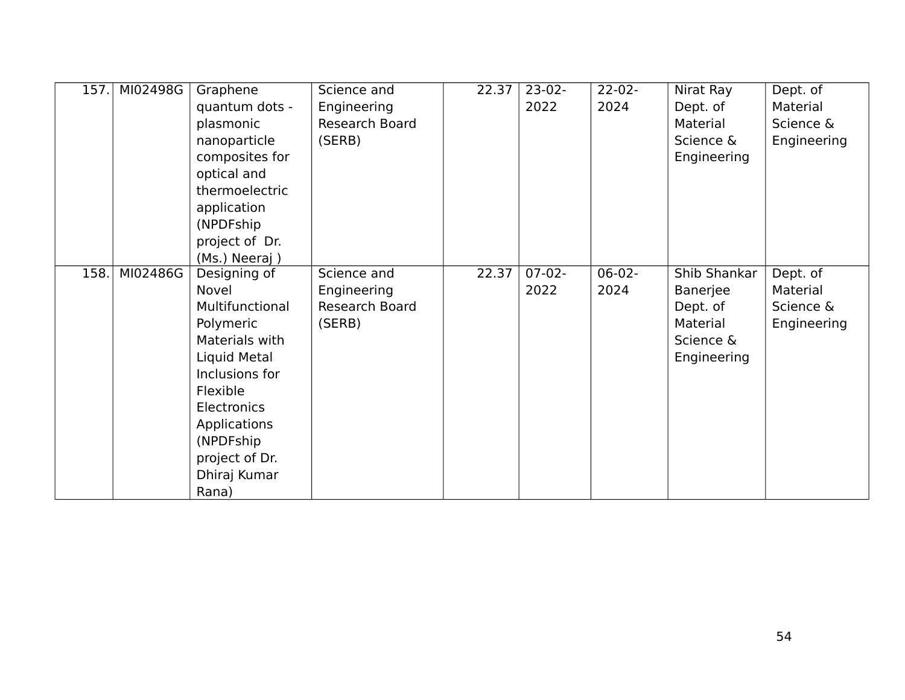| 157. | MI02498G | Graphene        | Science and    | 22.37 | $23-02-$ | $22 - 02 -$ | Nirat Ray    | Dept. of    |
|------|----------|-----------------|----------------|-------|----------|-------------|--------------|-------------|
|      |          | quantum dots -  | Engineering    |       | 2022     | 2024        | Dept. of     | Material    |
|      |          | plasmonic       | Research Board |       |          |             | Material     | Science &   |
|      |          | nanoparticle    | (SERB)         |       |          |             | Science &    | Engineering |
|      |          | composites for  |                |       |          |             | Engineering  |             |
|      |          | optical and     |                |       |          |             |              |             |
|      |          | thermoelectric  |                |       |          |             |              |             |
|      |          | application     |                |       |          |             |              |             |
|      |          | (NPDFship)      |                |       |          |             |              |             |
|      |          | project of Dr.  |                |       |          |             |              |             |
|      |          | (Ms.) Neeraj)   |                |       |          |             |              |             |
| 158. | MI02486G | Designing of    | Science and    | 22.37 | $07-02-$ | $06-02-$    | Shib Shankar | Dept. of    |
|      |          | Novel           | Engineering    |       | 2022     | 2024        | Banerjee     | Material    |
|      |          | Multifunctional | Research Board |       |          |             | Dept. of     | Science &   |
|      |          | Polymeric       | (SERB)         |       |          |             | Material     | Engineering |
|      |          | Materials with  |                |       |          |             | Science &    |             |
|      |          | Liquid Metal    |                |       |          |             | Engineering  |             |
|      |          | Inclusions for  |                |       |          |             |              |             |
|      |          | Flexible        |                |       |          |             |              |             |
|      |          | Electronics     |                |       |          |             |              |             |
|      |          | Applications    |                |       |          |             |              |             |
|      |          | (NPDFship)      |                |       |          |             |              |             |
|      |          | project of Dr.  |                |       |          |             |              |             |
|      |          | Dhiraj Kumar    |                |       |          |             |              |             |
|      |          | Rana)           |                |       |          |             |              |             |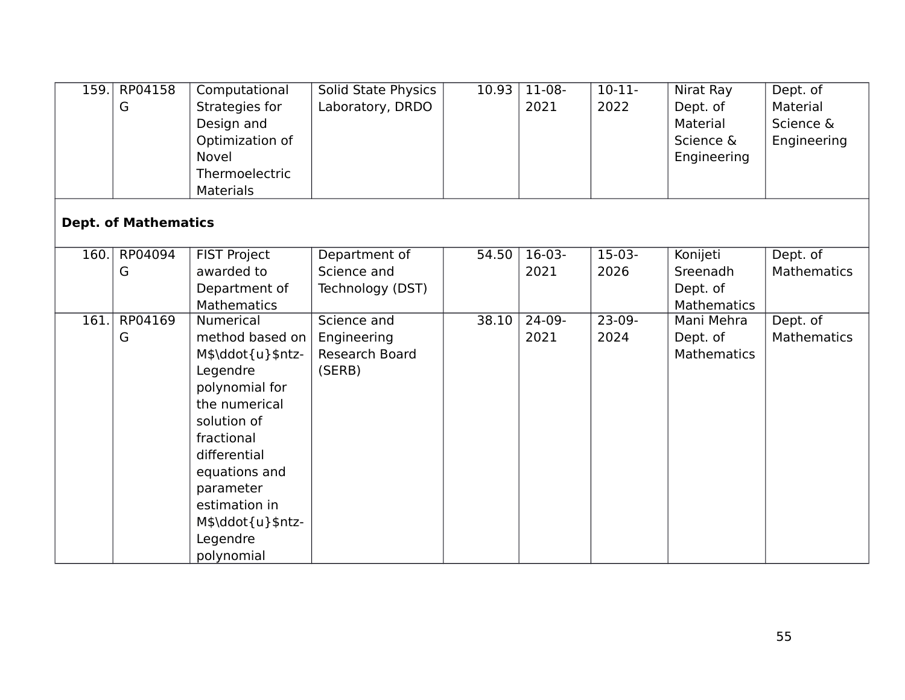| 159. | RP04158<br>G                | Computational<br>Strategies for<br>Design and<br>Optimization of<br><b>Novel</b><br>Thermoelectric                                                                                                                                                 | Solid State Physics<br>Laboratory, DRDO                       | 10.93 | 11-08-<br>2021   | $10-11-$<br>2022 | Nirat Ray<br>Dept. of<br>Material<br>Science &<br>Engineering | Dept. of<br>Material<br>Science &<br>Engineering |
|------|-----------------------------|----------------------------------------------------------------------------------------------------------------------------------------------------------------------------------------------------------------------------------------------------|---------------------------------------------------------------|-------|------------------|------------------|---------------------------------------------------------------|--------------------------------------------------|
|      | <b>Dept. of Mathematics</b> | <b>Materials</b>                                                                                                                                                                                                                                   |                                                               |       |                  |                  |                                                               |                                                  |
| 160. | RP04094<br>G                | <b>FIST Project</b><br>awarded to<br>Department of<br><b>Mathematics</b>                                                                                                                                                                           | Department of<br>Science and<br>Technology (DST)              | 54.50 | $16-03-$<br>2021 | $15-03-$<br>2026 | Konijeti<br>Sreenadh<br>Dept. of<br>Mathematics               | Dept. of<br><b>Mathematics</b>                   |
| 161. | RP04169<br>G                | <b>Numerical</b><br>method based on<br>M\$\ddot{u}\$ntz-<br>Legendre<br>polynomial for<br>the numerical<br>solution of<br>fractional<br>differential<br>equations and<br>parameter<br>estimation in<br>M\$\ddot{u}\$ntz-<br>Legendre<br>polynomial | Science and<br>Engineering<br><b>Research Board</b><br>(SERB) | 38.10 | $24-09-$<br>2021 | $23-09-$<br>2024 | Mani Mehra<br>Dept. of<br><b>Mathematics</b>                  | Dept. of<br><b>Mathematics</b>                   |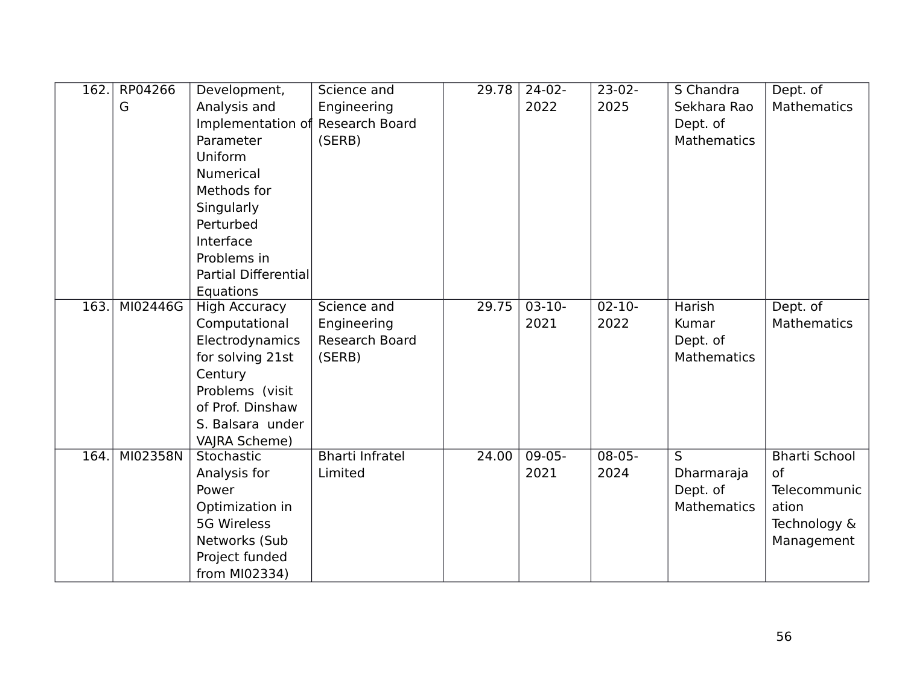| 162. | RP04266  | Development,                     | Science and            | 29.78 | $24-02-$ | $23-02-$    | S Chandra               | Dept. of             |
|------|----------|----------------------------------|------------------------|-------|----------|-------------|-------------------------|----------------------|
|      | G        | Analysis and                     | Engineering            |       | 2022     | 2025        | Sekhara Rao             | Mathematics          |
|      |          | Implementation of Research Board |                        |       |          |             | Dept. of                |                      |
|      |          | Parameter                        | (SERB)                 |       |          |             | Mathematics             |                      |
|      |          | Uniform                          |                        |       |          |             |                         |                      |
|      |          | <b>Numerical</b>                 |                        |       |          |             |                         |                      |
|      |          | Methods for                      |                        |       |          |             |                         |                      |
|      |          | Singularly                       |                        |       |          |             |                         |                      |
|      |          | Perturbed                        |                        |       |          |             |                         |                      |
|      |          | Interface                        |                        |       |          |             |                         |                      |
|      |          | Problems in                      |                        |       |          |             |                         |                      |
|      |          | <b>Partial Differential</b>      |                        |       |          |             |                         |                      |
|      |          | Equations                        |                        |       |          |             |                         |                      |
| 163. | MI02446G | <b>High Accuracy</b>             | Science and            | 29.75 | $03-10-$ | $02 - 10 -$ | <b>Harish</b>           | Dept. of             |
|      |          | Computational                    | Engineering            |       | 2021     | 2022        | Kumar                   | Mathematics          |
|      |          | Electrodynamics                  | Research Board         |       |          |             | Dept. of                |                      |
|      |          | for solving 21st                 | (SERB)                 |       |          |             | Mathematics             |                      |
|      |          | Century                          |                        |       |          |             |                         |                      |
|      |          | Problems (visit                  |                        |       |          |             |                         |                      |
|      |          | of Prof. Dinshaw                 |                        |       |          |             |                         |                      |
|      |          | S. Balsara under                 |                        |       |          |             |                         |                      |
|      |          | VAJRA Scheme)                    |                        |       |          |             |                         |                      |
| 164. | MI02358N | Stochastic                       | <b>Bharti Infratel</b> | 24.00 | $09-05-$ | $08 - 05 -$ | $\overline{\mathsf{s}}$ | <b>Bharti School</b> |
|      |          | Analysis for                     | Limited                |       | 2021     | 2024        | Dharmaraja              | <sub>of</sub>        |
|      |          | Power                            |                        |       |          |             | Dept. of                | Telecommunic         |
|      |          | Optimization in                  |                        |       |          |             | <b>Mathematics</b>      | ation                |
|      |          | <b>5G Wireless</b>               |                        |       |          |             |                         | Technology &         |
|      |          | Networks (Sub                    |                        |       |          |             |                         | Management           |
|      |          | Project funded                   |                        |       |          |             |                         |                      |
|      |          | from MI02334)                    |                        |       |          |             |                         |                      |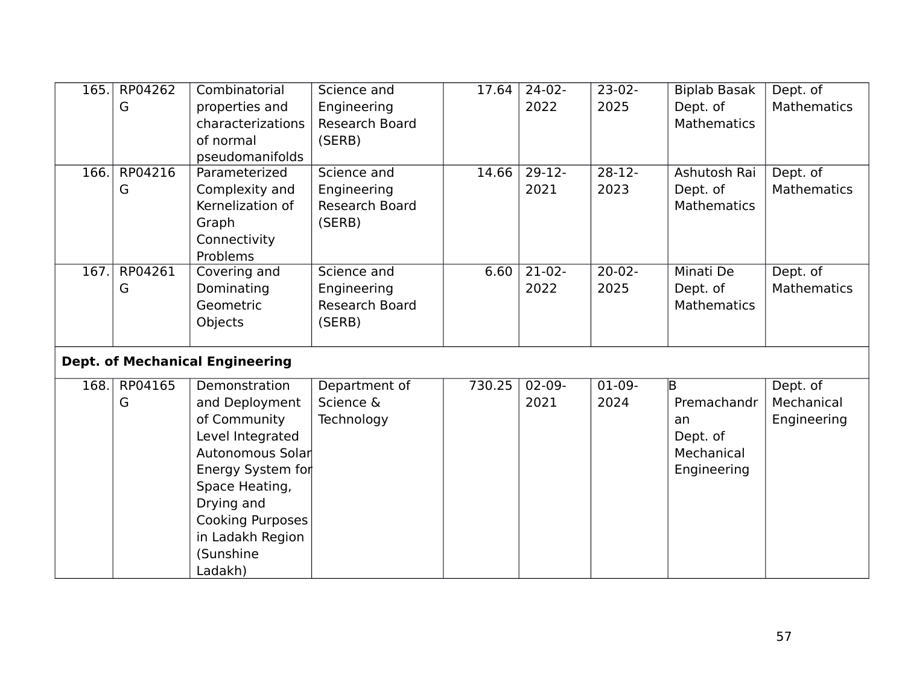| 165. | RP04262 | Combinatorial                          | Science and           | 17.64  | $24-02-$    | $23-02-$ | <b>Biplab Basak</b> | Dept. of           |
|------|---------|----------------------------------------|-----------------------|--------|-------------|----------|---------------------|--------------------|
|      | G       | properties and                         | Engineering           |        | 2022        | 2025     | Dept. of            | <b>Mathematics</b> |
|      |         | characterizations                      | Research Board        |        |             |          | <b>Mathematics</b>  |                    |
|      |         | of normal                              | (SERB)                |        |             |          |                     |                    |
|      |         | pseudomanifolds                        |                       |        |             |          |                     |                    |
| 166. | RP04216 | Parameterized                          | Science and           | 14.66  | $29-12-$    | $28-12-$ | Ashutosh Rai        | Dept. of           |
|      | G       | Complexity and                         | Engineering           |        | 2021        | 2023     | Dept. of            | <b>Mathematics</b> |
|      |         | Kernelization of                       | Research Board        |        |             |          | <b>Mathematics</b>  |                    |
|      |         | Graph                                  | (SERB)                |        |             |          |                     |                    |
|      |         | Connectivity                           |                       |        |             |          |                     |                    |
|      |         | Problems                               |                       |        |             |          |                     |                    |
| 167. | RP04261 | Covering and                           | Science and           | 6.60   | $21-02-$    | $20-02-$ | Minati De           | Dept. of           |
|      | G       | Dominating                             | Engineering           |        | 2022        | 2025     | Dept. of            | <b>Mathematics</b> |
|      |         | Geometric                              | <b>Research Board</b> |        |             |          | <b>Mathematics</b>  |                    |
|      |         | Objects                                | (SERB)                |        |             |          |                     |                    |
|      |         |                                        |                       |        |             |          |                     |                    |
|      |         | <b>Dept. of Mechanical Engineering</b> |                       |        |             |          |                     |                    |
| 168. | RP04165 | Demonstration                          | Department of         | 730.25 | $02 - 09 -$ | $01-09-$ | $\mathsf B$         | Dept. of           |
|      | G       | and Deployment                         | Science &             |        | 2021        | 2024     | Premachandr         | Mechanical         |
|      |         | of Community                           | Technology            |        |             |          | an                  | Engineering        |
|      |         | Level Integrated                       |                       |        |             |          | Dept. of            |                    |
|      |         | Autonomous Solar                       |                       |        |             |          | Mechanical          |                    |
|      |         | Energy System for                      |                       |        |             |          | Engineering         |                    |
|      |         | Space Heating,                         |                       |        |             |          |                     |                    |
|      |         | Drying and                             |                       |        |             |          |                     |                    |
|      |         | Cooking Purposes                       |                       |        |             |          |                     |                    |
|      |         | in Ladakh Region                       |                       |        |             |          |                     |                    |
|      |         | (Sunshine                              |                       |        |             |          |                     |                    |
|      |         | Ladakh)                                |                       |        |             |          |                     |                    |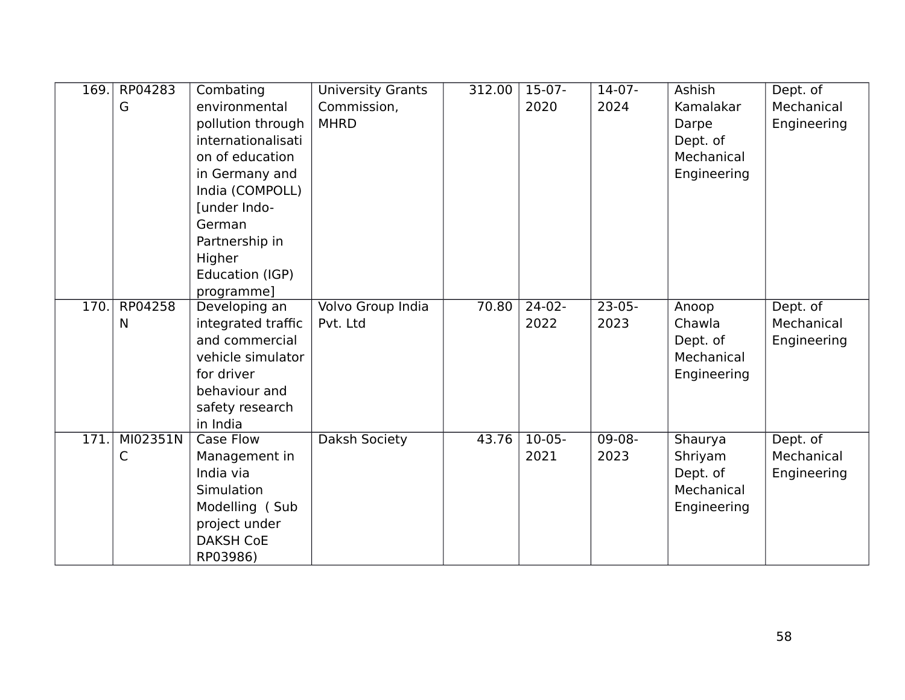| 169. | RP04283  | Combating                    | <b>University Grants</b> | 312.00 | $15-07-$ | $14-07-$ | Ashish      | Dept. of    |
|------|----------|------------------------------|--------------------------|--------|----------|----------|-------------|-------------|
|      | G        | environmental                | Commission,              |        | 2020     | 2024     | Kamalakar   | Mechanical  |
|      |          | pollution through            | <b>MHRD</b>              |        |          |          | Darpe       | Engineering |
|      |          | internationalisati           |                          |        |          |          | Dept. of    |             |
|      |          | on of education              |                          |        |          |          | Mechanical  |             |
|      |          | in Germany and               |                          |        |          |          | Engineering |             |
|      |          | India (COMPOLL)              |                          |        |          |          |             |             |
|      |          | [under Indo-                 |                          |        |          |          |             |             |
|      |          | German                       |                          |        |          |          |             |             |
|      |          | Partnership in               |                          |        |          |          |             |             |
|      |          | Higher                       |                          |        |          |          |             |             |
|      |          | Education (IGP)              |                          |        |          |          |             |             |
|      |          | programme]                   |                          |        |          |          |             |             |
| 170. | RP04258  | Developing an                | <b>Volvo Group India</b> | 70.80  | $24-02-$ | $23-05-$ | Anoop       | Dept. of    |
|      | N        | integrated traffic           | Pvt. Ltd                 |        | 2022     | 2023     | Chawla      | Mechanical  |
|      |          | and commercial               |                          |        |          |          | Dept. of    | Engineering |
|      |          | vehicle simulator            |                          |        |          |          | Mechanical  |             |
|      |          | for driver                   |                          |        |          |          | Engineering |             |
|      |          | behaviour and                |                          |        |          |          |             |             |
|      |          | safety research              |                          |        |          |          |             |             |
| 171. | MI02351N | in India<br><b>Case Flow</b> | Daksh Society            | 43.76  | $10-05-$ | $09-08-$ | Shaurya     | Dept. of    |
|      | С        | Management in                |                          |        | 2021     | 2023     | Shriyam     | Mechanical  |
|      |          | India via                    |                          |        |          |          | Dept. of    | Engineering |
|      |          | <b>Simulation</b>            |                          |        |          |          | Mechanical  |             |
|      |          | Modelling (Sub               |                          |        |          |          | Engineering |             |
|      |          | project under                |                          |        |          |          |             |             |
|      |          | <b>DAKSH CoE</b>             |                          |        |          |          |             |             |
|      |          | RP03986)                     |                          |        |          |          |             |             |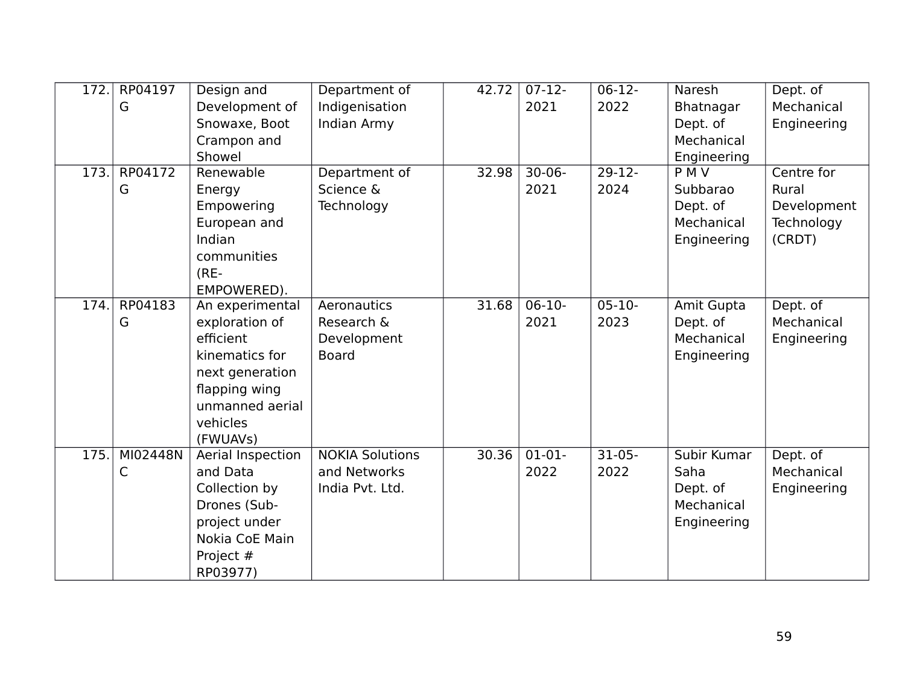| 172. | RP04197  | Design and        | Department of          | 42.72 | $07-12-$    | $06-12-$    | <b>Naresh</b> | Dept. of    |
|------|----------|-------------------|------------------------|-------|-------------|-------------|---------------|-------------|
|      | G        | Development of    | Indigenisation         |       | 2021        | 2022        | Bhatnagar     | Mechanical  |
|      |          | Snowaxe, Boot     | Indian Army            |       |             |             | Dept. of      | Engineering |
|      |          | Crampon and       |                        |       |             |             | Mechanical    |             |
|      |          | Showel            |                        |       |             |             | Engineering   |             |
| 173. | RP04172  | Renewable         | Department of          | 32.98 | $30 - 06 -$ | $29-12-$    | <b>PMV</b>    | Centre for  |
|      | G        | Energy            | Science &              |       | 2021        | 2024        | Subbarao      | Rural       |
|      |          | Empowering        | Technology             |       |             |             | Dept. of      | Development |
|      |          | European and      |                        |       |             |             | Mechanical    | Technology  |
|      |          | Indian            |                        |       |             |             | Engineering   | (CRDT)      |
|      |          | communities       |                        |       |             |             |               |             |
|      |          | $(RE-$            |                        |       |             |             |               |             |
|      |          | EMPOWERED).       |                        |       |             |             |               |             |
| 174. | RP04183  | An experimental   | Aeronautics            | 31.68 | $06-10-$    | $05 - 10 -$ | Amit Gupta    | Dept. of    |
|      | G        | exploration of    | Research &             |       | 2021        | 2023        | Dept. of      | Mechanical  |
|      |          | efficient         | Development            |       |             |             | Mechanical    | Engineering |
|      |          | kinematics for    | <b>Board</b>           |       |             |             | Engineering   |             |
|      |          | next generation   |                        |       |             |             |               |             |
|      |          | flapping wing     |                        |       |             |             |               |             |
|      |          | unmanned aerial   |                        |       |             |             |               |             |
|      |          | vehicles          |                        |       |             |             |               |             |
|      |          | (FWUAVs)          |                        |       |             |             |               |             |
| 175. | MI02448N | Aerial Inspection | <b>NOKIA Solutions</b> | 30.36 | $01-01-$    | $31-05-$    | Subir Kumar   | Dept. of    |
|      | C        | and Data          | and Networks           |       | 2022        | 2022        | Saha          | Mechanical  |
|      |          | Collection by     | India Pvt. Ltd.        |       |             |             | Dept. of      | Engineering |
|      |          | Drones (Sub-      |                        |       |             |             | Mechanical    |             |
|      |          | project under     |                        |       |             |             | Engineering   |             |
|      |          | Nokia CoE Main    |                        |       |             |             |               |             |
|      |          | Project #         |                        |       |             |             |               |             |
|      |          | RP03977)          |                        |       |             |             |               |             |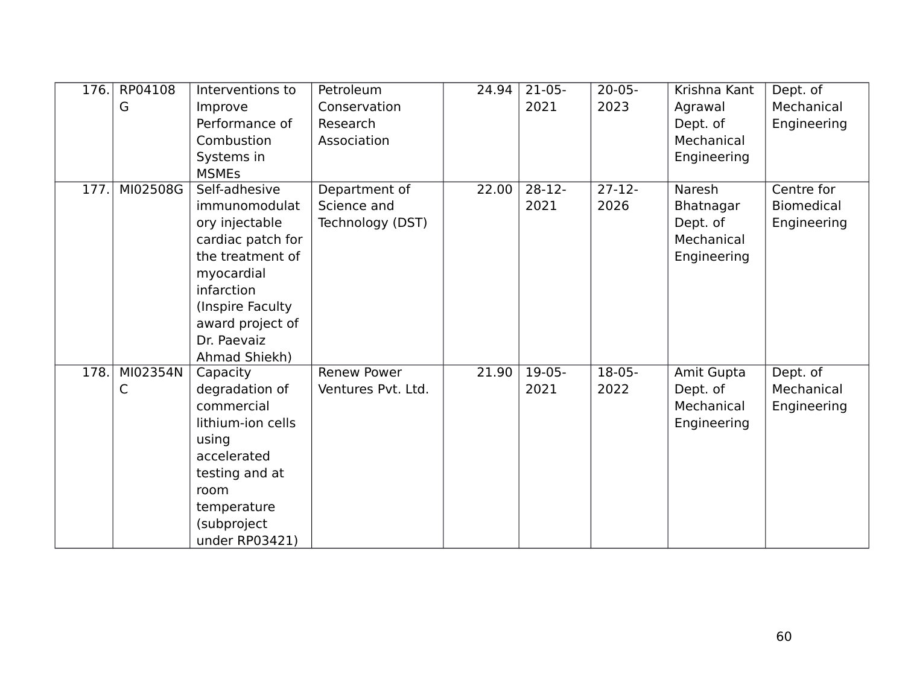| 176. | RP04108  | Interventions to  | Petroleum          | 24.94 | $21-05-$ | $20 - 05 -$ | Krishna Kant | Dept. of          |
|------|----------|-------------------|--------------------|-------|----------|-------------|--------------|-------------------|
|      | G        | Improve           | Conservation       |       | 2021     | 2023        | Agrawal      | Mechanical        |
|      |          | Performance of    | Research           |       |          |             | Dept. of     | Engineering       |
|      |          | Combustion        | Association        |       |          |             | Mechanical   |                   |
|      |          | Systems in        |                    |       |          |             | Engineering  |                   |
|      |          | <b>MSMEs</b>      |                    |       |          |             |              |                   |
| 177. | MI02508G | Self-adhesive     | Department of      | 22.00 | $28-12-$ | $27 - 12 -$ | Naresh       | Centre for        |
|      |          | immunomodulat     | Science and        |       | 2021     | 2026        | Bhatnagar    | <b>Biomedical</b> |
|      |          | ory injectable    | Technology (DST)   |       |          |             | Dept. of     | Engineering       |
|      |          | cardiac patch for |                    |       |          |             | Mechanical   |                   |
|      |          | the treatment of  |                    |       |          |             | Engineering  |                   |
|      |          | myocardial        |                    |       |          |             |              |                   |
|      |          | infarction        |                    |       |          |             |              |                   |
|      |          | (Inspire Faculty  |                    |       |          |             |              |                   |
|      |          | award project of  |                    |       |          |             |              |                   |
|      |          | Dr. Paevaiz       |                    |       |          |             |              |                   |
|      |          | Ahmad Shiekh)     |                    |       |          |             |              |                   |
| 178. | MI02354N | Capacity          | <b>Renew Power</b> | 21.90 | $19-05-$ | $18-05-$    | Amit Gupta   | Dept. of          |
|      | C        | degradation of    | Ventures Pvt. Ltd. |       | 2021     | 2022        | Dept. of     | Mechanical        |
|      |          | commercial        |                    |       |          |             | Mechanical   | Engineering       |
|      |          | lithium-ion cells |                    |       |          |             | Engineering  |                   |
|      |          | using             |                    |       |          |             |              |                   |
|      |          | accelerated       |                    |       |          |             |              |                   |
|      |          | testing and at    |                    |       |          |             |              |                   |
|      |          | room              |                    |       |          |             |              |                   |
|      |          | temperature       |                    |       |          |             |              |                   |
|      |          | (subproject       |                    |       |          |             |              |                   |
|      |          | under RP03421)    |                    |       |          |             |              |                   |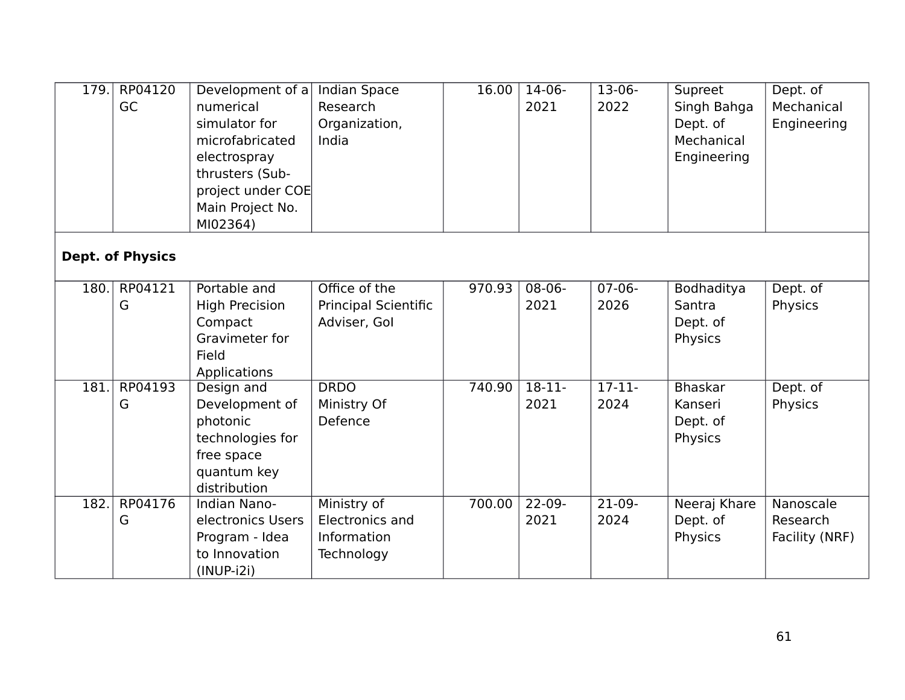| 179. | RP04120<br>GC           | Development of $a$<br>numerical<br>simulator for<br>microfabricated<br>electrospray<br>thrusters (Sub-<br>project under COE<br>Main Project No.<br>MI02364) | <b>Indian Space</b><br>Research<br>Organization,<br>India    | 16.00  | $14-06-$<br>2021    | $13-06-$<br>2022 | Supreet<br>Singh Bahga<br>Dept. of<br>Mechanical<br>Engineering | Dept. of<br>Mechanical<br>Engineering   |
|------|-------------------------|-------------------------------------------------------------------------------------------------------------------------------------------------------------|--------------------------------------------------------------|--------|---------------------|------------------|-----------------------------------------------------------------|-----------------------------------------|
|      | <b>Dept. of Physics</b> |                                                                                                                                                             |                                                              |        |                     |                  |                                                                 |                                         |
| 180. | RP04121<br>G            | Portable and<br><b>High Precision</b><br>Compact<br>Gravimeter for<br>Field<br>Applications                                                                 | Office of the<br><b>Principal Scientific</b><br>Adviser, Gol | 970.93 | $08-06-$<br>2021    | $07-06-$<br>2026 | Bodhaditya<br>Santra<br>Dept. of<br>Physics                     | Dept. of<br>Physics                     |
| 181. | RP04193<br>G            | Design and<br>Development of<br>photonic<br>technologies for<br>free space<br>quantum key<br>distribution                                                   | <b>DRDO</b><br>Ministry Of<br>Defence                        | 740.90 | $18-11-$<br>2021    | $17-11-$<br>2024 | <b>Bhaskar</b><br>Kanseri<br>Dept. of<br>Physics                | Dept. of<br>Physics                     |
| 182. | RP04176<br>G            | Indian Nano-<br>electronics Users<br>Program - Idea<br>to Innovation<br>$(INUP-i2i)$                                                                        | Ministry of<br>Electronics and<br>Information<br>Technology  | 700.00 | $22 - 09 -$<br>2021 | $21-09-$<br>2024 | Neeraj Khare<br>Dept. of<br>Physics                             | Nanoscale<br>Research<br>Facility (NRF) |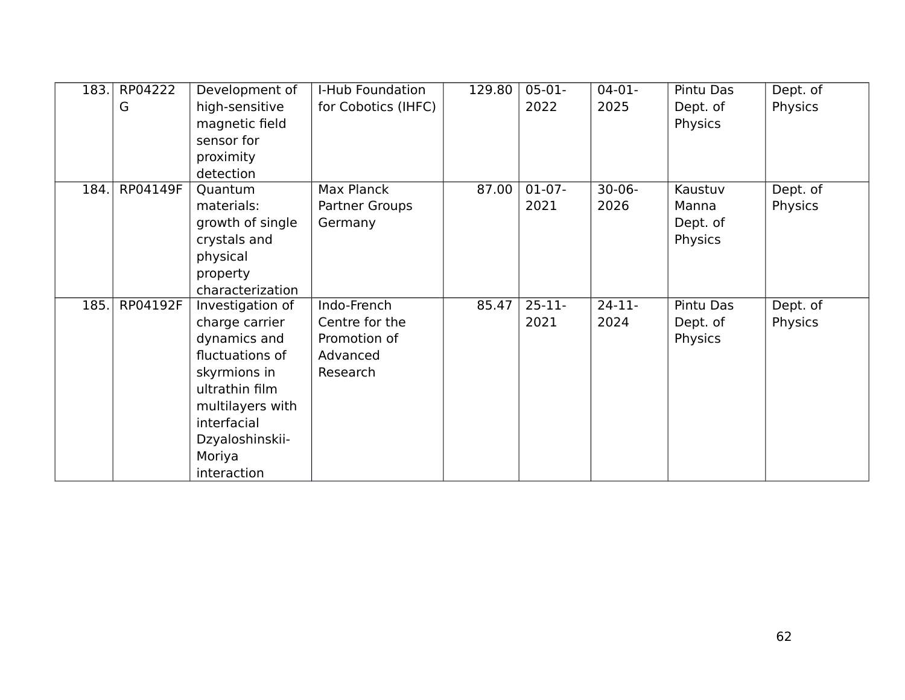| 183. | RP04222  | Development of   | I-Hub Foundation    | 129.80 | $05-01-$  | $04 - 01 -$ | Pintu Das | Dept. of |
|------|----------|------------------|---------------------|--------|-----------|-------------|-----------|----------|
|      | G        | high-sensitive   | for Cobotics (IHFC) |        | 2022      | 2025        | Dept. of  | Physics  |
|      |          | magnetic field   |                     |        |           |             | Physics   |          |
|      |          | sensor for       |                     |        |           |             |           |          |
|      |          | proximity        |                     |        |           |             |           |          |
|      |          | detection        |                     |        |           |             |           |          |
| 184. | RP04149F | Quantum          | Max Planck          | 87.00  | $01-07-$  | $30 - 06 -$ | Kaustuv   | Dept. of |
|      |          | materials:       | Partner Groups      |        | 2021      | 2026        | Manna     | Physics  |
|      |          | growth of single | Germany             |        |           |             | Dept. of  |          |
|      |          | crystals and     |                     |        |           |             | Physics   |          |
|      |          | physical         |                     |        |           |             |           |          |
|      |          | property         |                     |        |           |             |           |          |
|      |          | characterization |                     |        |           |             |           |          |
| 185. | RP04192F | Investigation of | Indo-French         | 85.47  | $25 - 11$ | $24-11-$    | Pintu Das | Dept. of |
|      |          | charge carrier   | Centre for the      |        | 2021      | 2024        | Dept. of  | Physics  |
|      |          | dynamics and     | Promotion of        |        |           |             | Physics   |          |
|      |          | fluctuations of  | Advanced            |        |           |             |           |          |
|      |          | skyrmions in     | Research            |        |           |             |           |          |
|      |          | ultrathin film   |                     |        |           |             |           |          |
|      |          | multilayers with |                     |        |           |             |           |          |
|      |          | interfacial      |                     |        |           |             |           |          |
|      |          | Dzyaloshinskii-  |                     |        |           |             |           |          |
|      |          | Moriya           |                     |        |           |             |           |          |
|      |          | interaction      |                     |        |           |             |           |          |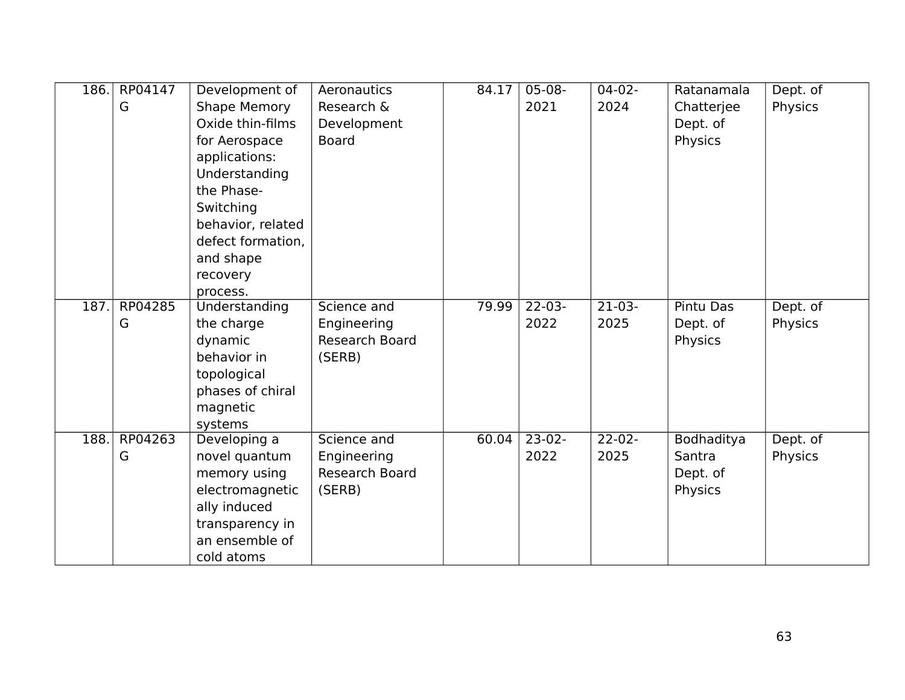| 186. | RP04147 | Development of      | Aeronautics    | 84.17 | $05-08-$    | $04-02-$    | Ratanamala       | Dept. of |
|------|---------|---------------------|----------------|-------|-------------|-------------|------------------|----------|
|      | G       | <b>Shape Memory</b> | Research &     |       | 2021        | 2024        | Chatterjee       | Physics  |
|      |         | Oxide thin-films    | Development    |       |             |             | Dept. of         |          |
|      |         | for Aerospace       | <b>Board</b>   |       |             |             | Physics          |          |
|      |         | applications:       |                |       |             |             |                  |          |
|      |         | Understanding       |                |       |             |             |                  |          |
|      |         | the Phase-          |                |       |             |             |                  |          |
|      |         | Switching           |                |       |             |             |                  |          |
|      |         | behavior, related   |                |       |             |             |                  |          |
|      |         | defect formation,   |                |       |             |             |                  |          |
|      |         | and shape           |                |       |             |             |                  |          |
|      |         | recovery            |                |       |             |             |                  |          |
|      |         | process.            |                |       |             |             |                  |          |
| 187. | RP04285 | Understanding       | Science and    | 79.99 | $22 - 03 -$ | $21-03-$    | <b>Pintu Das</b> | Dept. of |
|      | G       | the charge          | Engineering    |       | 2022        | 2025        | Dept. of         | Physics  |
|      |         | dynamic             | Research Board |       |             |             | Physics          |          |
|      |         | behavior in         | (SERB)         |       |             |             |                  |          |
|      |         | topological         |                |       |             |             |                  |          |
|      |         | phases of chiral    |                |       |             |             |                  |          |
|      |         | magnetic            |                |       |             |             |                  |          |
|      |         | systems             |                |       |             |             |                  |          |
| 188. | RP04263 | Developing a        | Science and    | 60.04 | $23-02-$    | $22 - 02 -$ | Bodhaditya       | Dept. of |
|      | G       | novel quantum       | Engineering    |       | 2022        | 2025        | Santra           | Physics  |
|      |         | memory using        | Research Board |       |             |             | Dept. of         |          |
|      |         | electromagnetic     | (SERB)         |       |             |             | Physics          |          |
|      |         | ally induced        |                |       |             |             |                  |          |
|      |         | transparency in     |                |       |             |             |                  |          |
|      |         | an ensemble of      |                |       |             |             |                  |          |
|      |         | cold atoms          |                |       |             |             |                  |          |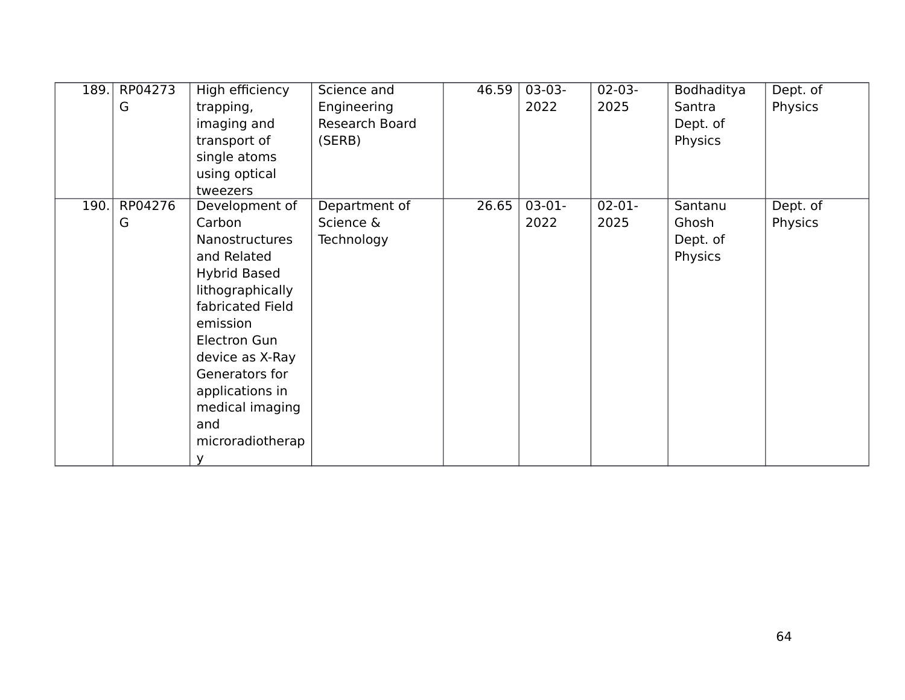| 189. | RP04273 | High efficiency       | Science and    | 46.59 | $03-03-$ | $02-03-$ | Bodhaditya | Dept. of |
|------|---------|-----------------------|----------------|-------|----------|----------|------------|----------|
|      | G       | trapping,             | Engineering    |       | 2022     | 2025     | Santra     | Physics  |
|      |         | imaging and           | Research Board |       |          |          | Dept. of   |          |
|      |         | transport of          | (SERB)         |       |          |          | Physics    |          |
|      |         | single atoms          |                |       |          |          |            |          |
|      |         | using optical         |                |       |          |          |            |          |
|      |         | tweezers              |                |       |          |          |            |          |
| 190. | RP04276 | Development of        | Department of  | 26.65 | $03-01-$ | $02-01-$ | Santanu    | Dept. of |
|      | G       | Carbon                | Science &      |       | 2022     | 2025     | Ghosh      | Physics  |
|      |         | <b>Nanostructures</b> | Technology     |       |          |          | Dept. of   |          |
|      |         | and Related           |                |       |          |          | Physics    |          |
|      |         | <b>Hybrid Based</b>   |                |       |          |          |            |          |
|      |         | lithographically      |                |       |          |          |            |          |
|      |         | fabricated Field      |                |       |          |          |            |          |
|      |         | emission              |                |       |          |          |            |          |
|      |         | Electron Gun          |                |       |          |          |            |          |
|      |         | device as X-Ray       |                |       |          |          |            |          |
|      |         | Generators for        |                |       |          |          |            |          |
|      |         | applications in       |                |       |          |          |            |          |
|      |         | medical imaging       |                |       |          |          |            |          |
|      |         | and                   |                |       |          |          |            |          |
|      |         | microradiotherap      |                |       |          |          |            |          |
|      |         | У                     |                |       |          |          |            |          |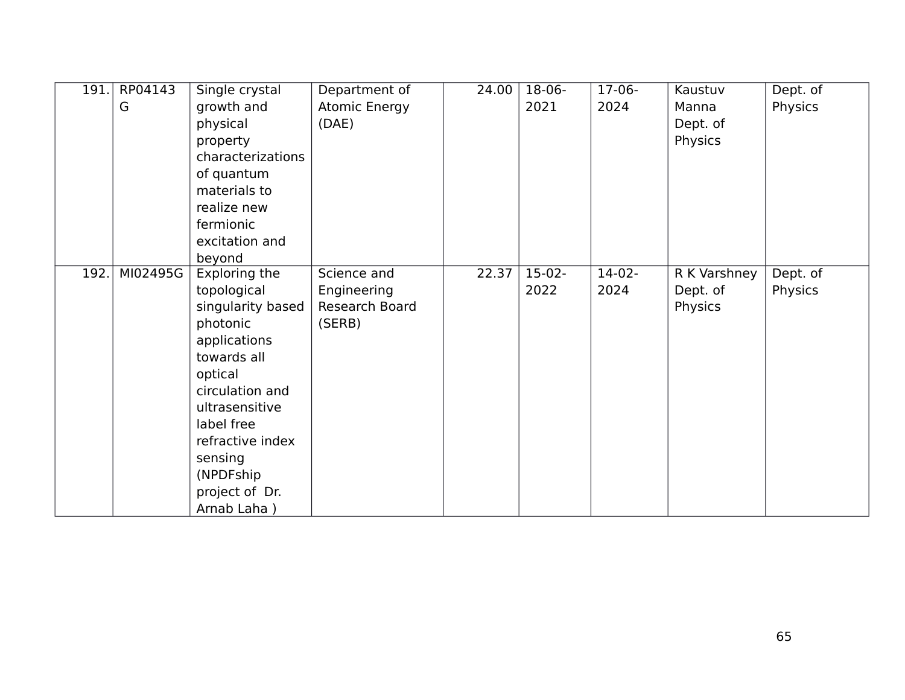| 191. | RP04143<br>G | Single crystal<br>growth and<br>physical<br>property<br>characterizations<br>of quantum                                                                                                                                                  | Department of<br>Atomic Energy<br>(DAE)                | 24.00 | 18-06-<br>2021   | $17-06-$<br>2024 | Kaustuv<br>Manna<br>Dept. of<br>Physics | Dept. of<br>Physics |
|------|--------------|------------------------------------------------------------------------------------------------------------------------------------------------------------------------------------------------------------------------------------------|--------------------------------------------------------|-------|------------------|------------------|-----------------------------------------|---------------------|
|      |              | materials to<br>realize new<br>fermionic<br>excitation and<br>beyond                                                                                                                                                                     |                                                        |       |                  |                  |                                         |                     |
| 192. | MI02495G     | Exploring the<br>topological<br>singularity based<br>photonic<br>applications<br>towards all<br>optical<br>circulation and<br>ultrasensitive<br>label free<br>refractive index<br>sensing<br>(NPDFship)<br>project of Dr.<br>Arnab Laha) | Science and<br>Engineering<br>Research Board<br>(SERB) | 22.37 | $15-02-$<br>2022 | $14-02-$<br>2024 | R K Varshney<br>Dept. of<br>Physics     | Dept. of<br>Physics |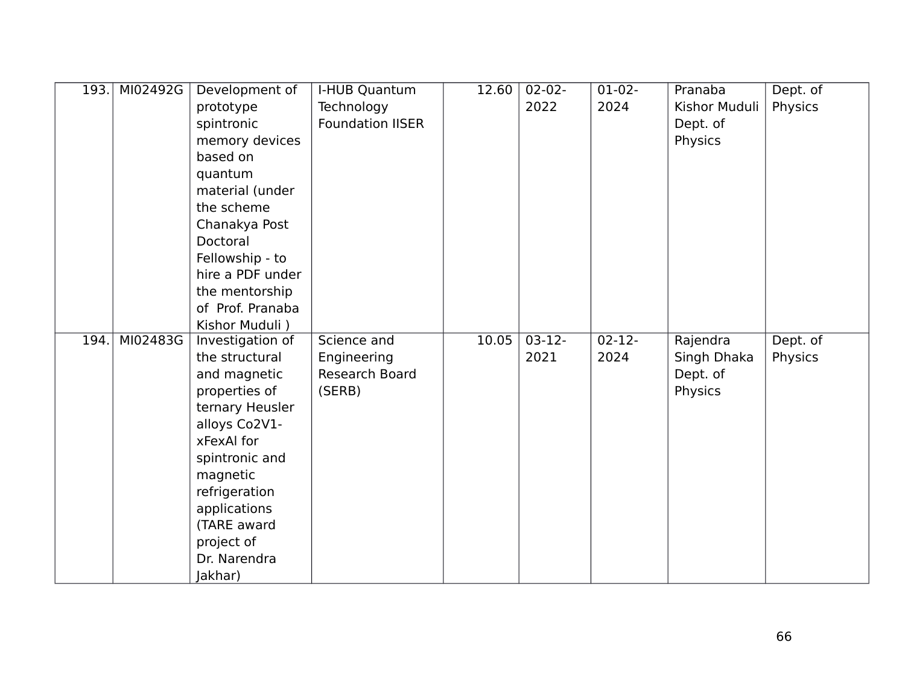| 193. | MI02492G | Development of          | I-HUB Quantum           | 12.60 | $02 - 02 -$ | $01-02-$    | Pranaba       | Dept. of |
|------|----------|-------------------------|-------------------------|-------|-------------|-------------|---------------|----------|
|      |          | prototype               | Technology              |       | 2022        | 2024        | Kishor Muduli | Physics  |
|      |          | spintronic              | <b>Foundation IISER</b> |       |             |             | Dept. of      |          |
|      |          | memory devices          |                         |       |             |             | Physics       |          |
|      |          | based on                |                         |       |             |             |               |          |
|      |          | quantum                 |                         |       |             |             |               |          |
|      |          | material (under         |                         |       |             |             |               |          |
|      |          | the scheme              |                         |       |             |             |               |          |
|      |          | Chanakya Post           |                         |       |             |             |               |          |
|      |          | Doctoral                |                         |       |             |             |               |          |
|      |          | Fellowship - to         |                         |       |             |             |               |          |
|      |          | hire a PDF under        |                         |       |             |             |               |          |
|      |          | the mentorship          |                         |       |             |             |               |          |
|      |          | of Prof. Pranaba        |                         |       |             |             |               |          |
|      |          | Kishor Muduli)          |                         |       |             |             |               |          |
|      |          |                         |                         |       |             |             |               |          |
| 194  | MI02483G | Investigation of        | Science and             | 10.05 | $03-12-$    | $02 - 12 -$ | Rajendra      | Dept. of |
|      |          | the structural          | Engineering             |       | 2021        | 2024        | Singh Dhaka   | Physics  |
|      |          | and magnetic            | Research Board          |       |             |             | Dept. of      |          |
|      |          | properties of           | (SERB)                  |       |             |             | Physics       |          |
|      |          | ternary Heusler         |                         |       |             |             |               |          |
|      |          | alloys Co2V1-           |                         |       |             |             |               |          |
|      |          | xFexAl for              |                         |       |             |             |               |          |
|      |          | spintronic and          |                         |       |             |             |               |          |
|      |          | magnetic                |                         |       |             |             |               |          |
|      |          | refrigeration           |                         |       |             |             |               |          |
|      |          | applications            |                         |       |             |             |               |          |
|      |          | (TARE award             |                         |       |             |             |               |          |
|      |          | project of              |                         |       |             |             |               |          |
|      |          | Dr. Narendra<br>Jakhar) |                         |       |             |             |               |          |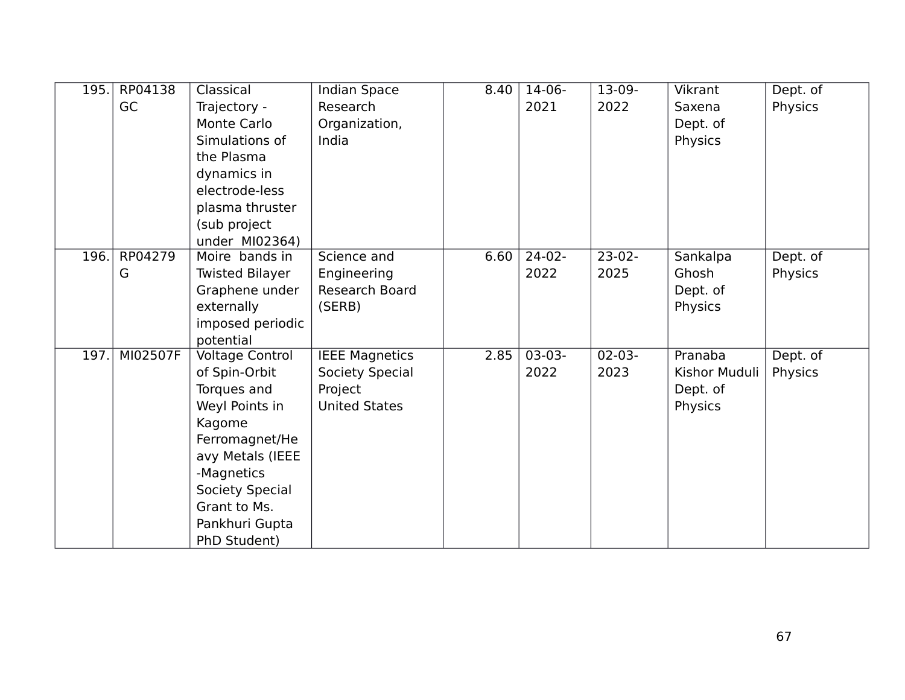| 195. | RP04138  | Classical              | Indian Space          | 8.40 | $14-06-$ | 13-09-      | Vikrant       | Dept. of |
|------|----------|------------------------|-----------------------|------|----------|-------------|---------------|----------|
|      | GC       | Trajectory -           | Research              |      | 2021     | 2022        | Saxena        | Physics  |
|      |          | <b>Monte Carlo</b>     | Organization,         |      |          |             | Dept. of      |          |
|      |          | Simulations of         | India                 |      |          |             | Physics       |          |
|      |          | the Plasma             |                       |      |          |             |               |          |
|      |          | dynamics in            |                       |      |          |             |               |          |
|      |          | electrode-less         |                       |      |          |             |               |          |
|      |          | plasma thruster        |                       |      |          |             |               |          |
|      |          | (sub project           |                       |      |          |             |               |          |
|      |          | under MI02364)         |                       |      |          |             |               |          |
| 196. | RP04279  | Moire bands in         | Science and           | 6.60 | $24-02-$ | $23-02-$    | Sankalpa      | Dept. of |
|      | G        | <b>Twisted Bilayer</b> | Engineering           |      | 2022     | 2025        | Ghosh         | Physics  |
|      |          | Graphene under         | <b>Research Board</b> |      |          |             | Dept. of      |          |
|      |          | externally             | (SERB)                |      |          |             | Physics       |          |
|      |          | imposed periodic       |                       |      |          |             |               |          |
|      |          | potential              |                       |      |          |             |               |          |
| 197. | MI02507F | <b>Voltage Control</b> | <b>IEEE Magnetics</b> | 2.85 | $03-03-$ | $02 - 03 -$ | Pranaba       | Dept. of |
|      |          | of Spin-Orbit          | Society Special       |      | 2022     | 2023        | Kishor Muduli | Physics  |
|      |          | Torques and            | Project               |      |          |             | Dept. of      |          |
|      |          | Weyl Points in         | <b>United States</b>  |      |          |             | Physics       |          |
|      |          | Kagome                 |                       |      |          |             |               |          |
|      |          | Ferromagnet/He         |                       |      |          |             |               |          |
|      |          | avy Metals (IEEE       |                       |      |          |             |               |          |
|      |          | -Magnetics             |                       |      |          |             |               |          |
|      |          | Society Special        |                       |      |          |             |               |          |
|      |          | Grant to Ms.           |                       |      |          |             |               |          |
|      |          | Pankhuri Gupta         |                       |      |          |             |               |          |
|      |          | PhD Student)           |                       |      |          |             |               |          |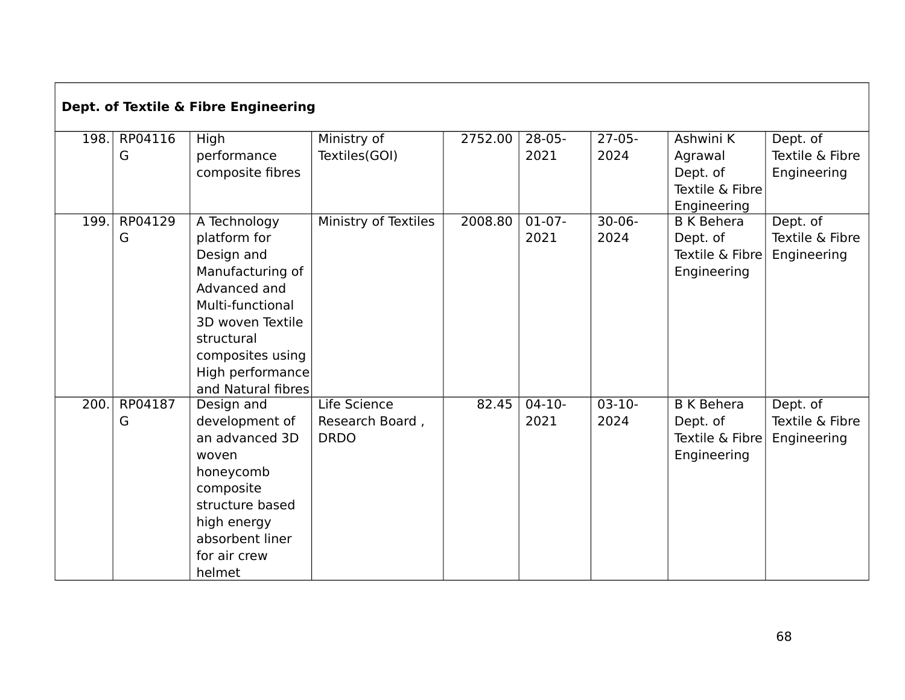| Dept. of Textile & Fibre Engineering |         |                    |                      |         |          |             |                   |                 |  |  |
|--------------------------------------|---------|--------------------|----------------------|---------|----------|-------------|-------------------|-----------------|--|--|
| 198.                                 | RP04116 | <b>High</b>        | Ministry of          | 2752.00 | $28-05-$ | $27-05-$    | Ashwini K         | Dept. of        |  |  |
|                                      | G       | performance        | Textiles(GOI)        |         | 2021     | 2024        | Agrawal           | Textile & Fibre |  |  |
|                                      |         | composite fibres   |                      |         |          |             | Dept. of          | Engineering     |  |  |
|                                      |         |                    |                      |         |          |             | Textile & Fibre   |                 |  |  |
|                                      |         |                    |                      |         |          |             | Engineering       |                 |  |  |
| 199.                                 | RP04129 | A Technology       | Ministry of Textiles | 2008.80 | $01-07-$ | $30 - 06 -$ | <b>B K Behera</b> | Dept. of        |  |  |
|                                      | G       | platform for       |                      |         | 2021     | 2024        | Dept. of          | Textile & Fibre |  |  |
|                                      |         | Design and         |                      |         |          |             | Textile & Fibre   | Engineering     |  |  |
|                                      |         | Manufacturing of   |                      |         |          |             | Engineering       |                 |  |  |
|                                      |         | Advanced and       |                      |         |          |             |                   |                 |  |  |
|                                      |         | Multi-functional   |                      |         |          |             |                   |                 |  |  |
|                                      |         | 3D woven Textile   |                      |         |          |             |                   |                 |  |  |
|                                      |         | structural         |                      |         |          |             |                   |                 |  |  |
|                                      |         | composites using   |                      |         |          |             |                   |                 |  |  |
|                                      |         | High performance   |                      |         |          |             |                   |                 |  |  |
|                                      |         | and Natural fibres |                      |         |          |             |                   |                 |  |  |
| 200.                                 | RP04187 | Design and         | Life Science         | 82.45   | $04-10-$ | $03-10-$    | <b>B</b> K Behera | Dept. of        |  |  |
|                                      | G       | development of     | Research Board,      |         | 2021     | 2024        | Dept. of          | Textile & Fibre |  |  |
|                                      |         | an advanced 3D     | <b>DRDO</b>          |         |          |             | Textile & Fibre   | Engineering     |  |  |
|                                      |         | woven              |                      |         |          |             | Engineering       |                 |  |  |
|                                      |         | honeycomb          |                      |         |          |             |                   |                 |  |  |
|                                      |         | composite          |                      |         |          |             |                   |                 |  |  |
|                                      |         | structure based    |                      |         |          |             |                   |                 |  |  |
|                                      |         | high energy        |                      |         |          |             |                   |                 |  |  |
|                                      |         | absorbent liner    |                      |         |          |             |                   |                 |  |  |
|                                      |         | for air crew       |                      |         |          |             |                   |                 |  |  |
|                                      |         | helmet             |                      |         |          |             |                   |                 |  |  |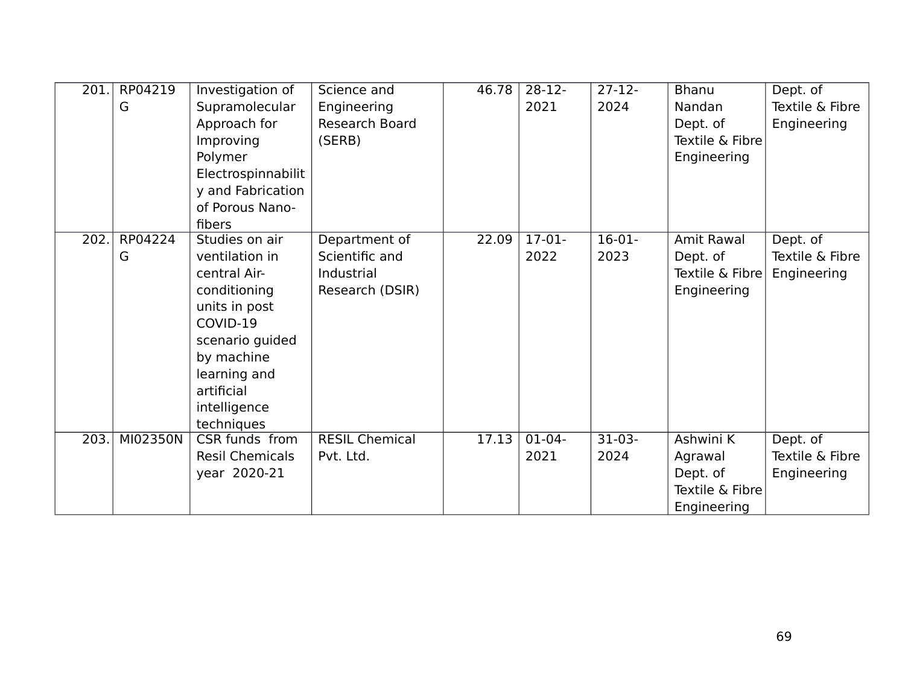| 201. | RP04219<br>G | Investigation of<br>Supramolecular<br>Approach for<br>Improving<br>Polymer<br>Electrospinnabilit<br>y and Fabrication<br>of Porous Nano-<br>fibers                                         | Science and<br>Engineering<br>Research Board<br>(SERB)           | 46.78 | $28-12-$<br>2021 | $27 - 12$<br>2024 | <b>Bhanu</b><br><b>Nandan</b><br>Dept. of<br>Textile & Fibre<br>Engineering | Dept. of<br>Textile & Fibre<br>Engineering |
|------|--------------|--------------------------------------------------------------------------------------------------------------------------------------------------------------------------------------------|------------------------------------------------------------------|-------|------------------|-------------------|-----------------------------------------------------------------------------|--------------------------------------------|
| 202. | RP04224<br>G | Studies on air<br>ventilation in<br>central Air-<br>conditioning<br>units in post<br>COVID-19<br>scenario guided<br>by machine<br>learning and<br>artificial<br>intelligence<br>techniques | Department of<br>Scientific and<br>Industrial<br>Research (DSIR) | 22.09 | $17-01-$<br>2022 | $16-01-$<br>2023  | Amit Rawal<br>Dept. of<br>Textile & Fibre<br>Engineering                    | Dept. of<br>Textile & Fibre<br>Engineering |
| 203. | MI02350N     | CSR funds from<br><b>Resil Chemicals</b><br>year 2020-21                                                                                                                                   | <b>RESIL Chemical</b><br>Pvt. Ltd.                               | 17.13 | $01-04-$<br>2021 | $31-03-$<br>2024  | Ashwini K<br>Agrawal<br>Dept. of<br>Textile & Fibre<br>Engineering          | Dept. of<br>Textile & Fibre<br>Engineering |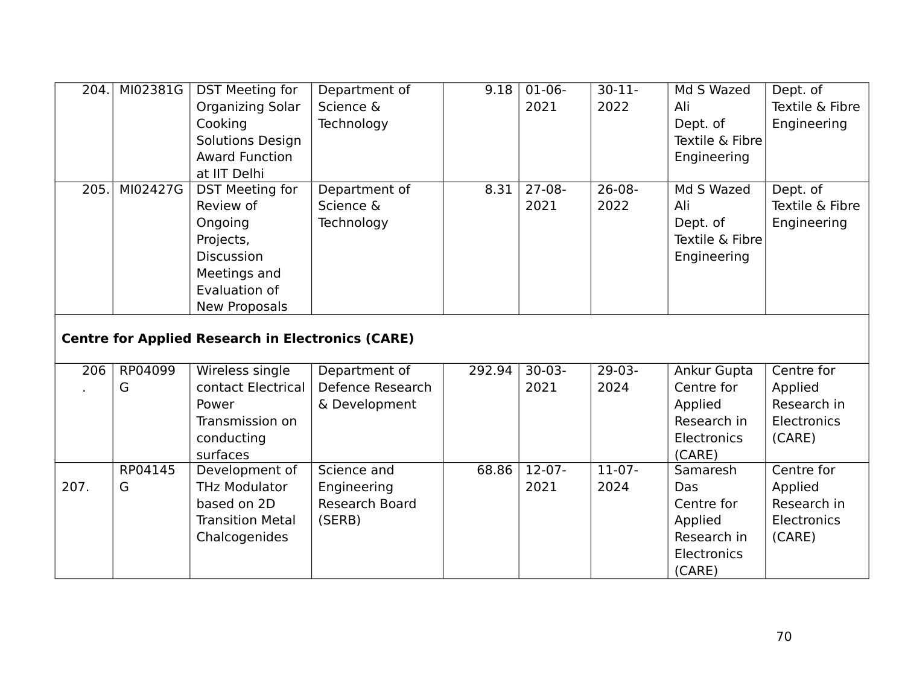| 204.             | MI02381G | <b>DST Meeting for</b>                                   | Department of         | 9.18   | $01-06-$ | $30 - 11 -$ | Md S Wazed      | Dept. of           |
|------------------|----------|----------------------------------------------------------|-----------------------|--------|----------|-------------|-----------------|--------------------|
|                  |          | <b>Organizing Solar</b>                                  | Science &             |        | 2021     | 2022        | Ali             | Textile & Fibre    |
|                  |          | Cooking                                                  | Technology            |        |          |             | Dept. of        | Engineering        |
|                  |          | Solutions Design                                         |                       |        |          |             | Textile & Fibre |                    |
|                  |          | <b>Award Function</b>                                    |                       |        |          |             | Engineering     |                    |
|                  |          | at IIT Delhi                                             |                       |        |          |             |                 |                    |
| 205.             | MI02427G | <b>DST Meeting for</b>                                   | Department of         | 8.31   | $27-08-$ | $26 - 08 -$ | Md S Wazed      | Dept. of           |
|                  |          | Review of                                                | Science &             |        | 2021     | 2022        | Ali             | Textile & Fibre    |
|                  |          | Ongoing                                                  | Technology            |        |          |             | Dept. of        | Engineering        |
|                  |          | Projects,                                                |                       |        |          |             | Textile & Fibre |                    |
|                  |          | <b>Discussion</b>                                        |                       |        |          |             | Engineering     |                    |
|                  |          | Meetings and                                             |                       |        |          |             |                 |                    |
|                  |          | Evaluation of                                            |                       |        |          |             |                 |                    |
|                  |          | <b>New Proposals</b>                                     |                       |        |          |             |                 |                    |
|                  |          | <b>Centre for Applied Research in Electronics (CARE)</b> |                       |        |          |             |                 |                    |
| $\overline{206}$ | RP04099  | Wireless single                                          | Department of         | 292.94 | $30-03-$ | $29-03-$    | Ankur Gupta     | Centre for         |
|                  | G        | contact Electrical                                       | Defence Research      |        | 2021     | 2024        | Centre for      | Applied            |
|                  |          | Power                                                    | & Development         |        |          |             | Applied         | Research in        |
|                  |          | Transmission on                                          |                       |        |          |             | Research in     | <b>Electronics</b> |
|                  |          | conducting                                               |                       |        |          |             | Electronics     | (CARE)             |
|                  |          | surfaces                                                 |                       |        |          |             | (CARE)          |                    |
|                  | RP04145  | Development of                                           | Science and           | 68.86  | $12-07-$ | $11-07-$    | Samaresh        | Centre for         |
| 207.             | G        | <b>THz Modulator</b>                                     | Engineering           |        | 2021     | 2024        | Das             | Applied            |
|                  |          | based on 2D                                              | <b>Research Board</b> |        |          |             | Centre for      | Research in        |
|                  |          | <b>Transition Metal</b>                                  | (SERB)                |        |          |             | Applied         | Electronics        |
|                  |          | Chalcogenides                                            |                       |        |          |             | Research in     | (CARE)             |
|                  |          |                                                          |                       |        |          |             | Electronics     |                    |
|                  |          |                                                          |                       |        |          |             | (CARE)          |                    |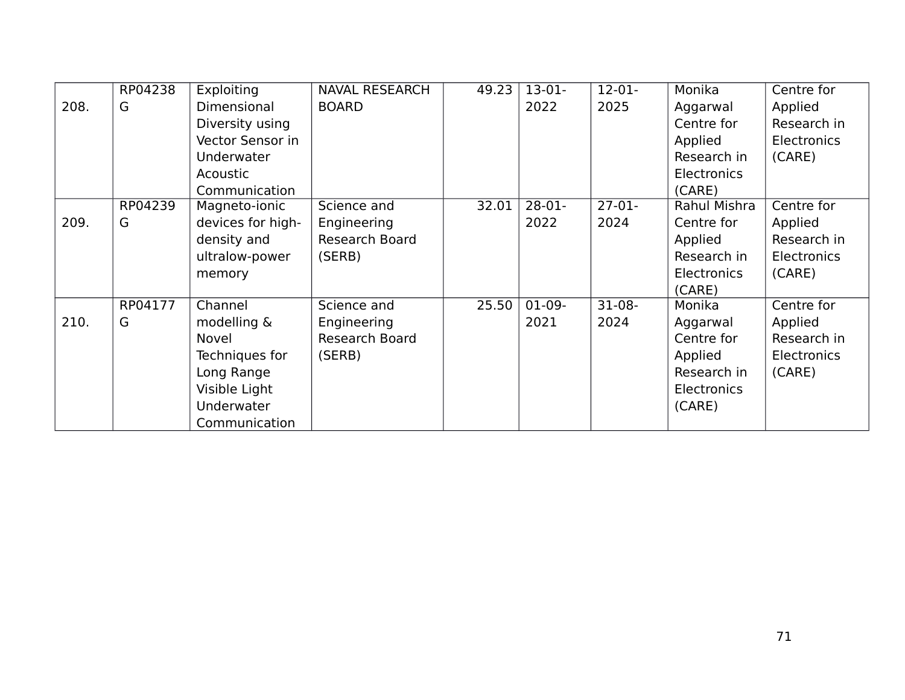|      | RP04238 | Exploiting        | <b>NAVAL RESEARCH</b> | 49.23 | $13-01-$ | $12 - 01 -$ | Monika             | Centre for         |
|------|---------|-------------------|-----------------------|-------|----------|-------------|--------------------|--------------------|
| 208. | G       | Dimensional       | <b>BOARD</b>          |       | 2022     | 2025        | Aggarwal           | Applied            |
|      |         | Diversity using   |                       |       |          |             | Centre for         | Research in        |
|      |         | Vector Sensor in  |                       |       |          |             | Applied            | <b>Electronics</b> |
|      |         | Underwater        |                       |       |          |             | Research in        | (CARE)             |
|      |         | Acoustic          |                       |       |          |             | Electronics        |                    |
|      |         | Communication     |                       |       |          |             | (CARE)             |                    |
|      | RP04239 | Magneto-ionic     | Science and           | 32.01 | $28-01-$ | $27-01-$    | Rahul Mishra       | Centre for         |
| 209. | G       | devices for high- | Engineering           |       | 2022     | 2024        | Centre for         | Applied            |
|      |         | density and       | Research Board        |       |          |             | Applied            | Research in        |
|      |         | ultralow-power    | (SERB)                |       |          |             | Research in        | Electronics        |
|      |         | memory            |                       |       |          |             | Electronics        | (CARE)             |
|      |         |                   |                       |       |          |             | (CARE)             |                    |
|      | RP04177 | Channel           | Science and           | 25.50 | $01-09-$ | $31-08-$    | Monika             | Centre for         |
| 210. | G       | modelling &       | Engineering           |       | 2021     | 2024        | Aggarwal           | Applied            |
|      |         | Novel             | Research Board        |       |          |             | Centre for         | Research in        |
|      |         | Techniques for    | (SERB)                |       |          |             | Applied            | Electronics        |
|      |         | Long Range        |                       |       |          |             | Research in        | (CARE)             |
|      |         | Visible Light     |                       |       |          |             | <b>Electronics</b> |                    |
|      |         | Underwater        |                       |       |          |             | (CARE)             |                    |
|      |         | Communication     |                       |       |          |             |                    |                    |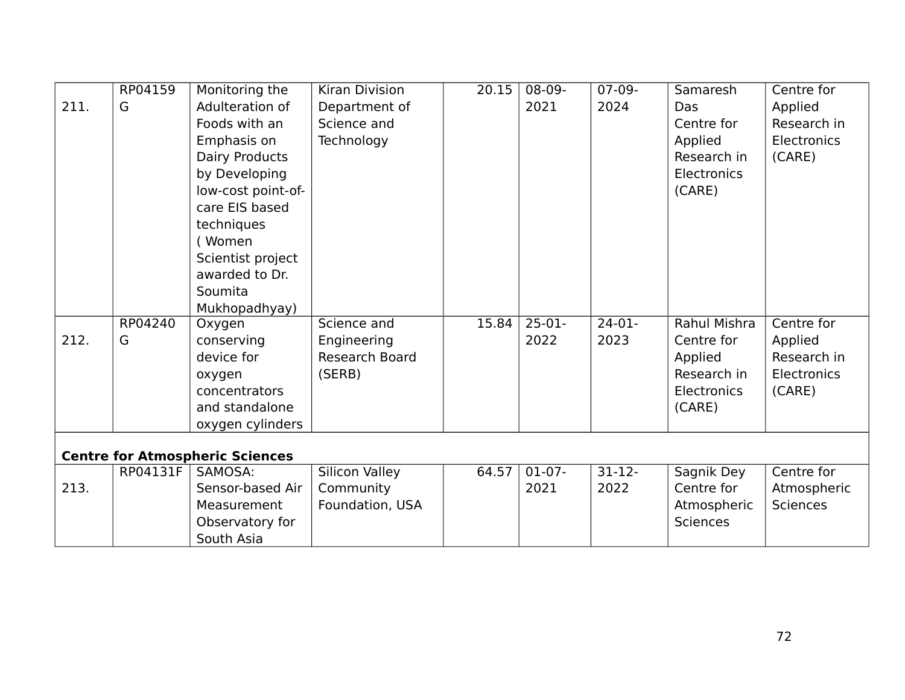|      | RP04159  | Monitoring the                         | <b>Kiran Division</b> | 20.15 | $08-09-$ | $07-09-$  | Samaresh        | Centre for      |
|------|----------|----------------------------------------|-----------------------|-------|----------|-----------|-----------------|-----------------|
| 211. | G        | Adulteration of                        | Department of         |       | 2021     | 2024      | Das             | Applied         |
|      |          | Foods with an                          | Science and           |       |          |           | Centre for      | Research in     |
|      |          | Emphasis on                            | Technology            |       |          |           | Applied         | Electronics     |
|      |          | Dairy Products                         |                       |       |          |           | Research in     | (CARE)          |
|      |          | by Developing                          |                       |       |          |           | Electronics     |                 |
|      |          | low-cost point-of-                     |                       |       |          |           | (CARE)          |                 |
|      |          | care EIS based                         |                       |       |          |           |                 |                 |
|      |          | techniques                             |                       |       |          |           |                 |                 |
|      |          | (Women                                 |                       |       |          |           |                 |                 |
|      |          | Scientist project                      |                       |       |          |           |                 |                 |
|      |          | awarded to Dr.                         |                       |       |          |           |                 |                 |
|      |          | Soumita                                |                       |       |          |           |                 |                 |
|      |          | Mukhopadhyay)                          |                       |       |          |           |                 |                 |
|      | RP04240  | Oxygen                                 | Science and           | 15.84 | $25-01-$ | $24-01-$  | Rahul Mishra    | Centre for      |
| 212. | G        | conserving                             | Engineering           |       | 2022     | 2023      | Centre for      | Applied         |
|      |          | device for                             | Research Board        |       |          |           | Applied         | Research in     |
|      |          | oxygen                                 | (SERB)                |       |          |           | Research in     | Electronics     |
|      |          | concentrators                          |                       |       |          |           | Electronics     | (CARE)          |
|      |          | and standalone                         |                       |       |          |           | (CARE)          |                 |
|      |          | oxygen cylinders                       |                       |       |          |           |                 |                 |
|      |          |                                        |                       |       |          |           |                 |                 |
|      |          | <b>Centre for Atmospheric Sciences</b> |                       |       |          |           |                 |                 |
|      | RP04131F | SAMOSA:                                | <b>Silicon Valley</b> | 64.57 | $01-07-$ | $31 - 12$ | Sagnik Dey      | Centre for      |
| 213. |          | Sensor-based Air                       | Community             |       | 2021     | 2022      | Centre for      | Atmospheric     |
|      |          | Measurement                            | Foundation, USA       |       |          |           | Atmospheric     | <b>Sciences</b> |
|      |          | Observatory for                        |                       |       |          |           | <b>Sciences</b> |                 |
|      |          | South Asia                             |                       |       |          |           |                 |                 |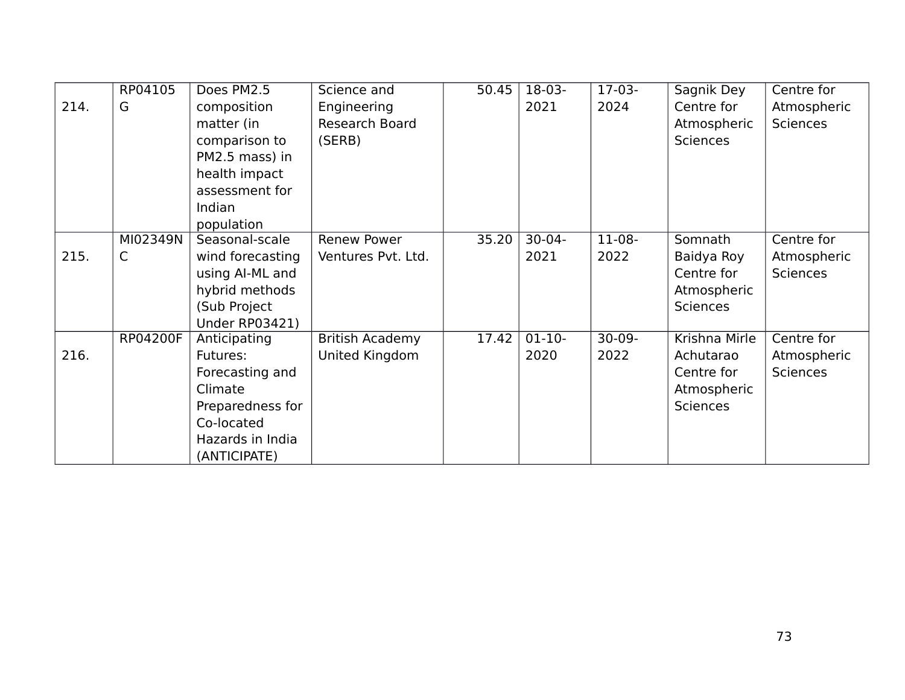|      | RP04105         | Does PM2.5            | Science and            | 50.45 | 18-03-      | $17-03-$ | Sagnik Dey      | Centre for      |
|------|-----------------|-----------------------|------------------------|-------|-------------|----------|-----------------|-----------------|
| 214. | G               | composition           | Engineering            |       | 2021        | 2024     | Centre for      | Atmospheric     |
|      |                 | matter (in            | Research Board         |       |             |          | Atmospheric     | <b>Sciences</b> |
|      |                 | comparison to         | (SERB)                 |       |             |          | <b>Sciences</b> |                 |
|      |                 | PM2.5 mass) in        |                        |       |             |          |                 |                 |
|      |                 | health impact         |                        |       |             |          |                 |                 |
|      |                 | assessment for        |                        |       |             |          |                 |                 |
|      |                 | Indian                |                        |       |             |          |                 |                 |
|      |                 | population            |                        |       |             |          |                 |                 |
|      | MI02349N        | Seasonal-scale        | Renew Power            | 35.20 | $30 - 04 -$ | 11-08-   | Somnath         | Centre for      |
| 215. | C               | wind forecasting      | Ventures Pvt. Ltd.     |       | 2021        | 2022     | Baidya Roy      | Atmospheric     |
|      |                 | using AI-ML and       |                        |       |             |          | Centre for      | <b>Sciences</b> |
|      |                 | hybrid methods        |                        |       |             |          | Atmospheric     |                 |
|      |                 | (Sub Project          |                        |       |             |          | <b>Sciences</b> |                 |
|      |                 | <b>Under RP03421)</b> |                        |       |             |          |                 |                 |
|      | <b>RP04200F</b> | Anticipating          | <b>British Academy</b> | 17.42 | $01-10-$    | $30-09-$ | Krishna Mirle   | Centre for      |
| 216. |                 | Futures:              | United Kingdom         |       | 2020        | 2022     | Achutarao       | Atmospheric     |
|      |                 | Forecasting and       |                        |       |             |          | Centre for      | <b>Sciences</b> |
|      |                 | Climate               |                        |       |             |          | Atmospheric     |                 |
|      |                 | Preparedness for      |                        |       |             |          | <b>Sciences</b> |                 |
|      |                 | Co-located            |                        |       |             |          |                 |                 |
|      |                 | Hazards in India      |                        |       |             |          |                 |                 |
|      |                 | (ANTICIPATE)          |                        |       |             |          |                 |                 |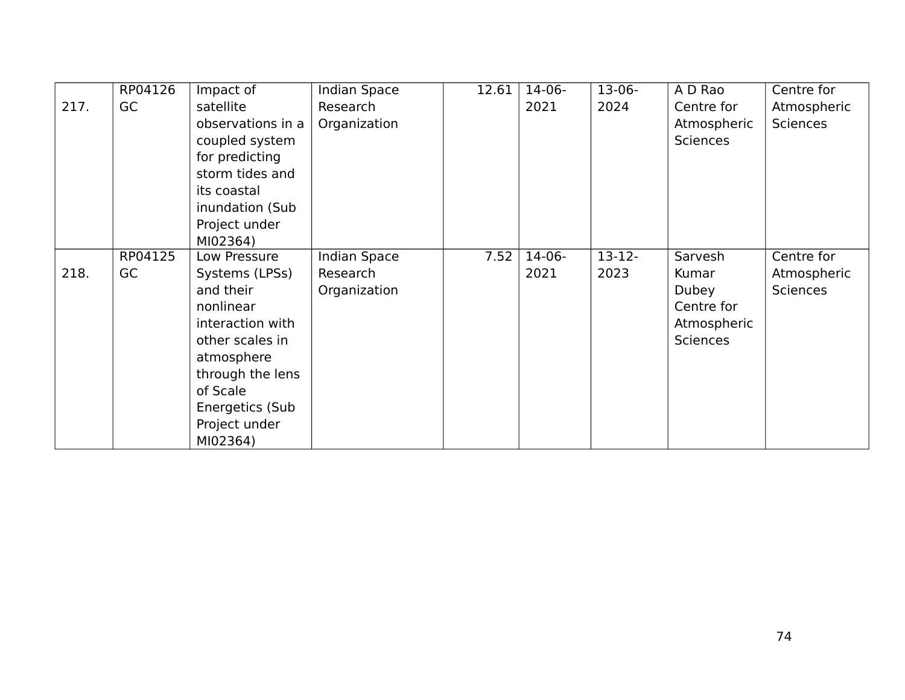|      | RP04126 | Impact of         | <b>Indian Space</b> | 12.61 | $14-06-$ | $13-06-$    | A D Rao         | Centre for      |
|------|---------|-------------------|---------------------|-------|----------|-------------|-----------------|-----------------|
| 217. | GC      | satellite         | Research            |       | 2021     | 2024        | Centre for      | Atmospheric     |
|      |         | observations in a | Organization        |       |          |             | Atmospheric     | <b>Sciences</b> |
|      |         | coupled system    |                     |       |          |             | <b>Sciences</b> |                 |
|      |         | for predicting    |                     |       |          |             |                 |                 |
|      |         | storm tides and   |                     |       |          |             |                 |                 |
|      |         | its coastal       |                     |       |          |             |                 |                 |
|      |         | inundation (Sub   |                     |       |          |             |                 |                 |
|      |         | Project under     |                     |       |          |             |                 |                 |
|      |         | MI02364)          |                     |       |          |             |                 |                 |
|      | RP04125 | Low Pressure      | <b>Indian Space</b> | 7.52  | $14-06-$ | $13 - 12 -$ | Sarvesh         | Centre for      |
| 218. | GC      | Systems (LPSs)    | Research            |       | 2021     | 2023        | Kumar           | Atmospheric     |
|      |         | and their         | Organization        |       |          |             | Dubey           | <b>Sciences</b> |
|      |         | nonlinear         |                     |       |          |             | Centre for      |                 |
|      |         | interaction with  |                     |       |          |             | Atmospheric     |                 |
|      |         | other scales in   |                     |       |          |             | <b>Sciences</b> |                 |
|      |         | atmosphere        |                     |       |          |             |                 |                 |
|      |         | through the lens  |                     |       |          |             |                 |                 |
|      |         | of Scale          |                     |       |          |             |                 |                 |
|      |         | Energetics (Sub   |                     |       |          |             |                 |                 |
|      |         | Project under     |                     |       |          |             |                 |                 |
|      |         | MI02364)          |                     |       |          |             |                 |                 |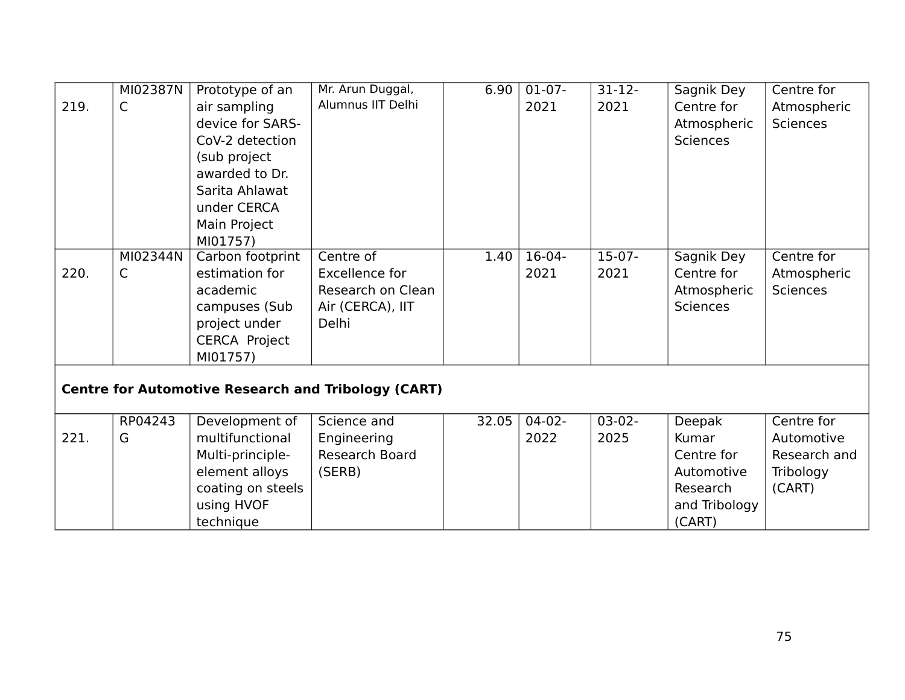|      | MI02387N | Prototype of an      | Mr. Arun Duggal,                                           | 6.90  | $01-07-$ | $31 - 12$ | Sagnik Dey      | Centre for      |
|------|----------|----------------------|------------------------------------------------------------|-------|----------|-----------|-----------------|-----------------|
| 219. | C        | air sampling         | Alumnus IIT Delhi                                          |       | 2021     | 2021      | Centre for      | Atmospheric     |
|      |          | device for SARS-     |                                                            |       |          |           | Atmospheric     | <b>Sciences</b> |
|      |          | CoV-2 detection      |                                                            |       |          |           | <b>Sciences</b> |                 |
|      |          | (sub project         |                                                            |       |          |           |                 |                 |
|      |          | awarded to Dr.       |                                                            |       |          |           |                 |                 |
|      |          | Sarita Ahlawat       |                                                            |       |          |           |                 |                 |
|      |          | under CERCA          |                                                            |       |          |           |                 |                 |
|      |          | Main Project         |                                                            |       |          |           |                 |                 |
|      |          | MI01757)             |                                                            |       |          |           |                 |                 |
|      | MI02344N | Carbon footprint     | Centre of                                                  | 1.40  | $16-04-$ | $15-07-$  | Sagnik Dey      | Centre for      |
| 220. | C        | estimation for       | Excellence for                                             |       | 2021     | 2021      | Centre for      | Atmospheric     |
|      |          | academic             | Research on Clean                                          |       |          |           | Atmospheric     | <b>Sciences</b> |
|      |          | campuses (Sub        | Air (CERCA), IIT                                           |       |          |           | <b>Sciences</b> |                 |
|      |          | project under        | Delhi                                                      |       |          |           |                 |                 |
|      |          | <b>CERCA Project</b> |                                                            |       |          |           |                 |                 |
|      |          | MI01757)             |                                                            |       |          |           |                 |                 |
|      |          |                      |                                                            |       |          |           |                 |                 |
|      |          |                      | <b>Centre for Automotive Research and Tribology (CART)</b> |       |          |           |                 |                 |
|      |          |                      |                                                            |       |          |           |                 |                 |
|      | RP04243  | Development of       | Science and                                                | 32.05 | $04-02-$ | $03-02-$  | <b>Deepak</b>   | Centre for      |
| 221. | G        | multifunctional      | Engineering                                                |       | 2022     | 2025      | Kumar           | Automotive      |
|      |          | Multi-principle-     | <b>Research Board</b>                                      |       |          |           | Centre for      | Research and    |
|      |          | element alloys       | (SERB)                                                     |       |          |           | Automotive      | Tribology       |
|      |          | coating on steels    |                                                            |       |          |           | Research        | (CART)          |
|      |          | using HVOF           |                                                            |       |          |           | and Tribology   |                 |
|      |          | technique            |                                                            |       |          |           | (CART)          |                 |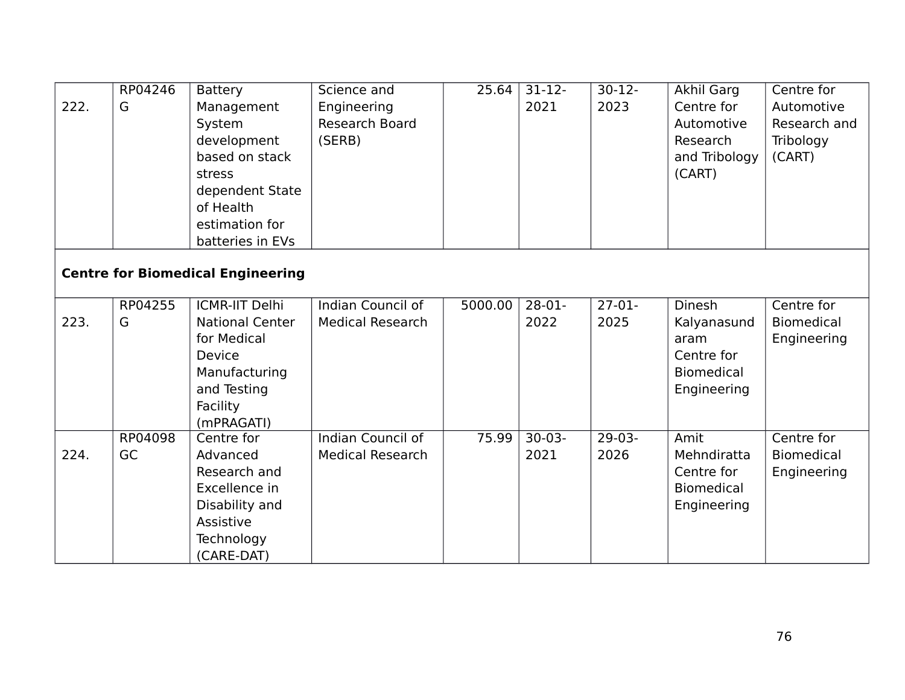| 222. | RP04246<br>G  | <b>Battery</b><br>Management<br>System<br>development<br>based on stack<br>stress<br>dependent State<br>of Health  | Science and<br>Engineering<br>Research Board<br>(SERB) | 25.64   | $31-12-$<br>2021 | $30-12-$<br>2023 | Akhil Garg<br>Centre for<br>Automotive<br>Research<br>and Tribology<br>(CART) | Centre for<br>Automotive<br>Research and<br>Tribology<br>(CART) |
|------|---------------|--------------------------------------------------------------------------------------------------------------------|--------------------------------------------------------|---------|------------------|------------------|-------------------------------------------------------------------------------|-----------------------------------------------------------------|
|      |               | estimation for<br>batteries in EVs                                                                                 |                                                        |         |                  |                  |                                                                               |                                                                 |
|      |               | <b>Centre for Biomedical Engineering</b>                                                                           |                                                        |         |                  |                  |                                                                               |                                                                 |
|      | RP04255       | <b>ICMR-IIT Delhi</b>                                                                                              | Indian Council of                                      | 5000.00 | $28-01-$         | $27-01-$         | Dinesh                                                                        | Centre for                                                      |
| 223. | G             | <b>National Center</b><br>for Medical<br>Device<br>Manufacturing<br>and Testing<br>Facility<br>(mPRAGATI)          | <b>Medical Research</b>                                |         | 2022             | 2025             | Kalyanasund<br>aram<br>Centre for<br><b>Biomedical</b><br>Engineering         | <b>Biomedical</b><br>Engineering                                |
| 224. | RP04098<br>GC | Centre for<br>Advanced<br>Research and<br>Excellence in<br>Disability and<br>Assistive<br>Technology<br>(CARE-DAT) | Indian Council of<br><b>Medical Research</b>           | 75.99   | $30-03-$<br>2021 | $29-03-$<br>2026 | Amit<br>Mehndiratta<br>Centre for<br><b>Biomedical</b><br>Engineering         | Centre for<br><b>Biomedical</b><br>Engineering                  |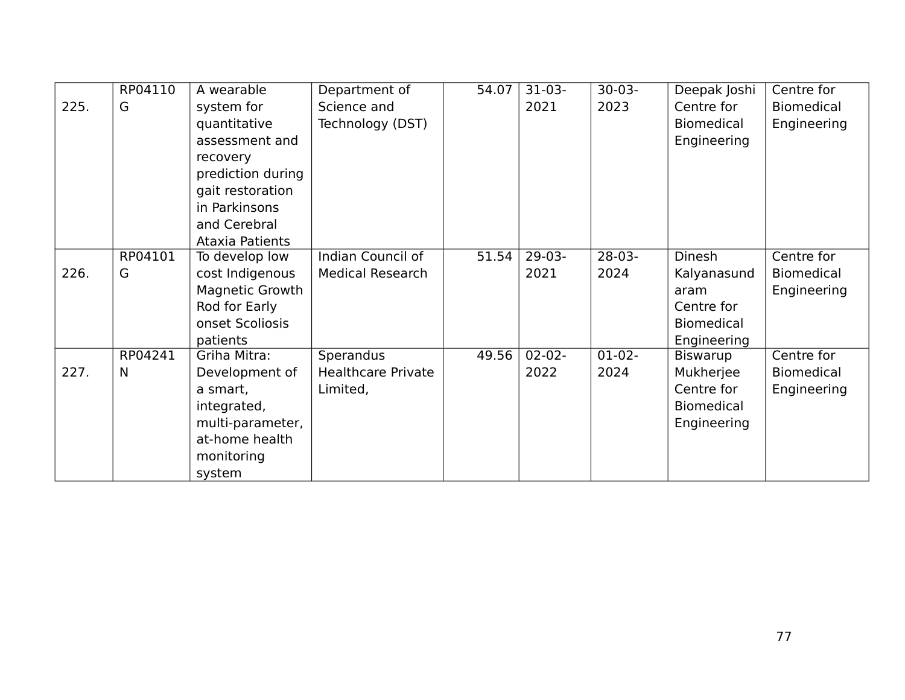|      | RP04110 | A wearable             | Department of             | 54.07 | $31-03-$    | $30-03-$ | Deepak Joshi      | Centre for        |
|------|---------|------------------------|---------------------------|-------|-------------|----------|-------------------|-------------------|
| 225. | G       | system for             | Science and               |       | 2021        | 2023     | Centre for        | Biomedical        |
|      |         | quantitative           | Technology (DST)          |       |             |          | <b>Biomedical</b> | Engineering       |
|      |         | assessment and         |                           |       |             |          | Engineering       |                   |
|      |         | recovery               |                           |       |             |          |                   |                   |
|      |         | prediction during      |                           |       |             |          |                   |                   |
|      |         | gait restoration       |                           |       |             |          |                   |                   |
|      |         | in Parkinsons          |                           |       |             |          |                   |                   |
|      |         | and Cerebral           |                           |       |             |          |                   |                   |
|      |         | <b>Ataxia Patients</b> |                           |       |             |          |                   |                   |
|      | RP04101 | To develop low         | Indian Council of         | 51.54 | $29-03-$    | $28-03-$ | Dinesh            | Centre for        |
| 226. | G       | cost Indigenous        | <b>Medical Research</b>   |       | 2021        | 2024     | Kalyanasund       | <b>Biomedical</b> |
|      |         | Magnetic Growth        |                           |       |             |          | aram              | Engineering       |
|      |         | Rod for Early          |                           |       |             |          | Centre for        |                   |
|      |         | onset Scoliosis        |                           |       |             |          | <b>Biomedical</b> |                   |
|      |         | patients               |                           |       |             |          | Engineering       |                   |
|      | RP04241 | Griha Mitra:           | Sperandus                 | 49.56 | $02 - 02 -$ | $01-02-$ | <b>Biswarup</b>   | Centre for        |
| 227. | N       | Development of         | <b>Healthcare Private</b> |       | 2022        | 2024     | Mukherjee         | <b>Biomedical</b> |
|      |         | a smart,               | Limited,                  |       |             |          | Centre for        | Engineering       |
|      |         | integrated,            |                           |       |             |          | <b>Biomedical</b> |                   |
|      |         | multi-parameter,       |                           |       |             |          | Engineering       |                   |
|      |         | at-home health         |                           |       |             |          |                   |                   |
|      |         | monitoring             |                           |       |             |          |                   |                   |
|      |         | system                 |                           |       |             |          |                   |                   |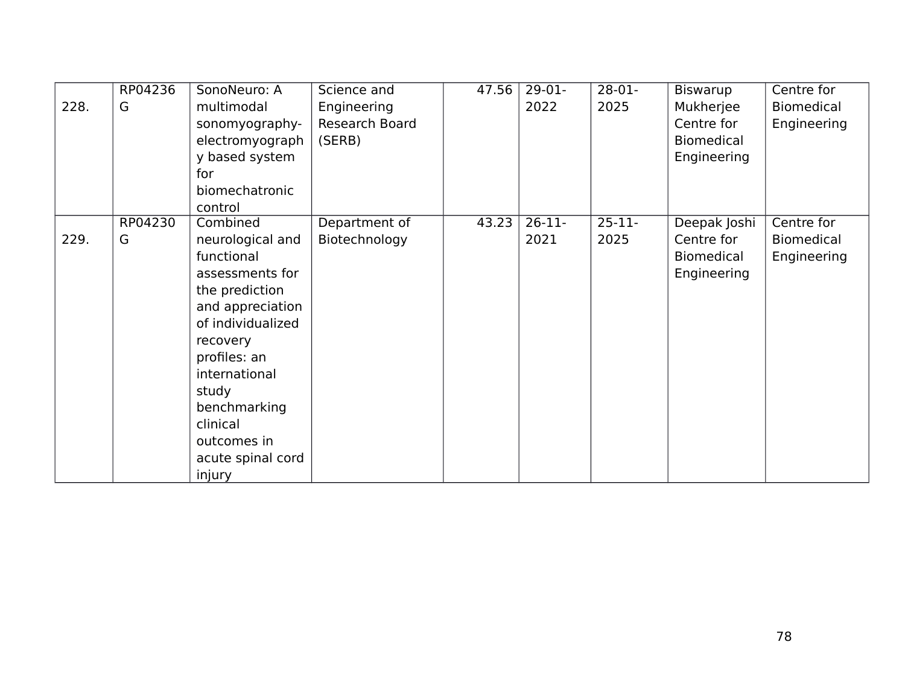|      | RP04236 | SonoNeuro: A      | Science and    | 47.56 | $29-01-$ | $28-01-$    | Biswarup          | Centre for        |
|------|---------|-------------------|----------------|-------|----------|-------------|-------------------|-------------------|
| 228. | G       | multimodal        | Engineering    |       | 2022     | 2025        | Mukherjee         | <b>Biomedical</b> |
|      |         | sonomyography-    | Research Board |       |          |             | Centre for        | Engineering       |
|      |         | electromyograph   | (SERB)         |       |          |             | <b>Biomedical</b> |                   |
|      |         | y based system    |                |       |          |             | Engineering       |                   |
|      |         | for               |                |       |          |             |                   |                   |
|      |         | biomechatronic    |                |       |          |             |                   |                   |
|      |         | control           |                |       |          |             |                   |                   |
|      | RP04230 | Combined          | Department of  | 43.23 | $26-11-$ | $25 - 11 -$ | Deepak Joshi      | Centre for        |
| 229. | G       | neurological and  | Biotechnology  |       | 2021     | 2025        | Centre for        | Biomedical        |
|      |         | functional        |                |       |          |             | <b>Biomedical</b> | Engineering       |
|      |         | assessments for   |                |       |          |             | Engineering       |                   |
|      |         | the prediction    |                |       |          |             |                   |                   |
|      |         | and appreciation  |                |       |          |             |                   |                   |
|      |         | of individualized |                |       |          |             |                   |                   |
|      |         | recovery          |                |       |          |             |                   |                   |
|      |         | profiles: an      |                |       |          |             |                   |                   |
|      |         | international     |                |       |          |             |                   |                   |
|      |         | study             |                |       |          |             |                   |                   |
|      |         | benchmarking      |                |       |          |             |                   |                   |
|      |         | clinical          |                |       |          |             |                   |                   |
|      |         | outcomes in       |                |       |          |             |                   |                   |
|      |         | acute spinal cord |                |       |          |             |                   |                   |
|      |         | injury            |                |       |          |             |                   |                   |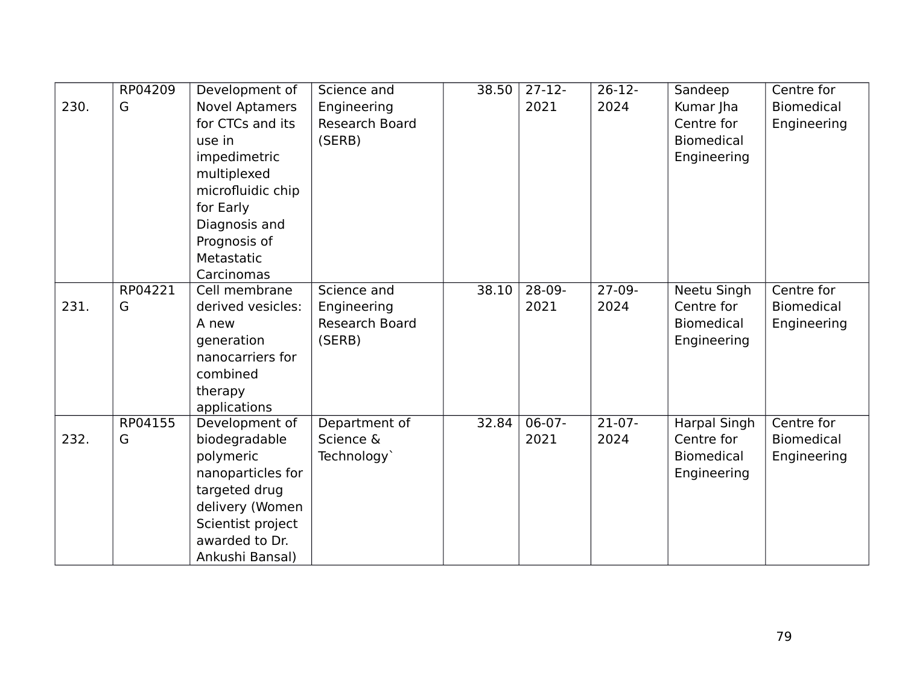|      | RP04209 | Development of        | Science and    | 38.50 | $27-12-$ | $26-12-$ | Sandeep             | Centre for        |
|------|---------|-----------------------|----------------|-------|----------|----------|---------------------|-------------------|
| 230. | G       | <b>Novel Aptamers</b> | Engineering    |       | 2021     | 2024     | Kumar Jha           | <b>Biomedical</b> |
|      |         | for CTCs and its      | Research Board |       |          |          | Centre for          | Engineering       |
|      |         | use in                | (SERB)         |       |          |          | <b>Biomedical</b>   |                   |
|      |         | impedimetric          |                |       |          |          | Engineering         |                   |
|      |         | multiplexed           |                |       |          |          |                     |                   |
|      |         | microfluidic chip     |                |       |          |          |                     |                   |
|      |         | for Early             |                |       |          |          |                     |                   |
|      |         | Diagnosis and         |                |       |          |          |                     |                   |
|      |         | Prognosis of          |                |       |          |          |                     |                   |
|      |         | Metastatic            |                |       |          |          |                     |                   |
|      |         | Carcinomas            |                |       |          |          |                     |                   |
|      | RP04221 | Cell membrane         | Science and    | 38.10 | $28-09-$ | $27-09-$ | <b>Neetu Singh</b>  | Centre for        |
| 231. | G       | derived vesicles:     | Engineering    |       | 2021     | 2024     | Centre for          | <b>Biomedical</b> |
|      |         | A new                 | Research Board |       |          |          | <b>Biomedical</b>   | Engineering       |
|      |         | generation            | (SERB)         |       |          |          | Engineering         |                   |
|      |         | nanocarriers for      |                |       |          |          |                     |                   |
|      |         | combined              |                |       |          |          |                     |                   |
|      |         | therapy               |                |       |          |          |                     |                   |
|      |         | applications          |                |       |          |          |                     |                   |
|      | RP04155 | Development of        | Department of  | 32.84 | $06-07-$ | $21-07-$ | <b>Harpal Singh</b> | Centre for        |
| 232. | G       | biodegradable         | Science &      |       | 2021     | 2024     | Centre for          | <b>Biomedical</b> |
|      |         | polymeric             | Technology`    |       |          |          | <b>Biomedical</b>   | Engineering       |
|      |         | nanoparticles for     |                |       |          |          | Engineering         |                   |
|      |         | targeted drug         |                |       |          |          |                     |                   |
|      |         | delivery (Women       |                |       |          |          |                     |                   |
|      |         | Scientist project     |                |       |          |          |                     |                   |
|      |         | awarded to Dr.        |                |       |          |          |                     |                   |
|      |         | Ankushi Bansal)       |                |       |          |          |                     |                   |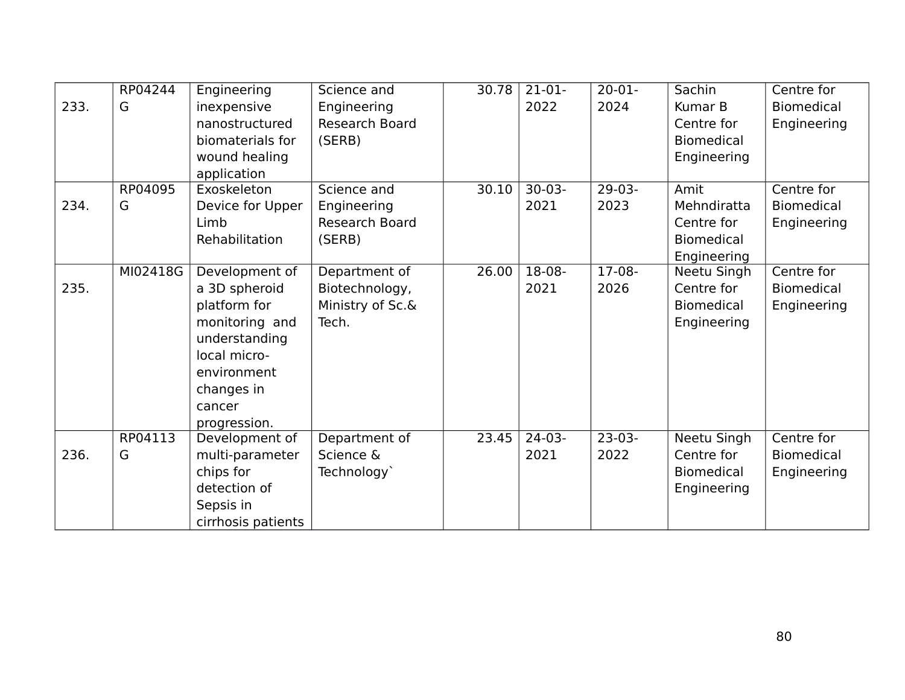|      | RP04244  | Engineering        | Science and           | 30.78 | $21-01-$ | $20 - 01 -$ | Sachin            | Centre for        |
|------|----------|--------------------|-----------------------|-------|----------|-------------|-------------------|-------------------|
| 233. | G        | inexpensive        | Engineering           |       | 2022     | 2024        | Kumar B           | <b>Biomedical</b> |
|      |          | nanostructured     | <b>Research Board</b> |       |          |             | Centre for        | Engineering       |
|      |          | biomaterials for   | (SERB)                |       |          |             | <b>Biomedical</b> |                   |
|      |          | wound healing      |                       |       |          |             | Engineering       |                   |
|      |          | application        |                       |       |          |             |                   |                   |
|      | RP04095  | Exoskeleton        | Science and           | 30.10 | $30-03-$ | $29-03-$    | Amit              | Centre for        |
| 234. | G        | Device for Upper   | Engineering           |       | 2021     | 2023        | Mehndiratta       | <b>Biomedical</b> |
|      |          | Limb               | Research Board        |       |          |             | Centre for        | Engineering       |
|      |          | Rehabilitation     | (SERB)                |       |          |             | <b>Biomedical</b> |                   |
|      |          |                    |                       |       |          |             | Engineering       |                   |
|      | MI02418G | Development of     | Department of         | 26.00 | $18-08-$ | $17-08-$    | Neetu Singh       | Centre for        |
| 235. |          | a 3D spheroid      | Biotechnology,        |       | 2021     | 2026        | Centre for        | <b>Biomedical</b> |
|      |          | platform for       | Ministry of Sc.&      |       |          |             | <b>Biomedical</b> | Engineering       |
|      |          | monitoring and     | Tech.                 |       |          |             | Engineering       |                   |
|      |          | understanding      |                       |       |          |             |                   |                   |
|      |          | local micro-       |                       |       |          |             |                   |                   |
|      |          | environment        |                       |       |          |             |                   |                   |
|      |          | changes in         |                       |       |          |             |                   |                   |
|      |          | cancer             |                       |       |          |             |                   |                   |
|      |          | progression.       |                       |       |          |             |                   |                   |
|      | RP04113  | Development of     | Department of         | 23.45 | $24-03-$ | $23-03-$    | Neetu Singh       | Centre for        |
| 236. | G        | multi-parameter    | Science &             |       | 2021     | 2022        | Centre for        | <b>Biomedical</b> |
|      |          | chips for          | Technology            |       |          |             | <b>Biomedical</b> | Engineering       |
|      |          | detection of       |                       |       |          |             | Engineering       |                   |
|      |          | Sepsis in          |                       |       |          |             |                   |                   |
|      |          | cirrhosis patients |                       |       |          |             |                   |                   |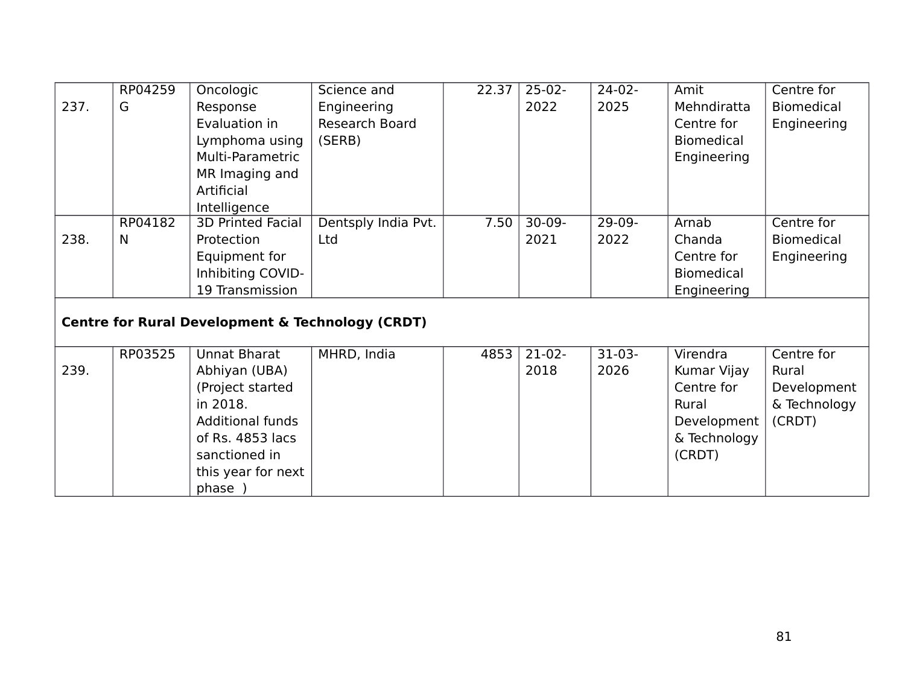|      | RP04259 | Oncologic                                                   | Science and         | 22.37 | $25-02-$ | $24-02-$ | Amit              | Centre for        |
|------|---------|-------------------------------------------------------------|---------------------|-------|----------|----------|-------------------|-------------------|
| 237. | G       | Response                                                    | Engineering         |       | 2022     | 2025     | Mehndiratta       | Biomedical        |
|      |         | Evaluation in                                               | Research Board      |       |          |          | Centre for        | Engineering       |
|      |         | Lymphoma using                                              | (SERB)              |       |          |          | <b>Biomedical</b> |                   |
|      |         | Multi-Parametric                                            |                     |       |          |          | Engineering       |                   |
|      |         | MR Imaging and                                              |                     |       |          |          |                   |                   |
|      |         | Artificial                                                  |                     |       |          |          |                   |                   |
|      |         | Intelligence                                                |                     |       |          |          |                   |                   |
|      | RP04182 | <b>3D Printed Facial</b>                                    | Dentsply India Pvt. | 7.50  | $30-09-$ | $29-09-$ | Arnab             | Centre for        |
| 238. | N       | Protection                                                  | Ltd                 |       | 2021     | 2022     | Chanda            | <b>Biomedical</b> |
|      |         | Equipment for                                               |                     |       |          |          | Centre for        | Engineering       |
|      |         | Inhibiting COVID-                                           |                     |       |          |          | <b>Biomedical</b> |                   |
|      |         | 19 Transmission                                             |                     |       |          |          | Engineering       |                   |
|      |         | <b>Centre for Rural Development &amp; Technology (CRDT)</b> |                     |       |          |          |                   |                   |
|      |         |                                                             |                     |       |          |          |                   |                   |
|      | RP03525 | Unnat Bharat                                                | MHRD, India         | 4853  | $21-02-$ | $31-03-$ | Virendra          | Centre for        |
| 239. |         | Abhiyan (UBA)                                               |                     |       | 2018     | 2026     | Kumar Vijay       | Rural             |
|      |         | (Project started                                            |                     |       |          |          | Centre for        | Development       |
|      |         | in 2018.                                                    |                     |       |          |          | Rural             | & Technology      |
|      |         | <b>Additional funds</b>                                     |                     |       |          |          | Development       | (CRDT)            |
|      |         | of Rs. 4853 lacs                                            |                     |       |          |          | & Technology      |                   |
|      |         | sanctioned in                                               |                     |       |          |          | (CRDT)            |                   |
|      |         | this year for next                                          |                     |       |          |          |                   |                   |
|      |         | phase )                                                     |                     |       |          |          |                   |                   |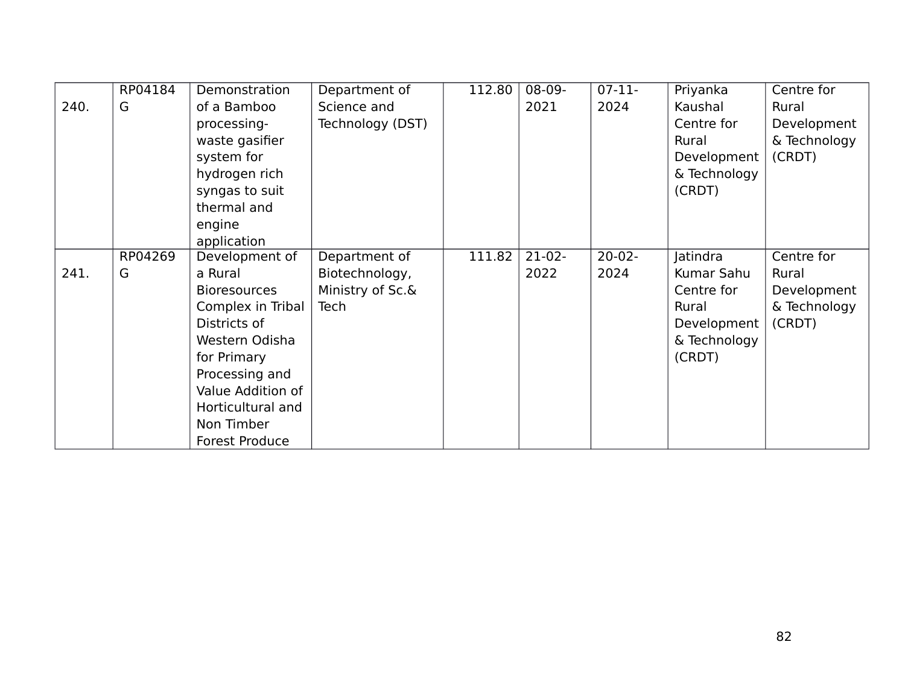|      | RP04184 | Demonstration       | Department of    | 112.80 | 08-09-   | $07-11-$    | Priyanka     | Centre for   |
|------|---------|---------------------|------------------|--------|----------|-------------|--------------|--------------|
| 240. | G       | of a Bamboo         | Science and      |        | 2021     | 2024        | Kaushal      | Rural        |
|      |         | processing-         | Technology (DST) |        |          |             | Centre for   | Development  |
|      |         | waste gasifier      |                  |        |          |             | Rural        | & Technology |
|      |         | system for          |                  |        |          |             | Development  | (CRDT)       |
|      |         | hydrogen rich       |                  |        |          |             | & Technology |              |
|      |         | syngas to suit      |                  |        |          |             | (CRDT)       |              |
|      |         | thermal and         |                  |        |          |             |              |              |
|      |         | engine              |                  |        |          |             |              |              |
|      |         | application         |                  |        |          |             |              |              |
|      | RP04269 | Development of      | Department of    | 111.82 | $21-02-$ | $20 - 02 -$ | Jatindra     | Centre for   |
| 241. | G       | a Rural             | Biotechnology,   |        | 2022     | 2024        | Kumar Sahu   | Rural        |
|      |         | <b>Bioresources</b> | Ministry of Sc.& |        |          |             | Centre for   | Development  |
|      |         | Complex in Tribal   | Tech             |        |          |             | Rural        | & Technology |
|      |         | Districts of        |                  |        |          |             | Development  | (CRDT)       |
|      |         | Western Odisha      |                  |        |          |             | & Technology |              |
|      |         | for Primary         |                  |        |          |             | (CRDT)       |              |
|      |         | Processing and      |                  |        |          |             |              |              |
|      |         | Value Addition of   |                  |        |          |             |              |              |
|      |         | Horticultural and   |                  |        |          |             |              |              |
|      |         | Non Timber          |                  |        |          |             |              |              |
|      |         | Forest Produce      |                  |        |          |             |              |              |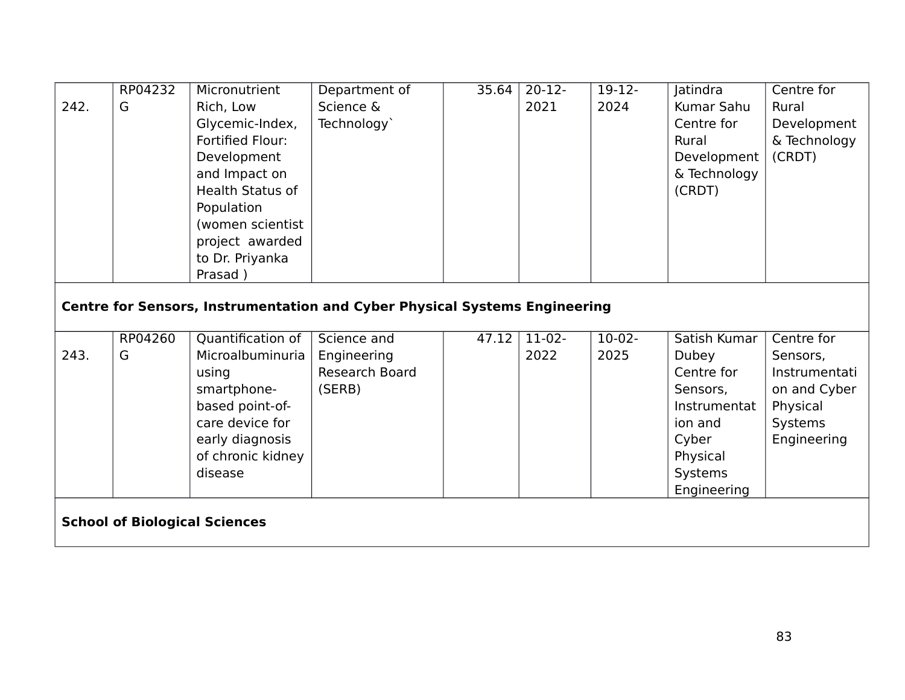|                                      | RP04232 | Micronutrient           | Department of                                                                     | 35.64 | $20-12-$ | $19-12-$ | Jatindra     | Centre for    |  |
|--------------------------------------|---------|-------------------------|-----------------------------------------------------------------------------------|-------|----------|----------|--------------|---------------|--|
| 242.                                 | G       | Rich, Low               | Science &                                                                         |       | 2021     | 2024     | Kumar Sahu   | Rural         |  |
|                                      |         | Glycemic-Index,         | Technology`                                                                       |       |          |          | Centre for   | Development   |  |
|                                      |         | <b>Fortified Flour:</b> |                                                                                   |       |          |          | Rural        | & Technology  |  |
|                                      |         | Development             |                                                                                   |       |          |          | Development  | (CRDT)        |  |
|                                      |         | and Impact on           |                                                                                   |       |          |          | & Technology |               |  |
|                                      |         | <b>Health Status of</b> |                                                                                   |       |          |          | (CRDT)       |               |  |
|                                      |         | Population              |                                                                                   |       |          |          |              |               |  |
|                                      |         | (women scientist        |                                                                                   |       |          |          |              |               |  |
|                                      |         | project awarded         |                                                                                   |       |          |          |              |               |  |
|                                      |         | to Dr. Priyanka         |                                                                                   |       |          |          |              |               |  |
|                                      |         | Prasad)                 |                                                                                   |       |          |          |              |               |  |
|                                      |         |                         |                                                                                   |       |          |          |              |               |  |
|                                      |         |                         | <b>Centre for Sensors, Instrumentation and Cyber Physical Systems Engineering</b> |       |          |          |              |               |  |
|                                      |         |                         |                                                                                   |       |          |          |              |               |  |
|                                      | RP04260 | Quantification of       | Science and                                                                       | 47.12 | $11-02-$ | $10-02-$ | Satish Kumar | Centre for    |  |
| 243.                                 | G       | Microalbuminuria        | Engineering                                                                       |       | 2022     | 2025     | Dubey        | Sensors,      |  |
|                                      |         | using                   | <b>Research Board</b>                                                             |       |          |          | Centre for   | Instrumentati |  |
|                                      |         | smartphone-             | (SERB)                                                                            |       |          |          | Sensors,     | on and Cyber  |  |
|                                      |         | based point-of-         |                                                                                   |       |          |          | Instrumentat | Physical      |  |
|                                      |         | care device for         |                                                                                   |       |          |          | ion and      | Systems       |  |
|                                      |         | early diagnosis         |                                                                                   |       |          |          | Cyber        | Engineering   |  |
|                                      |         | of chronic kidney       |                                                                                   |       |          |          | Physical     |               |  |
|                                      |         | disease                 |                                                                                   |       |          |          | Systems      |               |  |
|                                      |         |                         |                                                                                   |       |          |          | Engineering  |               |  |
|                                      |         |                         |                                                                                   |       |          |          |              |               |  |
| <b>School of Biological Sciences</b> |         |                         |                                                                                   |       |          |          |              |               |  |
|                                      |         |                         |                                                                                   |       |          |          |              |               |  |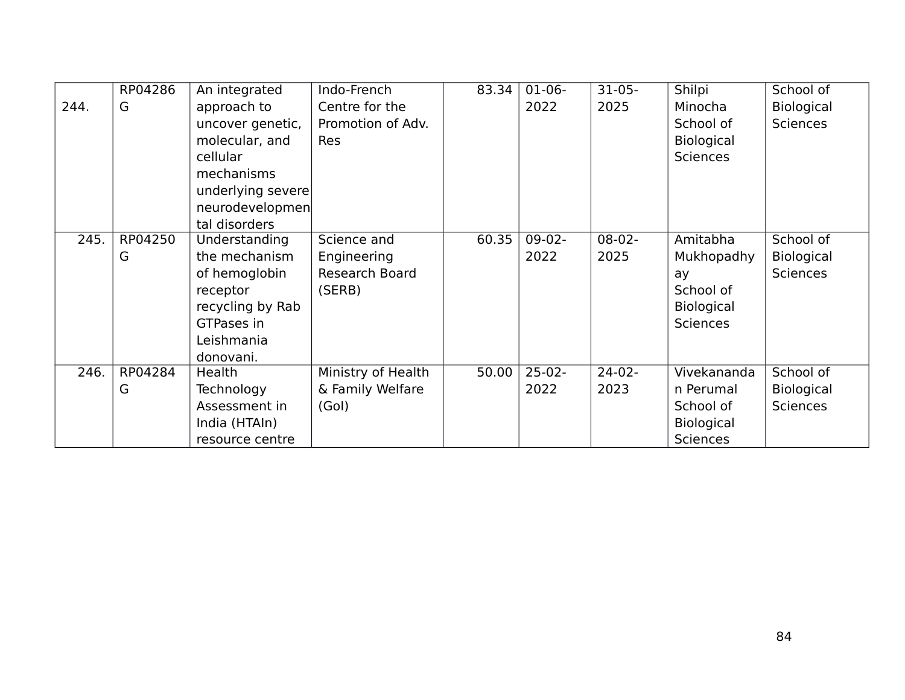|      | RP04286 | An integrated     | Indo-French        | 83.34 | $01-06-$ | $31-05-$ | Shilpi            | School of         |
|------|---------|-------------------|--------------------|-------|----------|----------|-------------------|-------------------|
| 244. | G       | approach to       | Centre for the     |       | 2022     | 2025     | Minocha           | Biological        |
|      |         | uncover genetic,  | Promotion of Adv.  |       |          |          | School of         | <b>Sciences</b>   |
|      |         | molecular, and    | <b>Res</b>         |       |          |          | Biological        |                   |
|      |         | cellular          |                    |       |          |          | <b>Sciences</b>   |                   |
|      |         | mechanisms        |                    |       |          |          |                   |                   |
|      |         | underlying severe |                    |       |          |          |                   |                   |
|      |         | neurodevelopmen   |                    |       |          |          |                   |                   |
|      |         | tal disorders     |                    |       |          |          |                   |                   |
| 245. | RP04250 | Understanding     | Science and        | 60.35 | $09-02-$ | $08-02-$ | Amitabha          | School of         |
|      | G       | the mechanism     | Engineering        |       | 2022     | 2025     | Mukhopadhy        | <b>Biological</b> |
|      |         | of hemoglobin     | Research Board     |       |          |          | ay                | <b>Sciences</b>   |
|      |         | receptor          | (SERB)             |       |          |          | School of         |                   |
|      |         | recycling by Rab  |                    |       |          |          | <b>Biological</b> |                   |
|      |         | <b>GTPases in</b> |                    |       |          |          | <b>Sciences</b>   |                   |
|      |         | Leishmania        |                    |       |          |          |                   |                   |
|      |         | donovani.         |                    |       |          |          |                   |                   |
| 246. | RP04284 | Health            | Ministry of Health | 50.00 | $25-02-$ | $24-02-$ | Vivekananda       | School of         |
|      | G       | Technology        | & Family Welfare   |       | 2022     | 2023     | n Perumal         | Biological        |
|      |         | Assessment in     | (Gol)              |       |          |          | School of         | <b>Sciences</b>   |
|      |         | India (HTAIn)     |                    |       |          |          | <b>Biological</b> |                   |
|      |         | resource centre   |                    |       |          |          | Sciences          |                   |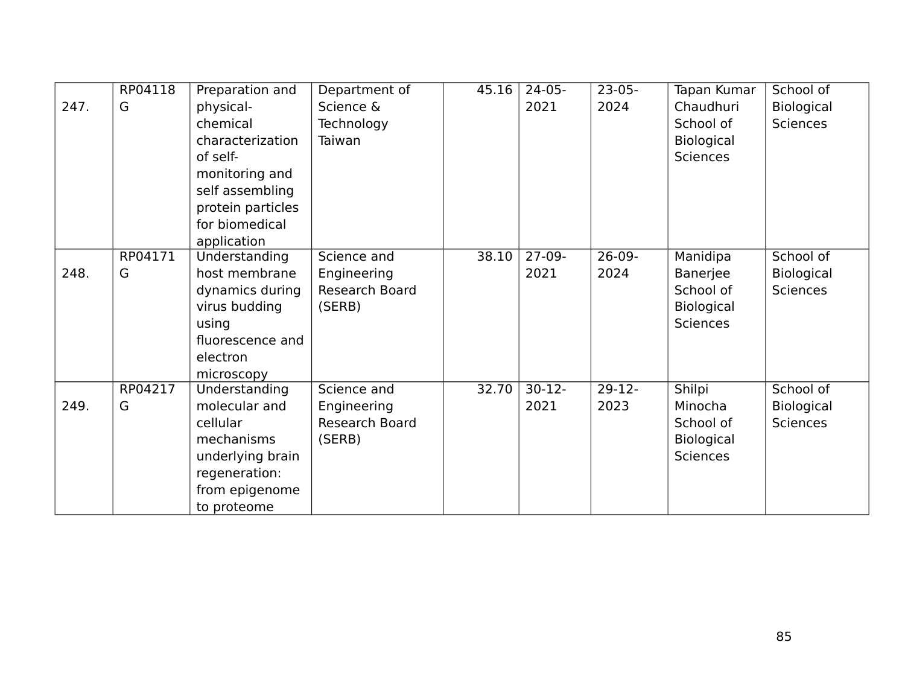|      | RP04118 | Preparation and   | Department of  | 45.16 | $24-05-$ | $23-05-$ | Tapan Kumar       | School of       |
|------|---------|-------------------|----------------|-------|----------|----------|-------------------|-----------------|
| 247. | G       | physical-         | Science &      |       | 2021     | 2024     | Chaudhuri         | Biological      |
|      |         | chemical          | Technology     |       |          |          | School of         | <b>Sciences</b> |
|      |         | characterization  | Taiwan         |       |          |          | Biological        |                 |
|      |         | of self-          |                |       |          |          | <b>Sciences</b>   |                 |
|      |         | monitoring and    |                |       |          |          |                   |                 |
|      |         | self assembling   |                |       |          |          |                   |                 |
|      |         | protein particles |                |       |          |          |                   |                 |
|      |         | for biomedical    |                |       |          |          |                   |                 |
|      |         | application       |                |       |          |          |                   |                 |
|      | RP04171 | Understanding     | Science and    | 38.10 | $27-09-$ | $26-09-$ | Manidipa          | School of       |
| 248. | G       | host membrane     | Engineering    |       | 2021     | 2024     | Banerjee          | Biological      |
|      |         | dynamics during   | Research Board |       |          |          | School of         | <b>Sciences</b> |
|      |         | virus budding     | (SERB)         |       |          |          | <b>Biological</b> |                 |
|      |         | using             |                |       |          |          | <b>Sciences</b>   |                 |
|      |         | fluorescence and  |                |       |          |          |                   |                 |
|      |         | electron          |                |       |          |          |                   |                 |
|      |         | microscopy        |                |       |          |          |                   |                 |
|      | RP04217 | Understanding     | Science and    | 32.70 | $30-12-$ | $29-12-$ | Shilpi            | School of       |
| 249. | G       | molecular and     | Engineering    |       | 2021     | 2023     | Minocha           | Biological      |
|      |         | cellular          | Research Board |       |          |          | School of         | <b>Sciences</b> |
|      |         | mechanisms        | (SERB)         |       |          |          | Biological        |                 |
|      |         | underlying brain  |                |       |          |          | <b>Sciences</b>   |                 |
|      |         | regeneration:     |                |       |          |          |                   |                 |
|      |         | from epigenome    |                |       |          |          |                   |                 |
|      |         | to proteome       |                |       |          |          |                   |                 |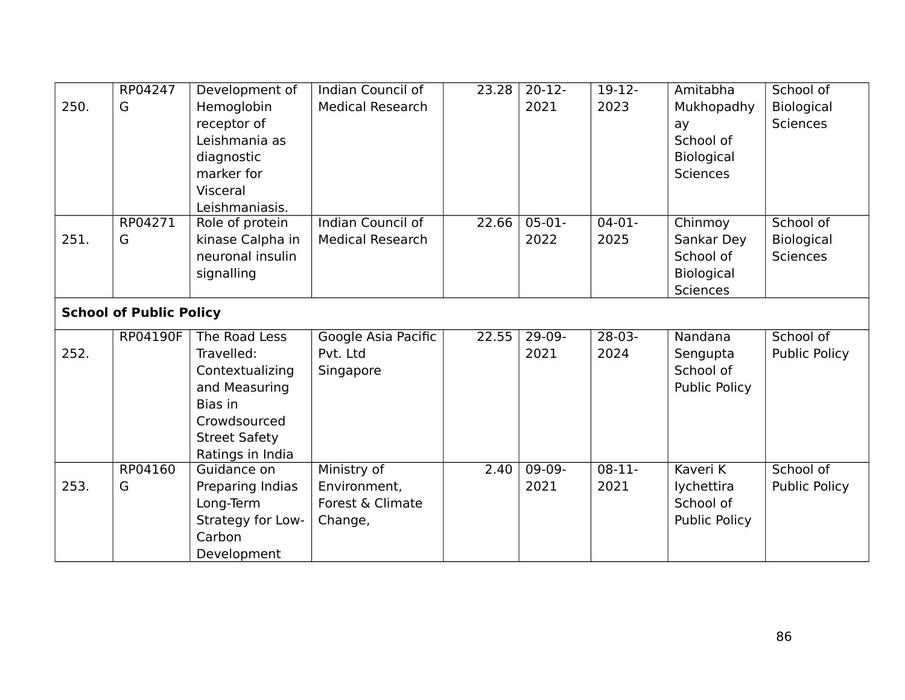|                                | RP04247  | Development of       | Indian Council of        | 23.28 | $20-12-$ | $19-12-$ | Amitabha             | School of            |
|--------------------------------|----------|----------------------|--------------------------|-------|----------|----------|----------------------|----------------------|
| 250.                           | G        | Hemoglobin           | <b>Medical Research</b>  |       | 2021     | 2023     | Mukhopadhy           | Biological           |
|                                |          | receptor of          |                          |       |          |          | ay                   | <b>Sciences</b>      |
|                                |          | Leishmania as        |                          |       |          |          | School of            |                      |
|                                |          | diagnostic           |                          |       |          |          | Biological           |                      |
|                                |          | marker for           |                          |       |          |          | <b>Sciences</b>      |                      |
|                                |          | Visceral             |                          |       |          |          |                      |                      |
|                                |          | Leishmaniasis.       |                          |       |          |          |                      |                      |
|                                | RP04271  | Role of protein      | <b>Indian Council of</b> | 22.66 | $05-01-$ | $04-01-$ | Chinmoy              | School of            |
| 251.                           | G        | kinase Calpha in     | <b>Medical Research</b>  |       | 2022     | 2025     | Sankar Dey           | Biological           |
|                                |          | neuronal insulin     |                          |       |          |          | School of            | <b>Sciences</b>      |
|                                |          | signalling           |                          |       |          |          | Biological           |                      |
|                                |          |                      |                          |       |          |          | <b>Sciences</b>      |                      |
| <b>School of Public Policy</b> |          |                      |                          |       |          |          |                      |                      |
|                                | RP04190F | The Road Less        | Google Asia Pacific      | 22.55 | $29-09-$ | $28-03-$ | Nandana              | School of            |
| 252.                           |          | Travelled:           | Pvt. Ltd                 |       | 2021     | 2024     | Sengupta             | <b>Public Policy</b> |
|                                |          | Contextualizing      | Singapore                |       |          |          | School of            |                      |
|                                |          | and Measuring        |                          |       |          |          | <b>Public Policy</b> |                      |
|                                |          | Bias in              |                          |       |          |          |                      |                      |
|                                |          | Crowdsourced         |                          |       |          |          |                      |                      |
|                                |          | <b>Street Safety</b> |                          |       |          |          |                      |                      |
|                                |          | Ratings in India     |                          |       |          |          |                      |                      |
|                                | RP04160  | Guidance on          | Ministry of              | 2.40  | $09-09-$ | $08-11-$ | Kaveri K             | School of            |
| 253.                           | G        | Preparing Indias     | Environment,             |       | 2021     | 2021     | lychettira           | <b>Public Policy</b> |
|                                |          | Long-Term            | Forest & Climate         |       |          |          | School of            |                      |
|                                |          | Strategy for Low-    | Change,                  |       |          |          | <b>Public Policy</b> |                      |
|                                |          | Carbon               |                          |       |          |          |                      |                      |
|                                |          | Development          |                          |       |          |          |                      |                      |